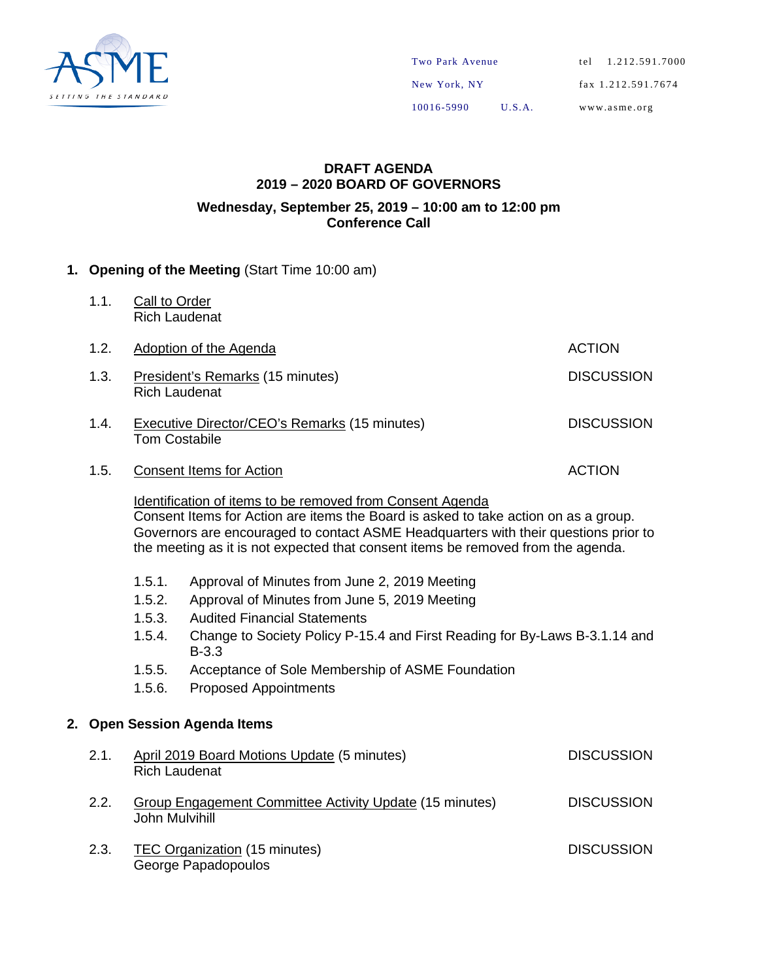

### **DRAFT AGENDA 2019 – 2020 BOARD OF GOVERNORS Wednesday, September 25, 2019 – 10:00 am to 12:00 pm Conference Call**

## **1. Opening of the Meeting** (Start Time 10:00 am)

1.1. Call to Order Rich Laudenat

| 1.2. | Adoption of the Agenda                                                                                                                           | <b>ACTION</b>     |
|------|--------------------------------------------------------------------------------------------------------------------------------------------------|-------------------|
| 1.3. | President's Remarks (15 minutes)<br><b>Rich Laudenat</b>                                                                                         | <b>DISCUSSION</b> |
| 1.4. | Executive Director/CEO's Remarks (15 minutes)<br><b>Tom Costabile</b>                                                                            | <b>DISCUSSION</b> |
| 1.5. | <b>Consent Items for Action</b>                                                                                                                  | <b>ACTION</b>     |
|      | Identification of items to be removed from Consent Agenda<br>Consent Items for Action are items the Board is asked to take action on as a group. |                   |

Governors are encouraged to contact ASME Headquarters with their questions prior to the meeting as it is not expected that consent items be removed from the agenda.

- 1.5.1. Approval of Minutes from June 2, 2019 Meeting
- 1.5.2. Approval of Minutes from June 5, 2019 Meeting
- 1.5.3. Audited Financial Statements
- 1.5.4. Change to Society Policy P-15.4 and First Reading for By-Laws B-3.1.14 and B-3.3
- 1.5.5. Acceptance of Sole Membership of ASME Foundation
- 1.5.6. Proposed Appointments

## **2. Open Session Agenda Items**

| 2.1. | April 2019 Board Motions Update (5 minutes)<br><b>Rich Laudenat</b>              | <b>DISCUSSION</b> |
|------|----------------------------------------------------------------------------------|-------------------|
| 2.2. | <b>Group Engagement Committee Activity Update (15 minutes)</b><br>John Mulvihill | <b>DISCUSSION</b> |
| 2.3. | TEC Organization (15 minutes)<br>George Papadopoulos                             | <b>DISCUSSION</b> |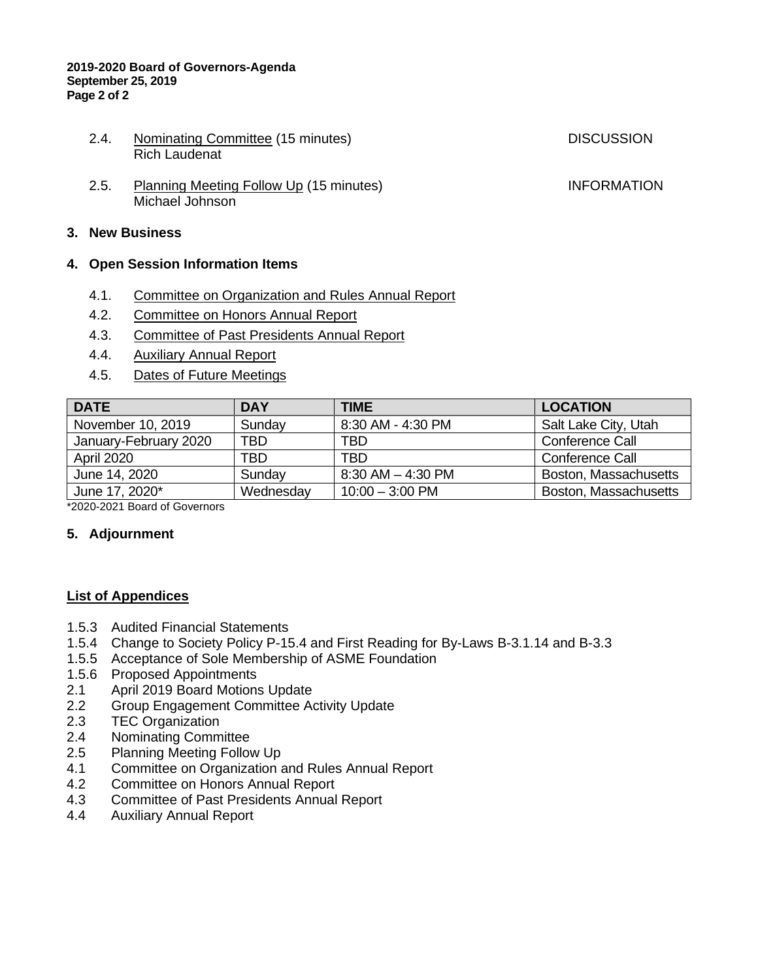#### **2019-2020 Board of Governors-Agenda September 25, 2019 Page 2 of 2**

- 2.4. Nominating Committee (15 minutes) DISCUSSION Rich Laudenat
	-
- 2.5. Planning Meeting Follow Up (15 minutes) **INFORMATION** Michael Johnson

## **3. New Business**

### **4. Open Session Information Items**

- 4.1. Committee on Organization and Rules Annual Report
- 4.2. Committee on Honors Annual Report
- 4.3. Committee of Past Presidents Annual Report
- 4.4. Auxiliary Annual Report
- 4.5. Dates of Future Meetings

| <b>DATE</b>           | <b>DAY</b> | <b>TIME</b>           | <b>LOCATION</b>       |
|-----------------------|------------|-----------------------|-----------------------|
| November 10, 2019     | Sunday     | 8:30 AM - 4:30 PM     | Salt Lake City, Utah  |
| January-February 2020 | TBD.       | TBD                   | Conference Call       |
| <b>April 2020</b>     | TBD.       | TBD                   | Conference Call       |
| June 14, 2020         | Sunday     | $8:30$ AM $-$ 4:30 PM | Boston, Massachusetts |
| June 17, 2020*        | Wednesday  | $10:00 - 3:00$ PM     | Boston, Massachusetts |

\*2020-2021 Board of Governors

## **5. Adjournment**

### **List of Appendices**

- 1.5.3 Audited Financial Statements
- 1.5.4 Change to Society Policy P-15.4 and First Reading for By-Laws B-3.1.14 and B-3.3
- 1.5.5 Acceptance of Sole Membership of ASME Foundation
- 1.5.6 Proposed Appointments
- 2.1 April 2019 Board Motions Update
- 2.2 Group Engagement Committee Activity Update<br>2.3 TEC Organization
- 2.3 TEC Organization<br>2.4 Nominating Comm
- **Nominating Committee**
- 2.5 Planning Meeting Follow Up
- 4.1 Committee on Organization and Rules Annual Report
- 4.2 Committee on Honors Annual Report
- 4.3 Committee of Past Presidents Annual Report
- 4.4 Auxiliary Annual Report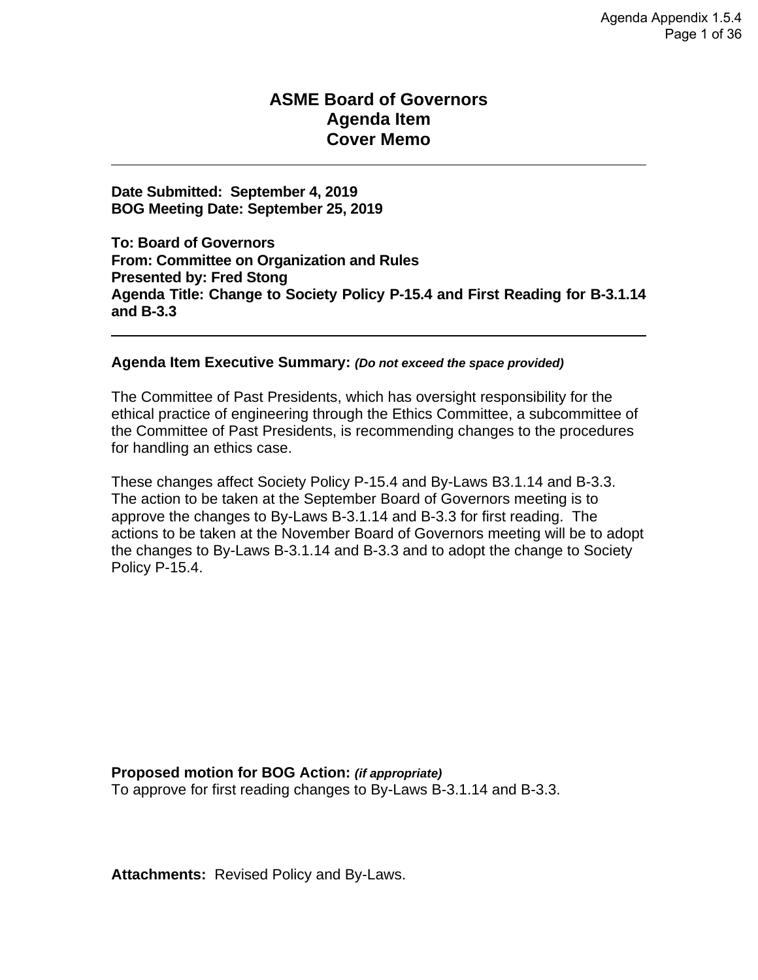# **ASME Board of Governors Agenda Item Cover Memo**

**Date Submitted**: August 27, 2019 **BOG Meeting Date:** September 25, 2019

**To: Board of Governors From: Audit Committee Presented by:** Bobby Grimes and William Garofalo **Agenda Title:** Audited Financial Statements

#### **Agenda Item Executive Summary:**

Audited Financial Statements for the Fiscal Year Ended June 30, 2019.

### **Proposed motion for BOG Action:**

The Audit Committee recommends that the ASME Board of Governors accept and approve Audited Financial Statements for the Fiscal Year Ended June 30, 2019 as presented by KPMG.

The Audit Committee recommends that ASME Board of Governors appoint KPMG as auditors for the FY2020 audit.

#### **Attachments:**

Audited Financial Statements for the Fiscal Year Ended June 30, 2019.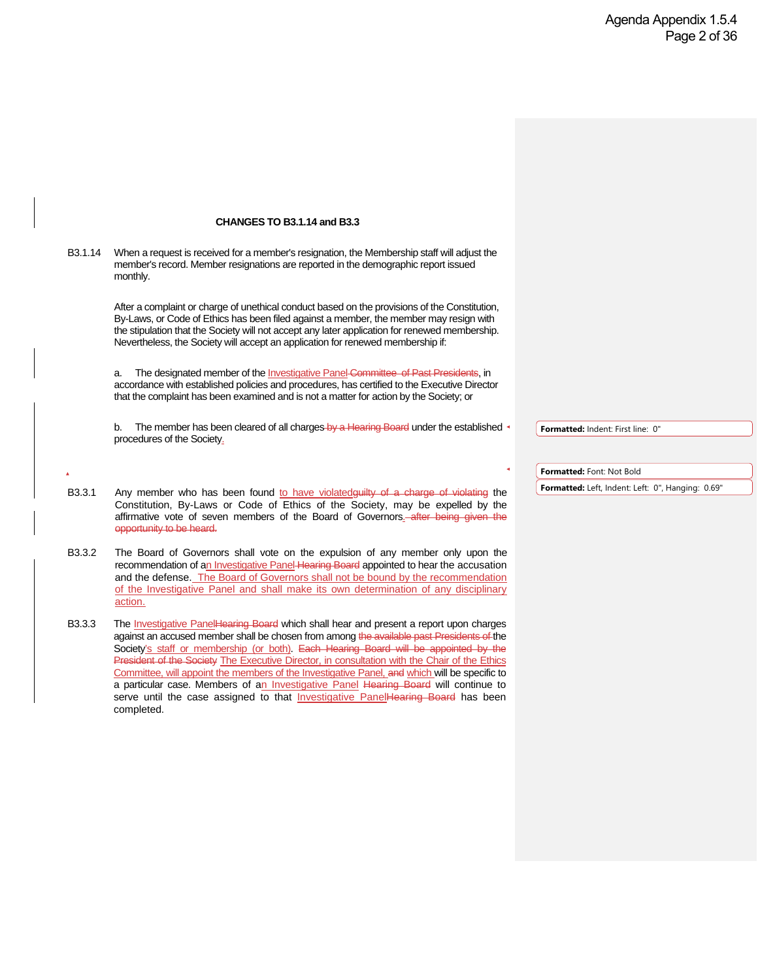# **ASME Board of Governors Agenda Item Cover Memo**

**Date Submitted: September 4, 2019 BOG Meeting Date: September 25, 2019**

**To: Board of Governors From: Committee on Organization and Rules Presented by: Fred Stong Agenda Title: Change to Society Policy P-15.4 and First Reading for B-3.1.14 and B-3.3**

### **Agenda Item Executive Summary:** *(Do not exceed the space provided)*

The Committee of Past Presidents, which has oversight responsibility for the ethical practice of engineering through the Ethics Committee, a subcommittee of the Committee of Past Presidents, is recommending changes to the procedures for handling an ethics case.

These changes affect Society Policy P-15.4 and By-Laws B3.1.14 and B-3.3. The action to be taken at the September Board of Governors meeting is to approve the changes to By-Laws B-3.1.14 and B-3.3 for first reading. The actions to be taken at the November Board of Governors meeting will be to adopt the changes to By-Laws B-3.1.14 and B-3.3 and to adopt the change to Society Policy P-15.4.

### **Proposed motion for BOG Action:** *(if appropriate)*

To approve for first reading changes to By-Laws B-3.1.14 and B-3.3.

**Attachments:** Revised Policy and By-Laws.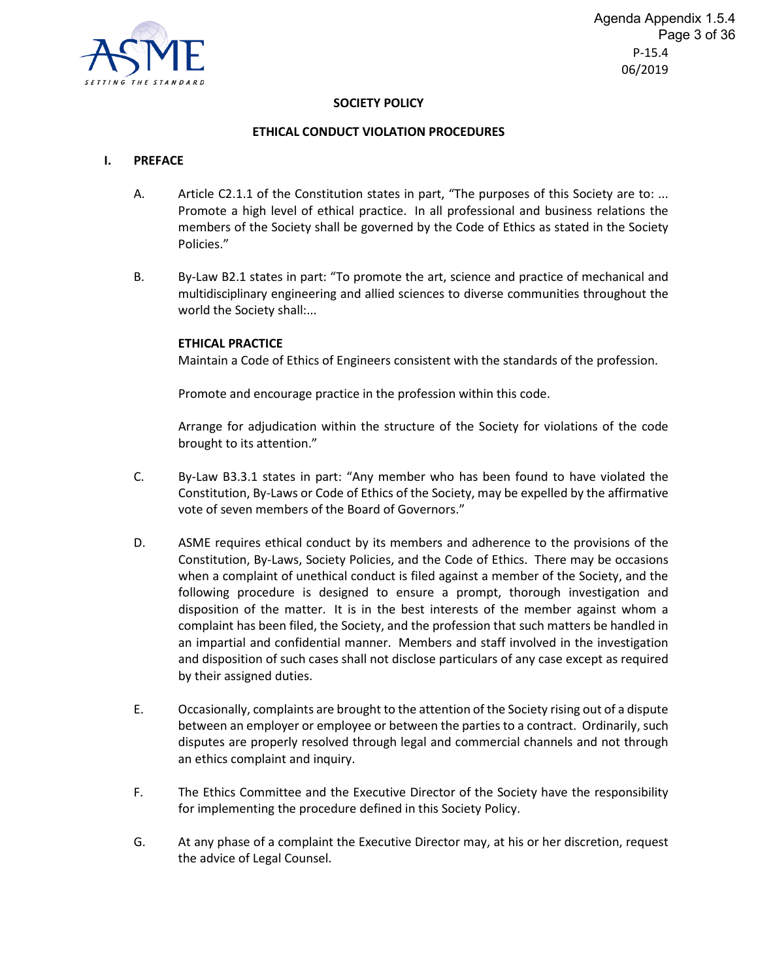#### **CHANGES TO B3.1.14 and B3.3**

B3.1.14 When a request is received for a member's resignation, the Membership staff will adjust the member's record. Member resignations are reported in the demographic report issued monthly.

> After a complaint or charge of unethical conduct based on the provisions of the Constitution, By-Laws, or Code of Ethics has been filed against a member, the member may resign with the stipulation that the Society will not accept any later application for renewed membership. Nevertheless, the Society will accept an application for renewed membership if:

> a. The designated member of the Investigative Panel Committee of Past Presidents, in accordance with established policies and procedures, has certified to the Executive Director that the complaint has been examined and is not a matter for action by the Society; or

b. The member has been cleared of all charges by a Hearing Board under the established procedures of the Society.

- B3.3.1 Any member who has been found to have violatedguilty of a charge of violating the Constitution, By-Laws or Code of Ethics of the Society, may be expelled by the affirmative vote of seven members of the Board of Governors. after being given the opportunity to be heard.
- B3.3.2 The Board of Governors shall vote on the expulsion of any member only upon the recommendation of an Investigative Panel Hearing Board appointed to hear the accusation and the defense. The Board of Governors shall not be bound by the recommendation of the Investigative Panel and shall make its own determination of any disciplinary action.
- B3.3.3 The Investigative PanelHearing Board which shall hear and present a report upon charges against an accused member shall be chosen from among the available past Presidents of the Society's staff or membership (or both). Each Hearing Board will be appointed by the President of the Society The Executive Director, in consultation with the Chair of the Ethics Committee, will appoint the members of the Investigative Panel, and which will be specific to a particular case. Members of an Investigative Panel Hearing Board will continue to serve until the case assigned to that **Investigative PanelHearing Board** has been completed.

**Formatted:** Indent: First line: 0"

#### **Formatted:** Font: Not Bold

**Formatted:** Left, Indent: Left: 0", Hanging: 0.69"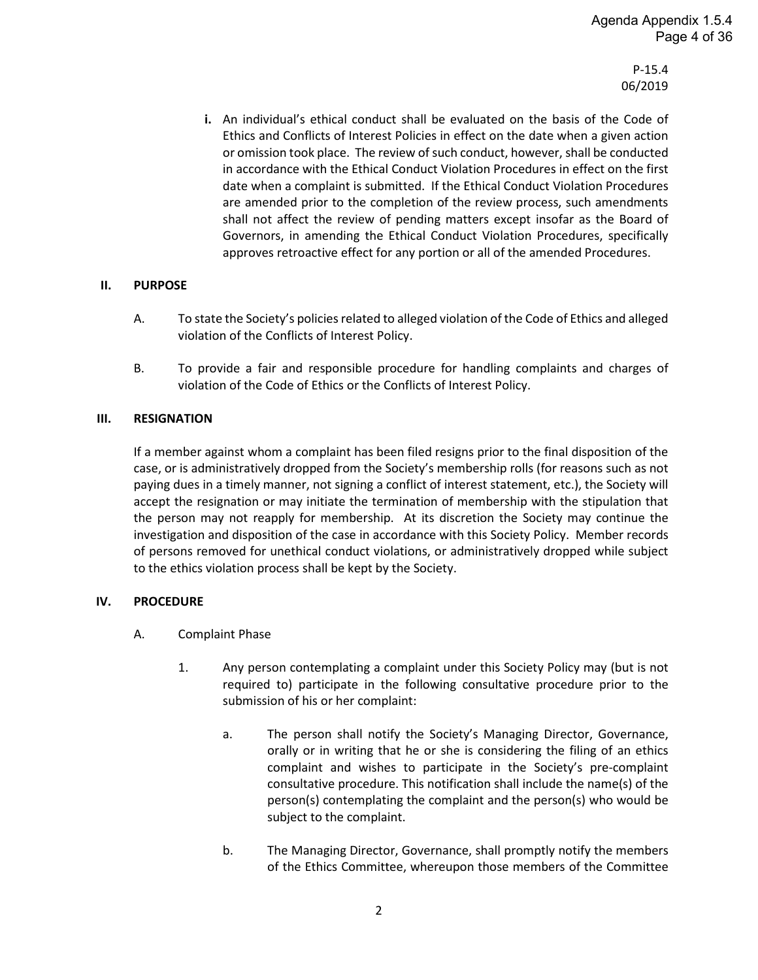

#### **SOCIETY POLICY**

#### **ETHICAL CONDUCT VIOLATION PROCEDURES**

#### **I. PREFACE**

- A. Article C2.1.1 of the Constitution states in part, "The purposes of this Society are to: ... Promote a high level of ethical practice. In all professional and business relations the members of the Society shall be governed by the Code of Ethics as stated in the Society Policies."
- B. By-Law B2.1 states in part: "To promote the art, science and practice of mechanical and multidisciplinary engineering and allied sciences to diverse communities throughout the world the Society shall:...

#### **ETHICAL PRACTICE**

Maintain a Code of Ethics of Engineers consistent with the standards of the profession.

Promote and encourage practice in the profession within this code.

Arrange for adjudication within the structure of the Society for violations of the code brought to its attention."

- C. By-Law B3.3.1 states in part: "Any member who has been found to have violated the Constitution, By-Laws or Code of Ethics of the Society, may be expelled by the affirmative vote of seven members of the Board of Governors."
- D. ASME requires ethical conduct by its members and adherence to the provisions of the Constitution, By-Laws, Society Policies, and the Code of Ethics. There may be occasions when a complaint of unethical conduct is filed against a member of the Society, and the following procedure is designed to ensure a prompt, thorough investigation and disposition of the matter. It is in the best interests of the member against whom a complaint has been filed, the Society, and the profession that such matters be handled in an impartial and confidential manner. Members and staff involved in the investigation and disposition of such cases shall not disclose particulars of any case except as required by their assigned duties.
- E. Occasionally, complaints are brought to the attention of the Society rising out of a dispute between an employer or employee or between the parties to a contract. Ordinarily, such disputes are properly resolved through legal and commercial channels and not through an ethics complaint and inquiry.
- F. The Ethics Committee and the Executive Director of the Society have the responsibility for implementing the procedure defined in this Society Policy.
- G. At any phase of a complaint the Executive Director may, at his or her discretion, request the advice of Legal Counsel.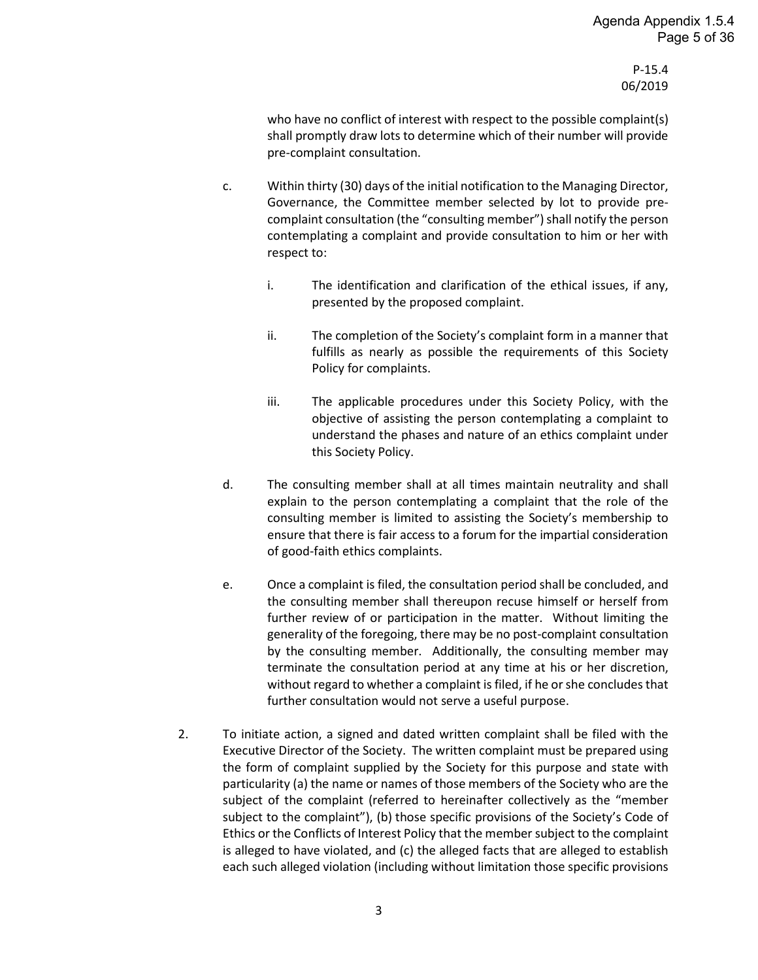**i.** An individual's ethical conduct shall be evaluated on the basis of the Code of Ethics and Conflicts of Interest Policies in effect on the date when a given action or omission took place. The review of such conduct, however, shall be conducted in accordance with the Ethical Conduct Violation Procedures in effect on the first date when a complaint is submitted. If the Ethical Conduct Violation Procedures are amended prior to the completion of the review process, such amendments shall not affect the review of pending matters except insofar as the Board of Governors, in amending the Ethical Conduct Violation Procedures, specifically approves retroactive effect for any portion or all of the amended Procedures.

#### **II. PURPOSE**

- A. To state the Society's policies related to alleged violation of the Code of Ethics and alleged violation of the Conflicts of Interest Policy.
- B. To provide a fair and responsible procedure for handling complaints and charges of violation of the Code of Ethics or the Conflicts of Interest Policy.

#### **III. RESIGNATION**

If a member against whom a complaint has been filed resigns prior to the final disposition of the case, or is administratively dropped from the Society's membership rolls (for reasons such as not paying dues in a timely manner, not signing a conflict of interest statement, etc.), the Society will accept the resignation or may initiate the termination of membership with the stipulation that the person may not reapply for membership. At its discretion the Society may continue the investigation and disposition of the case in accordance with this Society Policy. Member records of persons removed for unethical conduct violations, or administratively dropped while subject to the ethics violation process shall be kept by the Society.

#### **IV. PROCEDURE**

- A. Complaint Phase
	- 1. Any person contemplating a complaint under this Society Policy may (but is not required to) participate in the following consultative procedure prior to the submission of his or her complaint:
		- a. The person shall notify the Society's Managing Director, Governance, orally or in writing that he or she is considering the filing of an ethics complaint and wishes to participate in the Society's pre-complaint consultative procedure. This notification shall include the name(s) of the person(s) contemplating the complaint and the person(s) who would be subject to the complaint.
		- b. The Managing Director, Governance, shall promptly notify the members of the Ethics Committee, whereupon those members of the Committee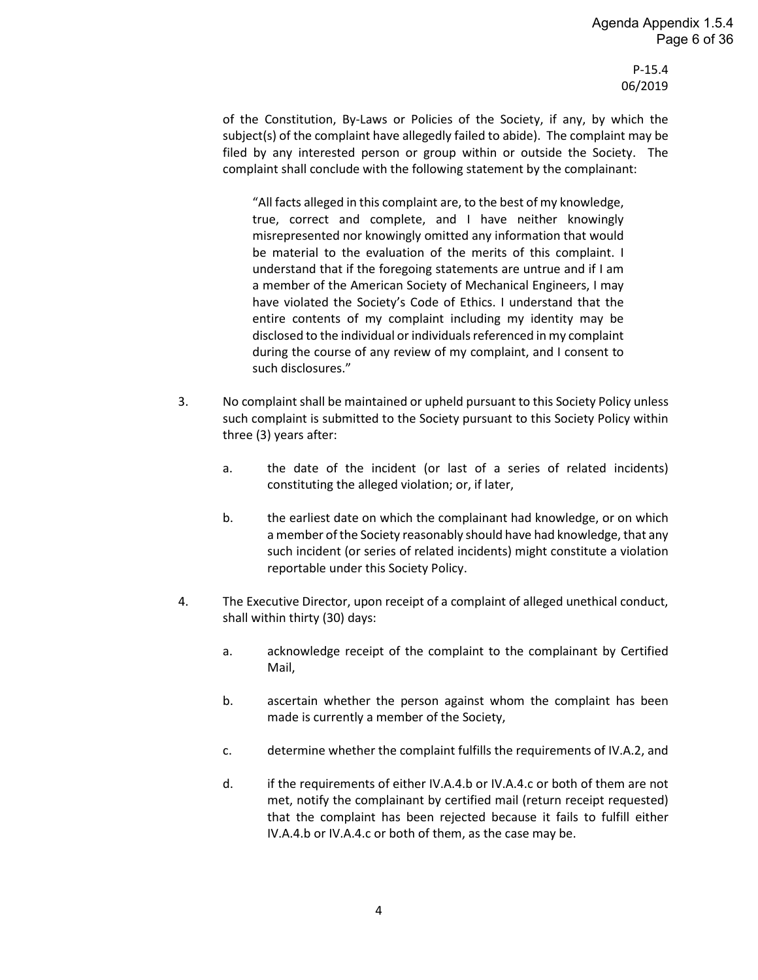who have no conflict of interest with respect to the possible complaint(s) shall promptly draw lots to determine which of their number will provide pre-complaint consultation.

- c. Within thirty (30) days of the initial notification to the Managing Director, Governance, the Committee member selected by lot to provide precomplaint consultation (the "consulting member") shall notify the person contemplating a complaint and provide consultation to him or her with respect to:
	- i. The identification and clarification of the ethical issues, if any, presented by the proposed complaint.
	- ii. The completion of the Society's complaint form in a manner that fulfills as nearly as possible the requirements of this Society Policy for complaints.
	- iii. The applicable procedures under this Society Policy, with the objective of assisting the person contemplating a complaint to understand the phases and nature of an ethics complaint under this Society Policy.
- d. The consulting member shall at all times maintain neutrality and shall explain to the person contemplating a complaint that the role of the consulting member is limited to assisting the Society's membership to ensure that there is fair access to a forum for the impartial consideration of good-faith ethics complaints.
- e. Once a complaint is filed, the consultation period shall be concluded, and the consulting member shall thereupon recuse himself or herself from further review of or participation in the matter. Without limiting the generality of the foregoing, there may be no post-complaint consultation by the consulting member. Additionally, the consulting member may terminate the consultation period at any time at his or her discretion, without regard to whether a complaint is filed, if he or she concludes that further consultation would not serve a useful purpose.
- 2. To initiate action, a signed and dated written complaint shall be filed with the Executive Director of the Society. The written complaint must be prepared using the form of complaint supplied by the Society for this purpose and state with particularity (a) the name or names of those members of the Society who are the subject of the complaint (referred to hereinafter collectively as the "member subject to the complaint"), (b) those specific provisions of the Society's Code of Ethics or the Conflicts of Interest Policy that the member subject to the complaint is alleged to have violated, and (c) the alleged facts that are alleged to establish each such alleged violation (including without limitation those specific provisions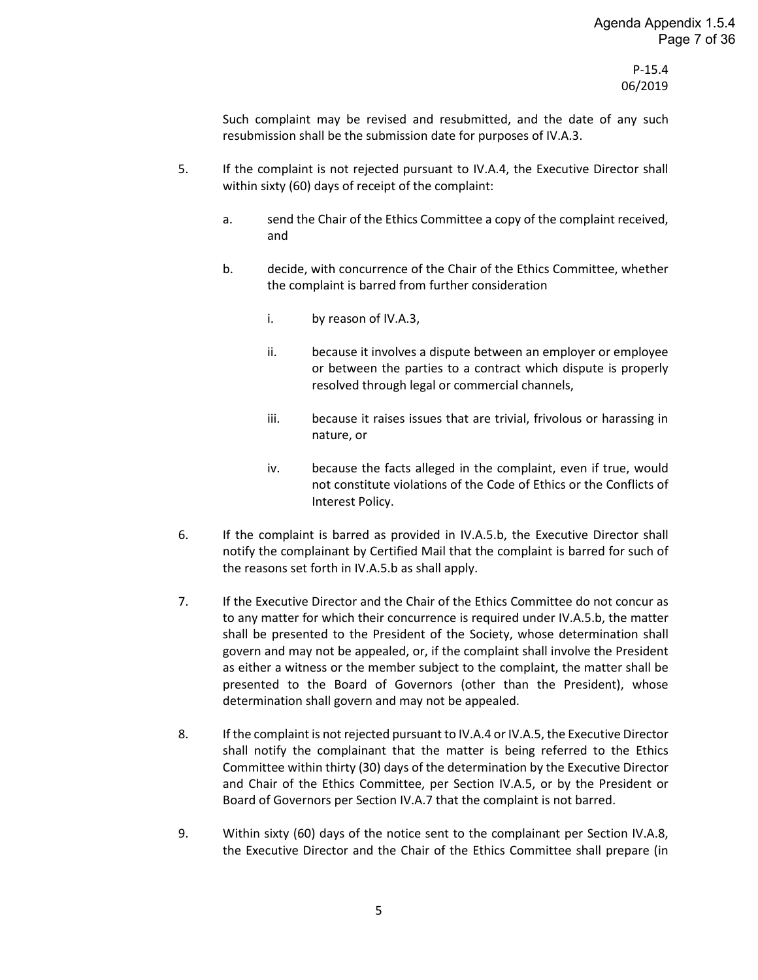of the Constitution, By-Laws or Policies of the Society, if any, by which the subject(s) of the complaint have allegedly failed to abide). The complaint may be filed by any interested person or group within or outside the Society. The complaint shall conclude with the following statement by the complainant:

"All facts alleged in this complaint are, to the best of my knowledge, true, correct and complete, and I have neither knowingly misrepresented nor knowingly omitted any information that would be material to the evaluation of the merits of this complaint. I understand that if the foregoing statements are untrue and if I am a member of the American Society of Mechanical Engineers, I may have violated the Society's Code of Ethics. I understand that the entire contents of my complaint including my identity may be disclosed to the individual or individuals referenced in my complaint during the course of any review of my complaint, and I consent to such disclosures."

- 3. No complaint shall be maintained or upheld pursuant to this Society Policy unless such complaint is submitted to the Society pursuant to this Society Policy within three (3) years after:
	- a. the date of the incident (or last of a series of related incidents) constituting the alleged violation; or, if later,
	- b. the earliest date on which the complainant had knowledge, or on which a member of the Society reasonably should have had knowledge, that any such incident (or series of related incidents) might constitute a violation reportable under this Society Policy.
- 4. The Executive Director, upon receipt of a complaint of alleged unethical conduct, shall within thirty (30) days:
	- a. acknowledge receipt of the complaint to the complainant by Certified Mail,
	- b. ascertain whether the person against whom the complaint has been made is currently a member of the Society,
	- c. determine whether the complaint fulfills the requirements of IV.A.2, and
	- d. if the requirements of either IV.A.4.b or IV.A.4.c or both of them are not met, notify the complainant by certified mail (return receipt requested) that the complaint has been rejected because it fails to fulfill either IV.A.4.b or IV.A.4.c or both of them, as the case may be.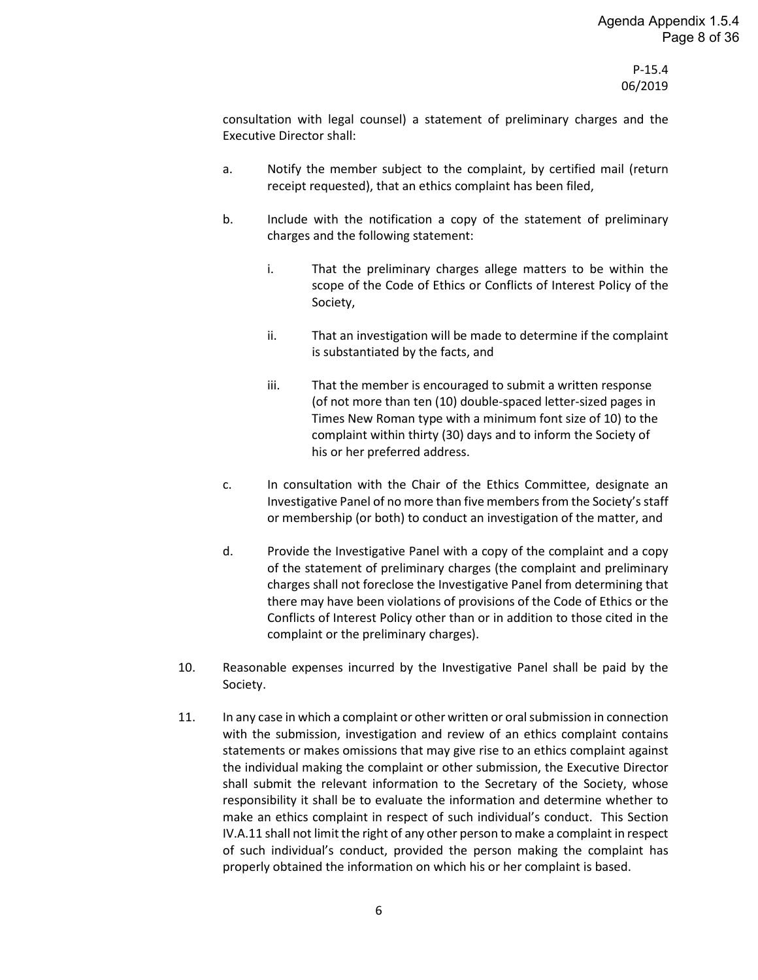Such complaint may be revised and resubmitted, and the date of any such resubmission shall be the submission date for purposes of IV.A.3.

- 5. If the complaint is not rejected pursuant to IV.A.4, the Executive Director shall within sixty (60) days of receipt of the complaint:
	- a. send the Chair of the Ethics Committee a copy of the complaint received, and
	- b. decide, with concurrence of the Chair of the Ethics Committee, whether the complaint is barred from further consideration
		- i. by reason of IV.A.3,
		- ii. because it involves a dispute between an employer or employee or between the parties to a contract which dispute is properly resolved through legal or commercial channels,
		- iii. because it raises issues that are trivial, frivolous or harassing in nature, or
		- iv. because the facts alleged in the complaint, even if true, would not constitute violations of the Code of Ethics or the Conflicts of Interest Policy.
- 6. If the complaint is barred as provided in IV.A.5.b, the Executive Director shall notify the complainant by Certified Mail that the complaint is barred for such of the reasons set forth in IV.A.5.b as shall apply.
- 7. If the Executive Director and the Chair of the Ethics Committee do not concur as to any matter for which their concurrence is required under IV.A.5.b, the matter shall be presented to the President of the Society, whose determination shall govern and may not be appealed, or, if the complaint shall involve the President as either a witness or the member subject to the complaint, the matter shall be presented to the Board of Governors (other than the President), whose determination shall govern and may not be appealed.
- 8. If the complaint is not rejected pursuant to IV.A.4 or IV.A.5, the Executive Director shall notify the complainant that the matter is being referred to the Ethics Committee within thirty (30) days of the determination by the Executive Director and Chair of the Ethics Committee, per Section IV.A.5, or by the President or Board of Governors per Section IV.A.7 that the complaint is not barred.
- 9. Within sixty (60) days of the notice sent to the complainant per Section IV.A.8, the Executive Director and the Chair of the Ethics Committee shall prepare (in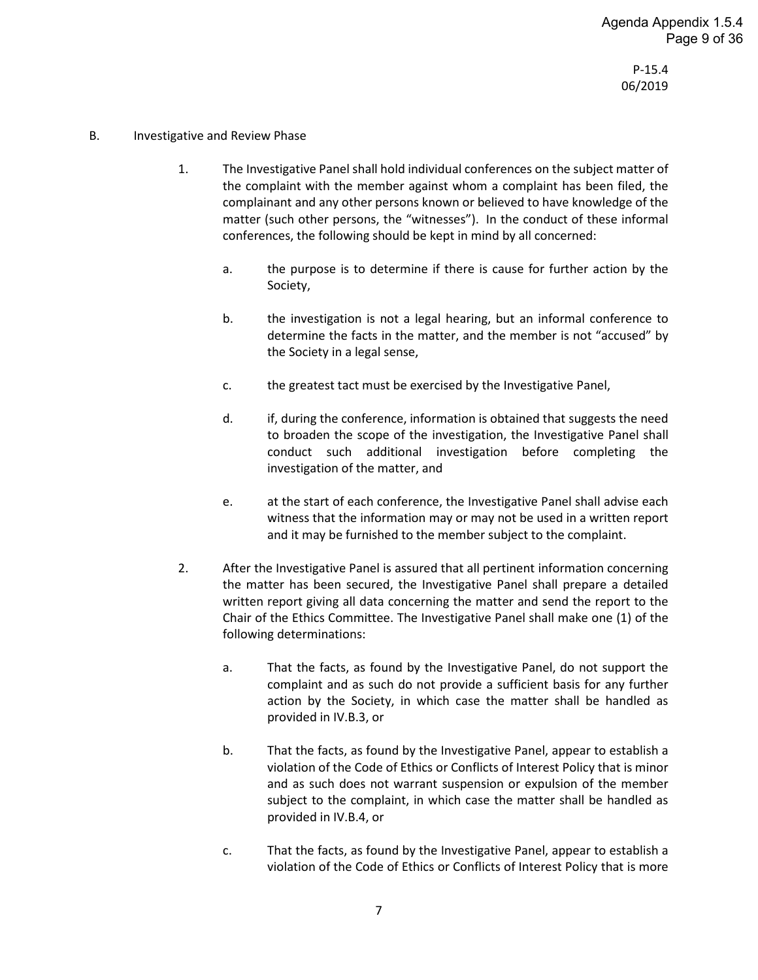consultation with legal counsel) a statement of preliminary charges and the Executive Director shall:

- a. Notify the member subject to the complaint, by certified mail (return receipt requested), that an ethics complaint has been filed,
- b. Include with the notification a copy of the statement of preliminary charges and the following statement:
	- i. That the preliminary charges allege matters to be within the scope of the Code of Ethics or Conflicts of Interest Policy of the Society,
	- ii. That an investigation will be made to determine if the complaint is substantiated by the facts, and
	- iii. That the member is encouraged to submit a written response (of not more than ten (10) double-spaced letter-sized pages in Times New Roman type with a minimum font size of 10) to the complaint within thirty (30) days and to inform the Society of his or her preferred address.
- c. In consultation with the Chair of the Ethics Committee, designate an Investigative Panel of no more than five members from the Society's staff or membership (or both) to conduct an investigation of the matter, and
- d. Provide the Investigative Panel with a copy of the complaint and a copy of the statement of preliminary charges (the complaint and preliminary charges shall not foreclose the Investigative Panel from determining that there may have been violations of provisions of the Code of Ethics or the Conflicts of Interest Policy other than or in addition to those cited in the complaint or the preliminary charges).
- 10. Reasonable expenses incurred by the Investigative Panel shall be paid by the Society.
- 11. In any case in which a complaint or other written or oral submission in connection with the submission, investigation and review of an ethics complaint contains statements or makes omissions that may give rise to an ethics complaint against the individual making the complaint or other submission, the Executive Director shall submit the relevant information to the Secretary of the Society, whose responsibility it shall be to evaluate the information and determine whether to make an ethics complaint in respect of such individual's conduct. This Section IV.A.11 shall not limit the right of any other person to make a complaint in respect of such individual's conduct, provided the person making the complaint has properly obtained the information on which his or her complaint is based.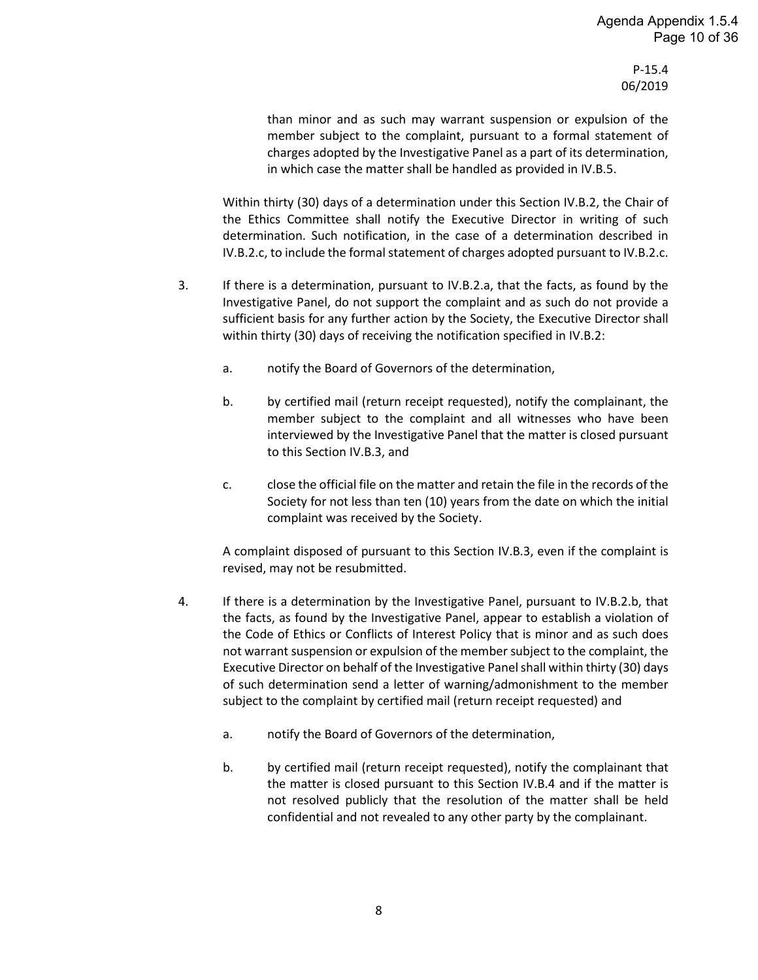- B. Investigative and Review Phase
	- 1. The Investigative Panel shall hold individual conferences on the subject matter of the complaint with the member against whom a complaint has been filed, the complainant and any other persons known or believed to have knowledge of the matter (such other persons, the "witnesses"). In the conduct of these informal conferences, the following should be kept in mind by all concerned:
		- a. the purpose is to determine if there is cause for further action by the Society,
		- b. the investigation is not a legal hearing, but an informal conference to determine the facts in the matter, and the member is not "accused" by the Society in a legal sense,
		- c. the greatest tact must be exercised by the Investigative Panel,
		- d. if, during the conference, information is obtained that suggests the need to broaden the scope of the investigation, the Investigative Panel shall conduct such additional investigation before completing the investigation of the matter, and
		- e. at the start of each conference, the Investigative Panel shall advise each witness that the information may or may not be used in a written report and it may be furnished to the member subject to the complaint.
	- 2. After the Investigative Panel is assured that all pertinent information concerning the matter has been secured, the Investigative Panel shall prepare a detailed written report giving all data concerning the matter and send the report to the Chair of the Ethics Committee. The Investigative Panel shall make one (1) of the following determinations:
		- a. That the facts, as found by the Investigative Panel, do not support the complaint and as such do not provide a sufficient basis for any further action by the Society, in which case the matter shall be handled as provided in IV.B.3, or
		- b. That the facts, as found by the Investigative Panel, appear to establish a violation of the Code of Ethics or Conflicts of Interest Policy that is minor and as such does not warrant suspension or expulsion of the member subject to the complaint, in which case the matter shall be handled as provided in IV.B.4, or
		- c. That the facts, as found by the Investigative Panel, appear to establish a violation of the Code of Ethics or Conflicts of Interest Policy that is more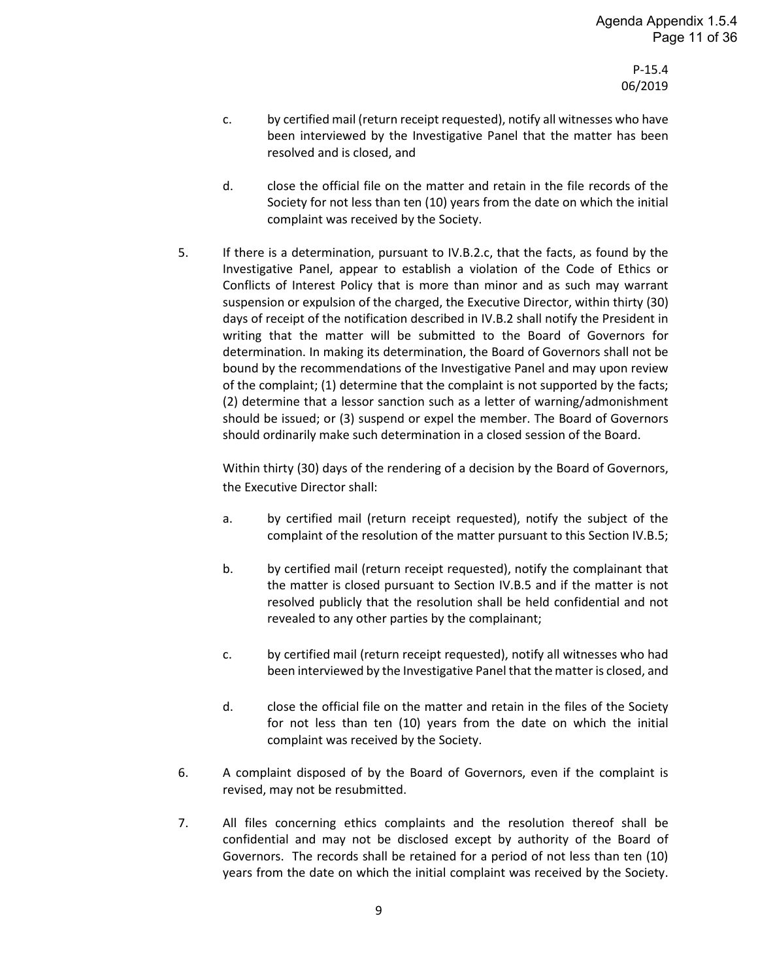than minor and as such may warrant suspension or expulsion of the member subject to the complaint, pursuant to a formal statement of charges adopted by the Investigative Panel as a part of its determination, in which case the matter shall be handled as provided in IV.B.5.

Within thirty (30) days of a determination under this Section IV.B.2, the Chair of the Ethics Committee shall notify the Executive Director in writing of such determination. Such notification, in the case of a determination described in IV.B.2.c, to include the formal statement of charges adopted pursuant to IV.B.2.c.

- 3. If there is a determination, pursuant to IV.B.2.a, that the facts, as found by the Investigative Panel, do not support the complaint and as such do not provide a sufficient basis for any further action by the Society, the Executive Director shall within thirty (30) days of receiving the notification specified in IV.B.2:
	- a. notify the Board of Governors of the determination,
	- b. by certified mail (return receipt requested), notify the complainant, the member subject to the complaint and all witnesses who have been interviewed by the Investigative Panel that the matter is closed pursuant to this Section IV.B.3, and
	- c. close the official file on the matter and retain the file in the records of the Society for not less than ten (10) years from the date on which the initial complaint was received by the Society.

A complaint disposed of pursuant to this Section IV.B.3, even if the complaint is revised, may not be resubmitted.

- 4. If there is a determination by the Investigative Panel, pursuant to IV.B.2.b, that the facts, as found by the Investigative Panel, appear to establish a violation of the Code of Ethics or Conflicts of Interest Policy that is minor and as such does not warrant suspension or expulsion of the member subject to the complaint, the Executive Director on behalf of the Investigative Panelshall within thirty (30) days of such determination send a letter of warning/admonishment to the member subject to the complaint by certified mail (return receipt requested) and
	- a. notify the Board of Governors of the determination,
	- b. by certified mail (return receipt requested), notify the complainant that the matter is closed pursuant to this Section IV.B.4 and if the matter is not resolved publicly that the resolution of the matter shall be held confidential and not revealed to any other party by the complainant.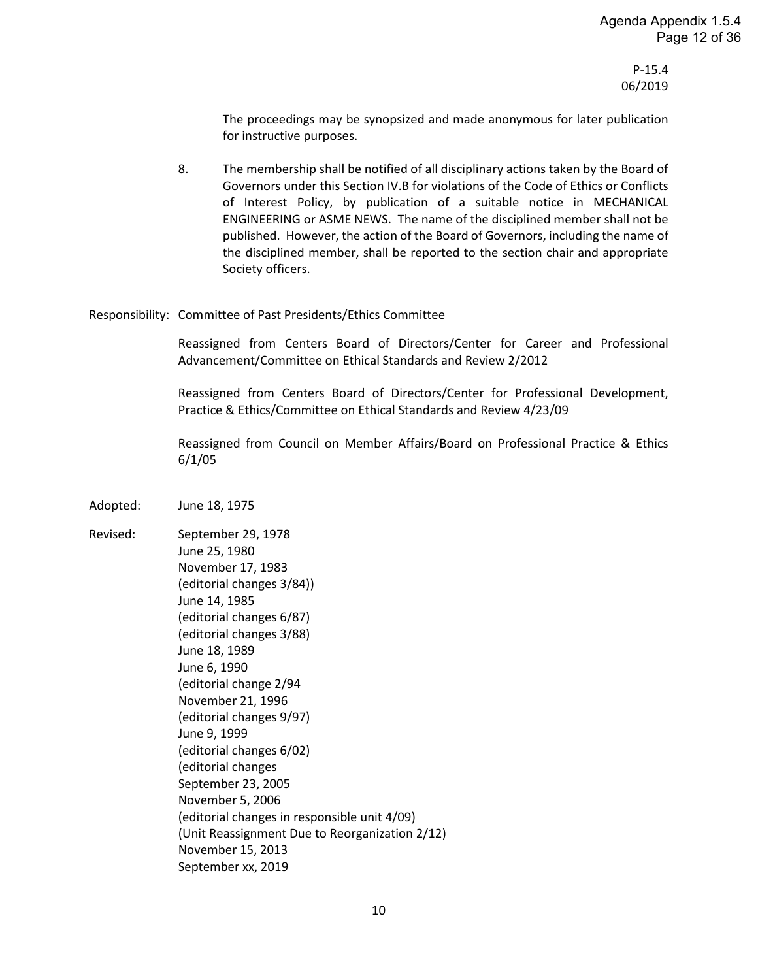- c. by certified mail (return receipt requested), notify all witnesses who have been interviewed by the Investigative Panel that the matter has been resolved and is closed, and
- d. close the official file on the matter and retain in the file records of the Society for not less than ten (10) years from the date on which the initial complaint was received by the Society.
- 5. If there is a determination, pursuant to IV.B.2.c, that the facts, as found by the Investigative Panel, appear to establish a violation of the Code of Ethics or Conflicts of Interest Policy that is more than minor and as such may warrant suspension or expulsion of the charged, the Executive Director, within thirty (30) days of receipt of the notification described in IV.B.2 shall notify the President in writing that the matter will be submitted to the Board of Governors for determination. In making its determination, the Board of Governors shall not be bound by the recommendations of the Investigative Panel and may upon review of the complaint; (1) determine that the complaint is not supported by the facts; (2) determine that a lessor sanction such as a letter of warning/admonishment should be issued; or (3) suspend or expel the member. The Board of Governors should ordinarily make such determination in a closed session of the Board.

Within thirty (30) days of the rendering of a decision by the Board of Governors, the Executive Director shall:

- a. by certified mail (return receipt requested), notify the subject of the complaint of the resolution of the matter pursuant to this Section IV.B.5;
- b. by certified mail (return receipt requested), notify the complainant that the matter is closed pursuant to Section IV.B.5 and if the matter is not resolved publicly that the resolution shall be held confidential and not revealed to any other parties by the complainant;
- c. by certified mail (return receipt requested), notify all witnesses who had been interviewed by the Investigative Panel that the matter is closed, and
- d. close the official file on the matter and retain in the files of the Society for not less than ten (10) years from the date on which the initial complaint was received by the Society.
- 6. A complaint disposed of by the Board of Governors, even if the complaint is revised, may not be resubmitted.
- 7. All files concerning ethics complaints and the resolution thereof shall be confidential and may not be disclosed except by authority of the Board of Governors. The records shall be retained for a period of not less than ten (10) years from the date on which the initial complaint was received by the Society.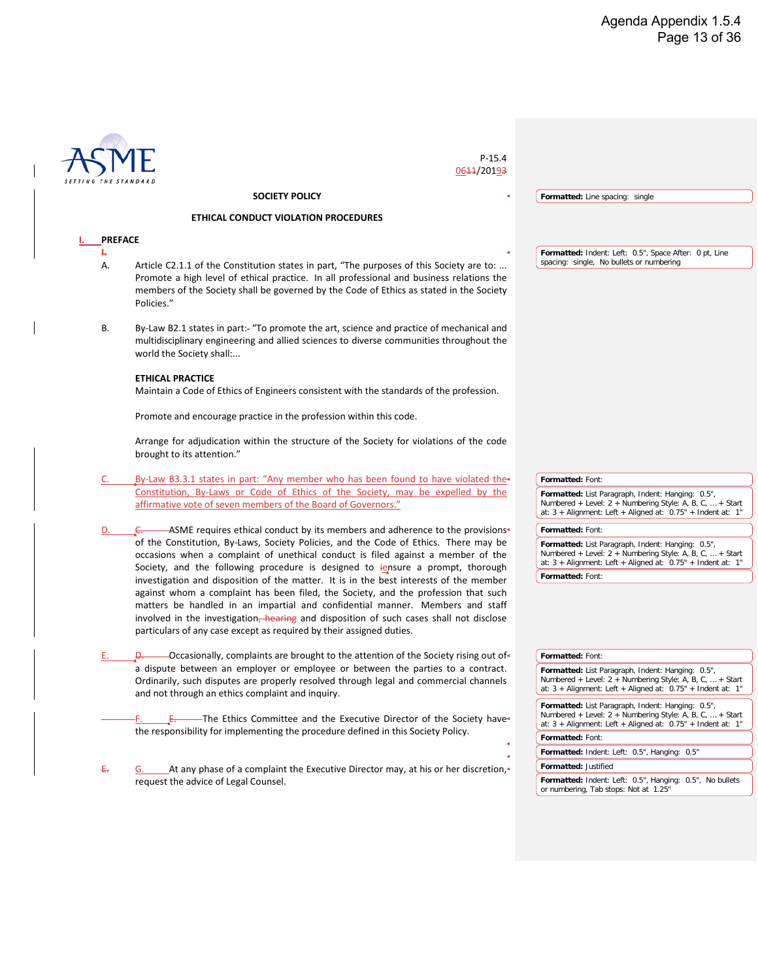The proceedings may be synopsized and made anonymous for later publication for instructive purposes.

8. The membership shall be notified of all disciplinary actions taken by the Board of Governors under this Section IV.B for violations of the Code of Ethics or Conflicts of Interest Policy, by publication of a suitable notice in MECHANICAL ENGINEERING or ASME NEWS. The name of the disciplined member shall not be published. However, the action of the Board of Governors, including the name of the disciplined member, shall be reported to the section chair and appropriate Society officers.

#### Responsibility: Committee of Past Presidents/Ethics Committee

Reassigned from Centers Board of Directors/Center for Career and Professional Advancement/Committee on Ethical Standards and Review 2/2012

Reassigned from Centers Board of Directors/Center for Professional Development, Practice & Ethics/Committee on Ethical Standards and Review 4/23/09

Reassigned from Council on Member Affairs/Board on Professional Practice & Ethics 6/1/05

Adopted: June 18, 1975

Revised: September 29, 1978 June 25, 1980 November 17, 1983 (editorial changes 3/84)) June 14, 1985 (editorial changes 6/87) (editorial changes 3/88) June 18, 1989 June 6, 1990 (editorial change 2/94 November 21, 1996 (editorial changes 9/97) June 9, 1999 (editorial changes 6/02) (editorial changes September 23, 2005 November 5, 2006 (editorial changes in responsible unit 4/09) (Unit Reassignment Due to Reorganization 2/12) November 15, 2013 September xx, 2019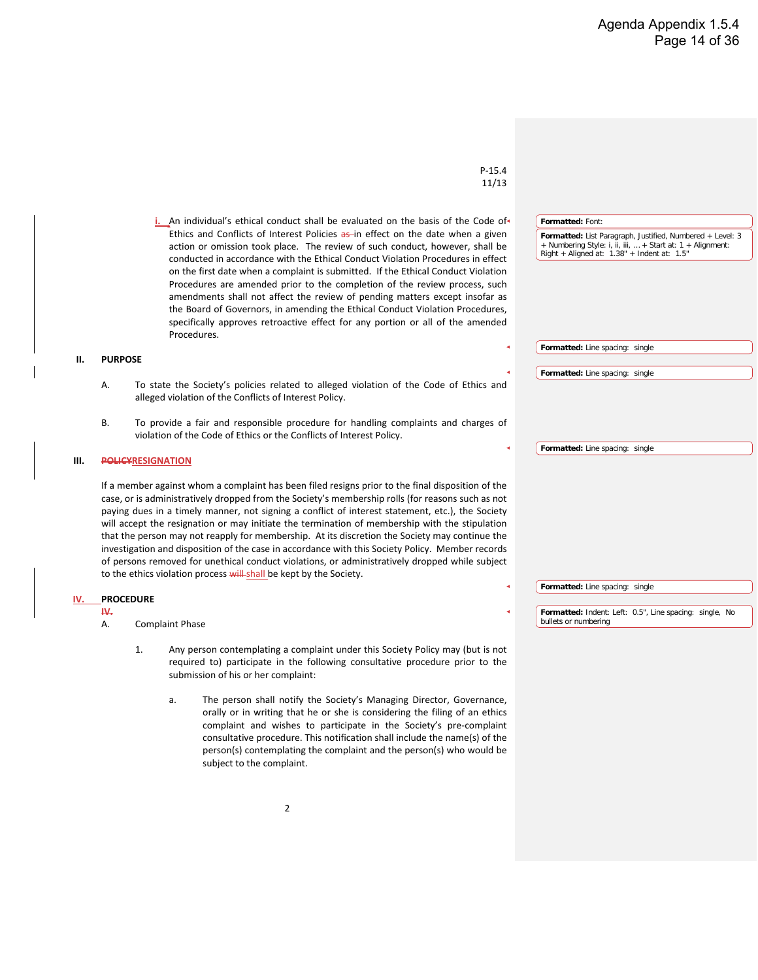|                | $P-15.4$<br>0644/20193                                                                                                                                                                                                                                                                                                                 |                                                                                                                                                                                    |
|----------------|----------------------------------------------------------------------------------------------------------------------------------------------------------------------------------------------------------------------------------------------------------------------------------------------------------------------------------------|------------------------------------------------------------------------------------------------------------------------------------------------------------------------------------|
|                | <b>SOCIETY POLICY</b>                                                                                                                                                                                                                                                                                                                  | Formatted: Line spacing: single                                                                                                                                                    |
|                | ETHICAL CONDUCT VIOLATION PROCEDURES                                                                                                                                                                                                                                                                                                   |                                                                                                                                                                                    |
| <b>PREFACE</b> |                                                                                                                                                                                                                                                                                                                                        |                                                                                                                                                                                    |
| ÷.<br>А.       | Article C2.1.1 of the Constitution states in part, "The purposes of this Society are to:<br>Promote a high level of ethical practice. In all professional and business relations the<br>members of the Society shall be governed by the Code of Ethics as stated in the Society<br>Policies."                                          | Formatted: Indent: Left: 0.5", Space After: 0 pt, Line<br>spacing: single, No bullets or numbering                                                                                 |
| В.             | By-Law B2.1 states in part:- "To promote the art, science and practice of mechanical and<br>multidisciplinary engineering and allied sciences to diverse communities throughout the<br>world the Society shall:                                                                                                                        |                                                                                                                                                                                    |
|                | <b>ETHICAL PRACTICE</b><br>Maintain a Code of Ethics of Engineers consistent with the standards of the profession.                                                                                                                                                                                                                     |                                                                                                                                                                                    |
|                | Promote and encourage practice in the profession within this code.<br>Arrange for adjudication within the structure of the Society for violations of the code<br>brought to its attention."                                                                                                                                            |                                                                                                                                                                                    |
|                | By-Law B3.3.1 states in part: "Any member who has been found to have violated the                                                                                                                                                                                                                                                      | Formatted: Font:                                                                                                                                                                   |
|                | Constitution, By-Laws or Code of Ethics of the Society, may be expelled by the<br>affirmative vote of seven members of the Board of Governors."                                                                                                                                                                                        | Formatted: List Paragraph, Indent: Hanging: 0.5",<br>Numbered + Level: 2 + Numbering Style: A, B, C,  + Start<br>at: 3 + Alignment: Left + Aligned at: 0.75" + Indent at: 1"       |
|                | -ASME requires ethical conduct by its members and adherence to the provisions+                                                                                                                                                                                                                                                         | Formatted: Font:                                                                                                                                                                   |
|                | of the Constitution, By-Laws, Society Policies, and the Code of Ethics. There may be<br>occasions when a complaint of unethical conduct is filed against a member of the<br>Society, and the following procedure is designed to iensure a prompt, thorough                                                                             | Formatted: List Paragraph, Indent: Hanging: 0.5",<br>Numbered + Level: 2 + Numbering Style: A, B, C,  + Start<br>at: $3 +$ Alignment: Left + Aligned at: $0.75"$ + Indent at: 1"   |
|                | investigation and disposition of the matter. It is in the best interests of the member                                                                                                                                                                                                                                                 | Formatted: Font:                                                                                                                                                                   |
|                | against whom a complaint has been filed, the Society, and the profession that such<br>matters be handled in an impartial and confidential manner. Members and staff<br>involved in the investigation, hearing and disposition of such cases shall not disclose<br>particulars of any case except as required by their assigned duties. |                                                                                                                                                                                    |
|                | -Occasionally, complaints are brought to the attention of the Society rising out of $\triangleleft$                                                                                                                                                                                                                                    | Formatted: Font:                                                                                                                                                                   |
|                | a dispute between an employer or employee or between the parties to a contract.<br>Ordinarily, such disputes are properly resolved through legal and commercial channels<br>and not through an ethics complaint and inquiry.                                                                                                           | Formatted: List Paragraph, Indent: Hanging: 0.5",<br>Numbered + Level: 2 + Numbering Style: A, B, C,  + Start<br>at: 3 + Alignment: Left + Aligned at: 0.75" + Indent at: 1"       |
|                | -The Ethics Committee and the Executive Director of the Society have $\hspace{-.07cm}\cdot\hspace{-.07cm}$<br>the responsibility for implementing the procedure defined in this Society Policy.                                                                                                                                        | Formatted: List Paragraph, Indent: Hanging: 0.5",<br>Numbered + Level: $2 +$ Numbering Style: A, B, C,  + Start<br>at: $3 +$ Alignment: Left + Aligned at: $0.75"$ + Indent at: 1" |
|                |                                                                                                                                                                                                                                                                                                                                        | Formatted: Font:                                                                                                                                                                   |
|                |                                                                                                                                                                                                                                                                                                                                        | Formatted: Indent: Left: 0.5", Hanging: 0.5"                                                                                                                                       |
| €.             | At any phase of a complaint the Executive Director may, at his or her discretion.<br>request the advice of Legal Counsel.                                                                                                                                                                                                              | Formatted: Justified<br>Formatted: Indent: Left: 0.5", Hanging: 0.5", No bullets<br>or numbering, Tab stops: Not at 1.25"                                                          |

 $\overline{\mathbf{I}}$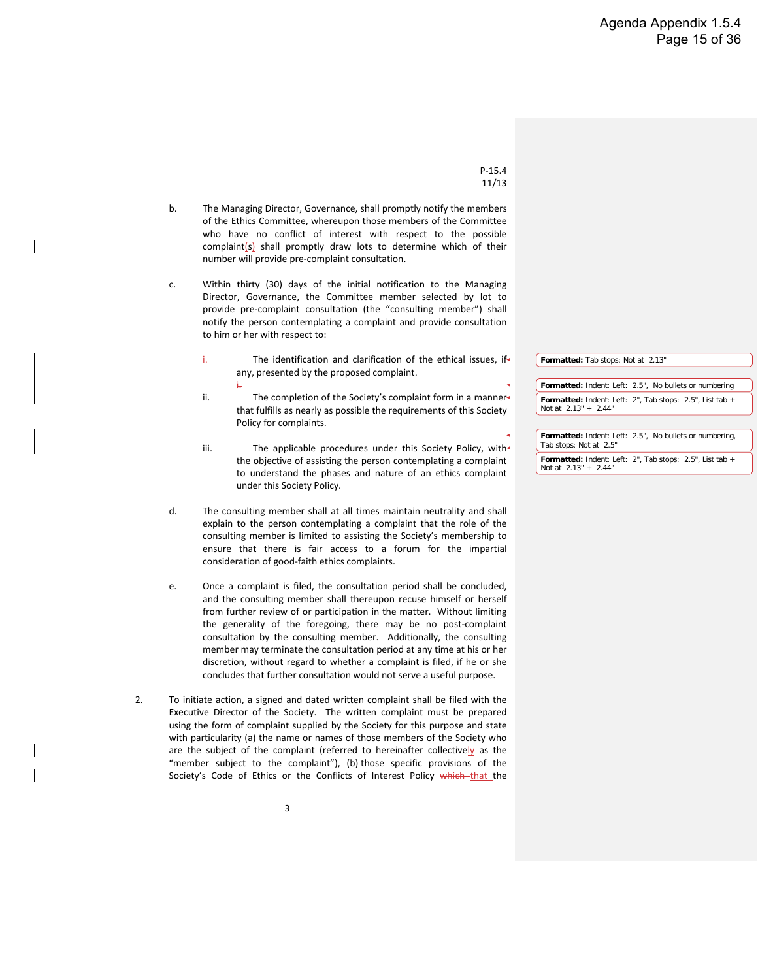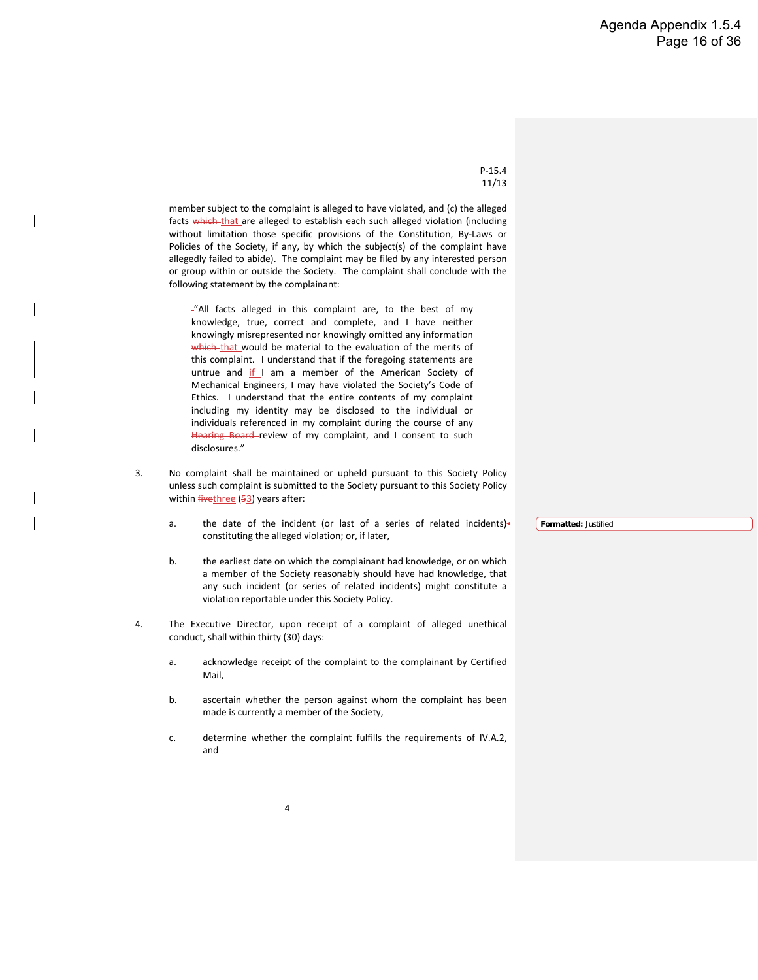- b. The Managing Director, Governance, shall promptly notify the members of the Ethics Committee, whereupon those members of the Committee who have no conflict of interest with respect to the possible complaint(s) shall promptly draw lots to determine which of their number will provide pre-complaint consultation.
- c. Within thirty (30) days of the initial notification to the Managing Director, Governance, the Committee member selected by lot to provide pre-complaint consultation (the "consulting member") shall notify the person contemplating a complaint and provide consultation to him or her with respect to:
	- -The identification and clarification of the ethical issues, if any, presented by the proposed complaint.
	- i. ii. - The completion of the Society's complaint form in a mannerthat fulfills as nearly as possible the requirements of this Society Policy for complaints.
	- iii.  $\overline{\phantom{a}}$  The applicable procedures under this Society Policy, with the objective of assisting the person contemplating a complaint to understand the phases and nature of an ethics complaint under this Society Policy.
- d. The consulting member shall at all times maintain neutrality and shall explain to the person contemplating a complaint that the role of the consulting member is limited to assisting the Society's membership to ensure that there is fair access to a forum for the impartial consideration of good-faith ethics complaints.
- e. Once a complaint is filed, the consultation period shall be concluded, and the consulting member shall thereupon recuse himself or herself from further review of or participation in the matter. Without limiting the generality of the foregoing, there may be no post-complaint consultation by the consulting member. Additionally, the consulting member may terminate the consultation period at any time at his or her discretion, without regard to whether a complaint is filed, if he or she concludes that further consultation would not serve a useful purpose.
- 2. To initiate action, a signed and dated written complaint shall be filed with the Executive Director of the Society. The written complaint must be prepared using the form of complaint supplied by the Society for this purpose and state with particularity (a) the name or names of those members of the Society who are the subject of the complaint (referred to hereinafter collectively as the "member subject to the complaint"), (b) those specific provisions of the Society's Code of Ethics or the Conflicts of Interest Policy which-that the

![](_page_17_Figure_10.jpeg)

![](_page_17_Figure_11.jpeg)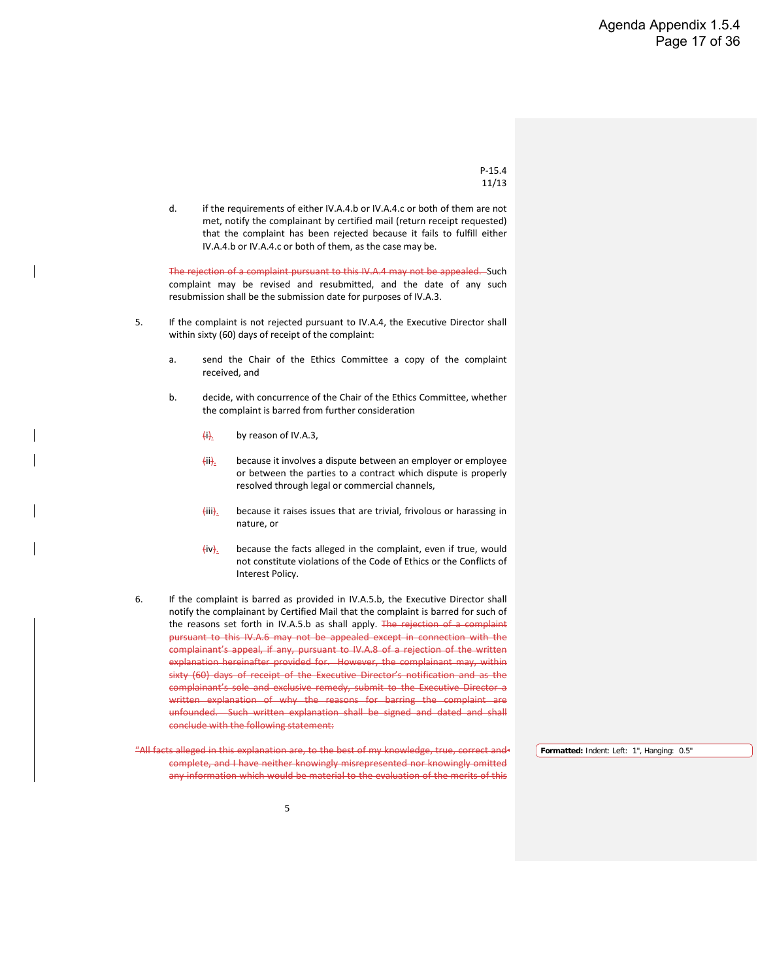member subject to the complaint is alleged to have violated, and (c) the alleged facts which that are alleged to establish each such alleged violation (including without limitation those specific provisions of the Constitution, By-Laws or Policies of the Society, if any, by which the subject(s) of the complaint have allegedly failed to abide). The complaint may be filed by any interested person or group within or outside the Society. The complaint shall conclude with the following statement by the complainant:

"All facts alleged in this complaint are, to the best of my knowledge, true, correct and complete, and I have neither knowingly misrepresented nor knowingly omitted any information which-that would be material to the evaluation of the merits of this complaint. - I understand that if the foregoing statements are untrue and if I am a member of the American Society of Mechanical Engineers, I may have violated the Society's Code of Ethics.  $-1$  understand that the entire contents of my complaint including my identity may be disclosed to the individual or individuals referenced in my complaint during the course of any Hearing Board review of my complaint, and I consent to such disclosures."

- 3. No complaint shall be maintained or upheld pursuant to this Society Policy unless such complaint is submitted to the Society pursuant to this Society Policy within *fivethree* (53) years after:
	- a. the date of the incident (or last of a series of related incidents) constituting the alleged violation; or, if later,
	- b. the earliest date on which the complainant had knowledge, or on which a member of the Society reasonably should have had knowledge, that any such incident (or series of related incidents) might constitute a violation reportable under this Society Policy.
- 4. The Executive Director, upon receipt of a complaint of alleged unethical conduct, shall within thirty (30) days:
	- a. acknowledge receipt of the complaint to the complainant by Certified Mail,
	- b. ascertain whether the person against whom the complaint has been made is currently a member of the Society,
	- c. determine whether the complaint fulfills the requirements of IV.A.2, and

**Formatted:** Justified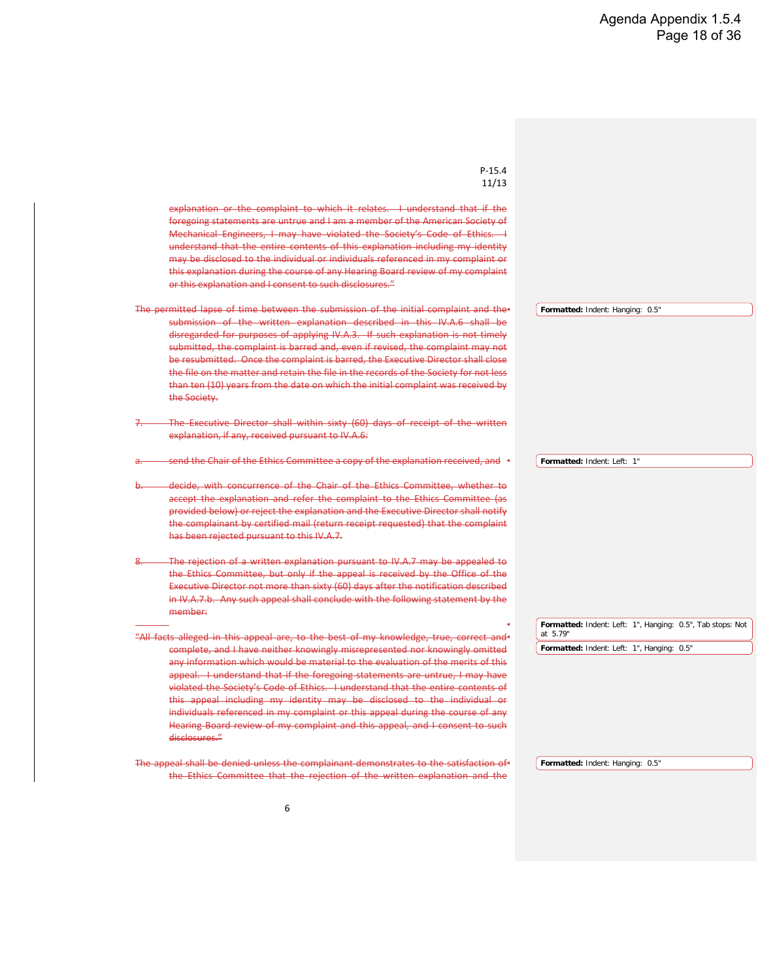d. if the requirements of either IV.A.4.b or IV.A.4.c or both of them are not met, notify the complainant by certified mail (return receipt requested) that the complaint has been rejected because it fails to fulfill either IV.A.4.b or IV.A.4.c or both of them, as the case may be.

The rejection of a complaint pursuant to this IV.A.4 may not be appealed. Such complaint may be revised and resubmitted, and the date of any such resubmission shall be the submission date for purposes of IV.A.3.

- 5. If the complaint is not rejected pursuant to IV.A.4, the Executive Director shall within sixty (60) days of receipt of the complaint:
	- a. send the Chair of the Ethics Committee a copy of the complaint received, and
	- b. decide, with concurrence of the Chair of the Ethics Committee, whether the complaint is barred from further consideration
		- $(i)$ . by reason of IV.A.3,
		- (ii). because it involves a dispute between an employer or employee or between the parties to a contract which dispute is properly resolved through legal or commercial channels,
		- $\overline{\text{fiii}}_2$  because it raises issues that are trivial, frivolous or harassing in nature, or
		- (iv). because the facts alleged in the complaint, even if true, would not constitute violations of the Code of Ethics or the Conflicts of Interest Policy.
- 6. If the complaint is barred as provided in IV.A.5.b, the Executive Director shall notify the complainant by Certified Mail that the complaint is barred for such of the reasons set forth in IV.A.5.b as shall apply. The rejection of a complaint pursuant to this IV.A.6 may not be appealed except in connection with the complainant's appeal, if any, pursuant to IV.A.8 of a rejection of the written explanation hereinafter provided for. However, the complainant may, within sixty (60) days of receipt of the Executive Director's notification and as the complainant's sole and exclusive remedy, submit to the Executive Director a written explanation of why the reasons for barring the complaint are unfounded. Such written explanation shall be signed and dated and shall conclude with the following statement:
- "All facts alleged in this explanation are, to the best of my knowledge, true, correct and+ complete, and I have neither knowingly misrepresented nor knowingly omitted any information which would be material to the evaluation of the merits of this **Formatted:** Indent: Left: 1", Hanging: 0.5"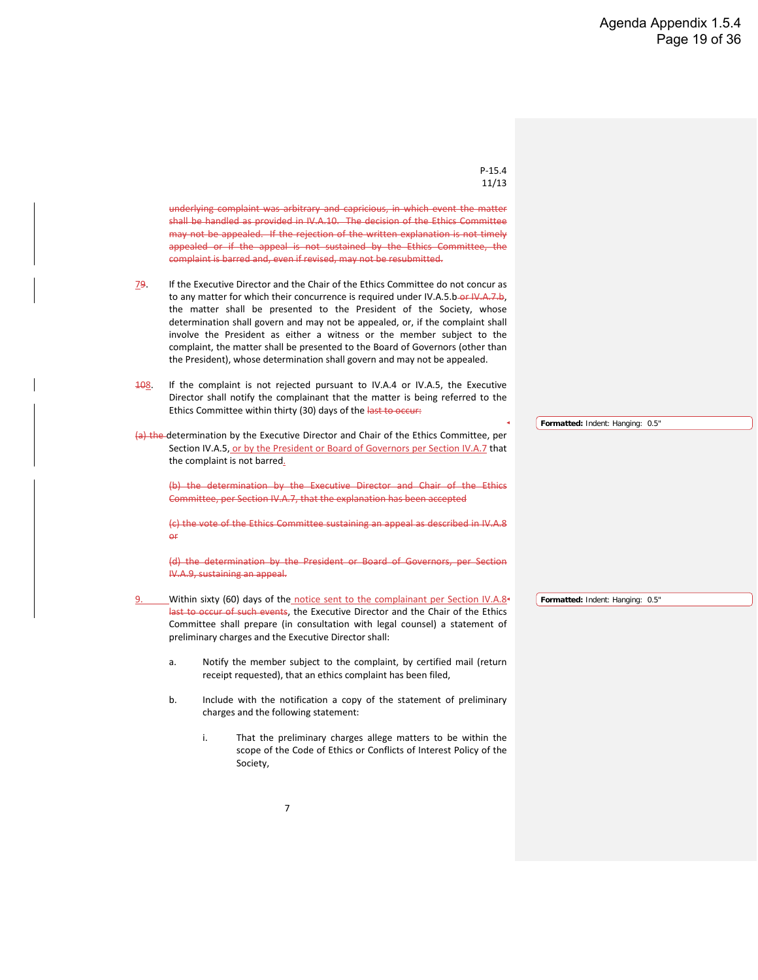| $P-15.4$<br>11/13                                                                                                                                                                                                                                                                                                                                                                                                                                                                                                                                                                                                                                                                       |                                                                        |
|-----------------------------------------------------------------------------------------------------------------------------------------------------------------------------------------------------------------------------------------------------------------------------------------------------------------------------------------------------------------------------------------------------------------------------------------------------------------------------------------------------------------------------------------------------------------------------------------------------------------------------------------------------------------------------------------|------------------------------------------------------------------------|
| explanation or the complaint to which it relates.<br>+ understand that if the<br>foregoing statements are untrue and I am a member of the American Society of<br>Mechanical Engineers, I may have violated the Society's Code of Ethics. -<br>understand that the entire contents of this explanation including my identity<br>may be disclosed to the individual or individuals referenced in my complaint or<br>this explanation during the course of any Hearing Board review of my complaint<br>or this explanation and I consent to such disclosures."                                                                                                                             |                                                                        |
| The permitted lapse of time between the submission of the initial complaint and the<br>submission of the written explanation described in this IV.A.6 shall be<br>disregarded for purposes of applying IV.A.3. If such explanation is not timely<br>submitted, the complaint is barred and, even if revised, the complaint may not<br>be resubmitted. Once the complaint is barred, the Executive Director shall close<br>the file on the matter and retain the file in the records of the Society for not less<br>than ten (10) years from the date on which the initial complaint was received by<br>the Society.                                                                     | Formatted: Indent: Hanging: 0.5"                                       |
| The Executive Director shall within sixty (60) days of receipt of the written<br>explanation, if any, received pursuant to IV.A.6:                                                                                                                                                                                                                                                                                                                                                                                                                                                                                                                                                      |                                                                        |
| send the Chair of the Ethics Committee a copy of the explanation received, and                                                                                                                                                                                                                                                                                                                                                                                                                                                                                                                                                                                                          | Formatted: Indent: Left: 1"                                            |
| decide, with concurrence of the Chair of the Ethics Committee, whether to<br>accept the explanation and refer the complaint to the Ethics Committee (as<br>provided below) or reject the explanation and the Executive Director shall notify<br>the complainant by certified mail (return receipt requested) that the complaint<br>has been rejected pursuant to this IV.A.7.                                                                                                                                                                                                                                                                                                           |                                                                        |
| The rejection of a written explanation pursuant to IV.A.7 may be appealed to<br>the Ethics Committee, but only if the appeal is received by the Office of the<br>Executive Director not more than sixty (60) days after the notification described<br>in IV.A.7.b. Any such appeal shall conclude with the following statement by the<br>member:                                                                                                                                                                                                                                                                                                                                        |                                                                        |
|                                                                                                                                                                                                                                                                                                                                                                                                                                                                                                                                                                                                                                                                                         | Formatted: Indent: Left: 1", Hanging: 0.5", Tab stops: Not<br>at 5.79" |
| "All facts alleged in this appeal are, to the best of my knowledge, true, correct and<br>complete, and I have neither knowingly misrepresented nor knowingly omitted<br>any information which would be material to the evaluation of the merits of this<br>appeal. I understand that if the foregoing statements are untrue. I may have<br>violated the Society's Code of Ethics. I understand that the entire contents of<br>this appeal including my identity may be disclosed to the individual or<br>individuals referenced in my complaint or this appeal during the course of any<br>Hearing Board review of my complaint and this appeal, and I consent to such<br>disclosures." | Formatted: Indent: Left: 1", Hanging: 0.5"                             |
| The appeal shall be denied unless the complainant demonstrates to the satisfaction of<br>the Ethics Committee that the rejection of the written explanation and the                                                                                                                                                                                                                                                                                                                                                                                                                                                                                                                     | Formatted: Indent: Hanging: 0.5"                                       |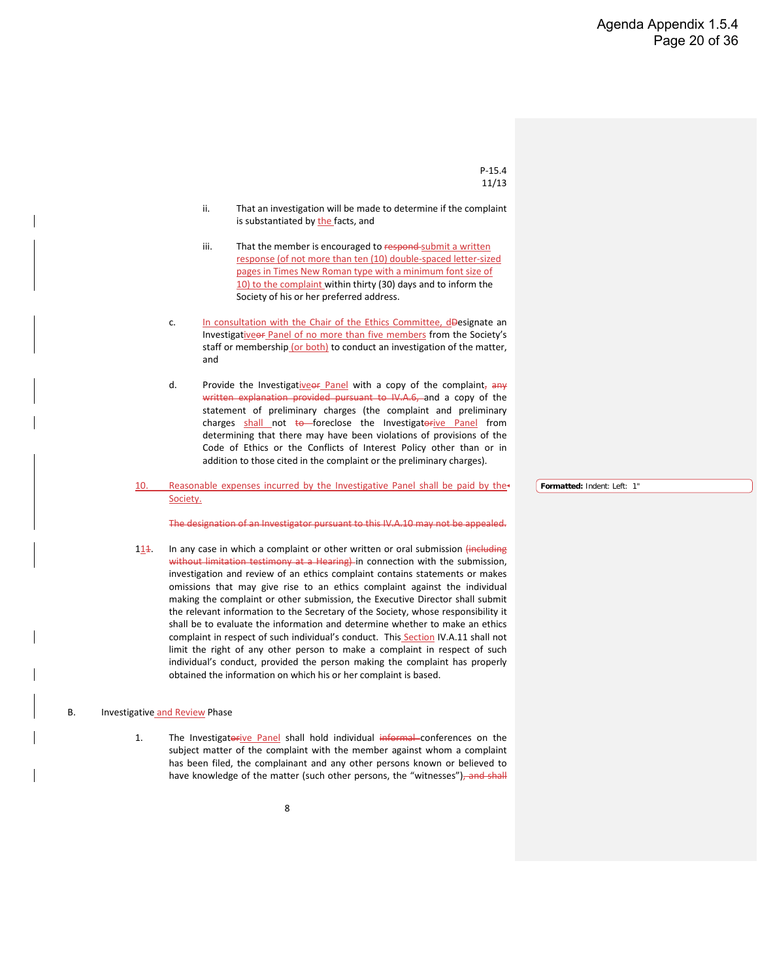P-15.4 11/13 underlying complaint was arbitrary and capricious, in which event the matter shall be handled as provided in IV.A.10. The decision of the Ethics Committee may not be appealed. If the rejection of the written explanation is not timely appealed or if the appeal is not sustained by the Ethics Committee, the complaint is barred and, even if revised, may not be resubmitted.  $79.$  If the Executive Director and the Chair of the Ethics Committee do not concur as to any matter for which their concurrence is required under IV.A.5.b-or IV.A.7.b, the matter shall be presented to the President of the Society, whose determination shall govern and may not be appealed, or, if the complaint shall involve the President as either a witness or the member subject to the complaint, the matter shall be presented to the Board of Governors (other than the President), whose determination shall govern and may not be appealed. 108. If the complaint is not rejected pursuant to IV.A.4 or IV.A.5, the Executive Director shall notify the complainant that the matter is being referred to the Ethics Committee within thirty (30) days of the last to occur: (a) the determination by the Executive Director and Chair of the Ethics Committee, per Section IV.A.5, or by the President or Board of Governors per Section IV.A.7 that the complaint is not barred. (b) the determination by the Executive Director and Chair of the Ethics Committee, per Section IV.A.7, that the explanation has been accepted (c) the vote of the Ethics Committee sustaining an appeal as described in IV.A.8 or (d) the determination by the President or Board of Governors, per Section IV.A.9, sustaining an appeal. Within sixty (60) days of the notice sent to the complainant per Section IV.A.8<sup>+</sup> last to occur of such events, the Executive Director and the Chair of the Ethics Committee shall prepare (in consultation with legal counsel) a statement of preliminary charges and the Executive Director shall: a. Notify the member subject to the complaint, by certified mail (return receipt requested), that an ethics complaint has been filed, b. Include with the notification a copy of the statement of preliminary charges and the following statement: i. That the preliminary charges allege matters to be within the scope of the Code of Ethics or Conflicts of Interest Policy of the Society, **Formatted:** Indent: Hanging: 0.5" **Formatted:** Indent: Hanging: 0.5"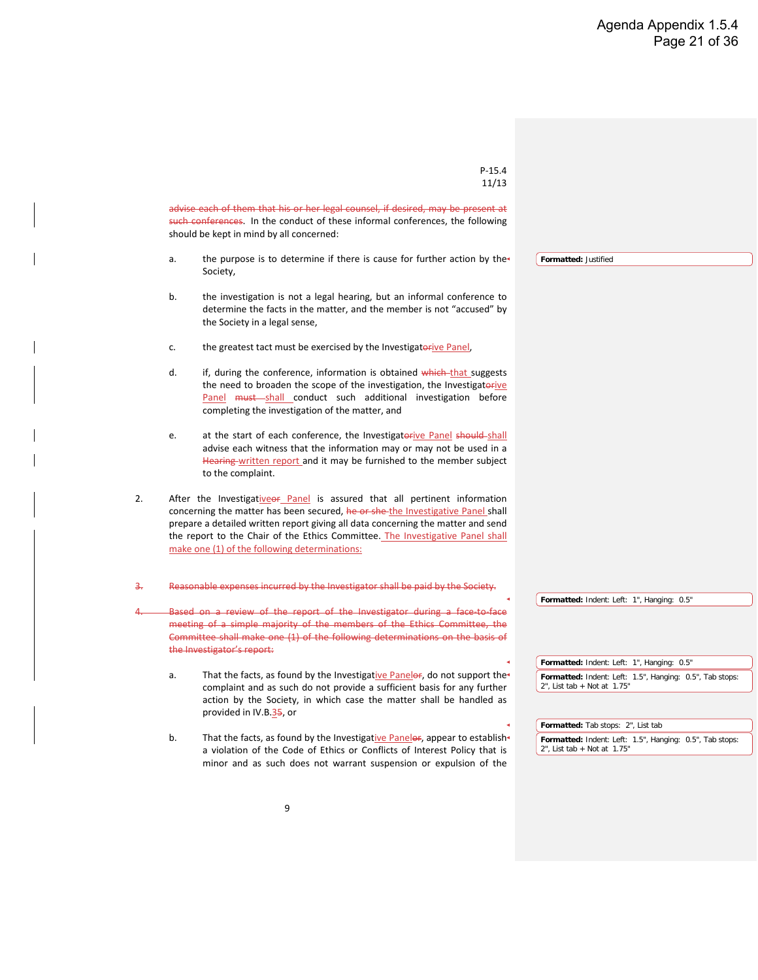- ii. That an investigation will be made to determine if the complaint is substantiated by the facts, and
- iii. That the member is encouraged to respond-submit a written response (of not more than ten (10) double-spaced letter-sized pages in Times New Roman type with a minimum font size of 10) to the complaint within thirty (30) days and to inform the Society of his or her preferred address.
- c. In consultation with the Chair of the Ethics Committee, dDesignate an Investigativeor Panel of no more than five members from the Society's staff or membership (or both) to conduct an investigation of the matter, and
- d. Provide the Investigative of Panel with a copy of the complaint,  $\frac{dy}{dx}$ written explanation provided pursuant to IV.A.6, and a copy of the statement of preliminary charges (the complaint and preliminary charges shall not to foreclose the Investigatorive Panel from determining that there may have been violations of provisions of the Code of Ethics or the Conflicts of Interest Policy other than or in addition to those cited in the complaint or the preliminary charges).
- 10. Reasonable expenses incurred by the Investigative Panel shall be paid by the Society.

**Formatted:** Indent: Left: 1"

The designation of an Investigator pursuant to this IV.A.10 may not be appealed.

114. In any case in which a complaint or other written or oral submission (including without limitation testimony at a Hearing) in connection with the submission, investigation and review of an ethics complaint contains statements or makes omissions that may give rise to an ethics complaint against the individual making the complaint or other submission, the Executive Director shall submit the relevant information to the Secretary of the Society, whose responsibility it shall be to evaluate the information and determine whether to make an ethics complaint in respect of such individual's conduct. This Section IV.A.11 shall not limit the right of any other person to make a complaint in respect of such individual's conduct, provided the person making the complaint has properly obtained the information on which his or her complaint is based.

#### B. Investigative and Review Phase

1. The Investigatorive Panel shall hold individual informal conferences on the subject matter of the complaint with the member against whom a complaint has been filed, the complainant and any other persons known or believed to have knowledge of the matter (such other persons, the "witnesses")<del>, and shall</del>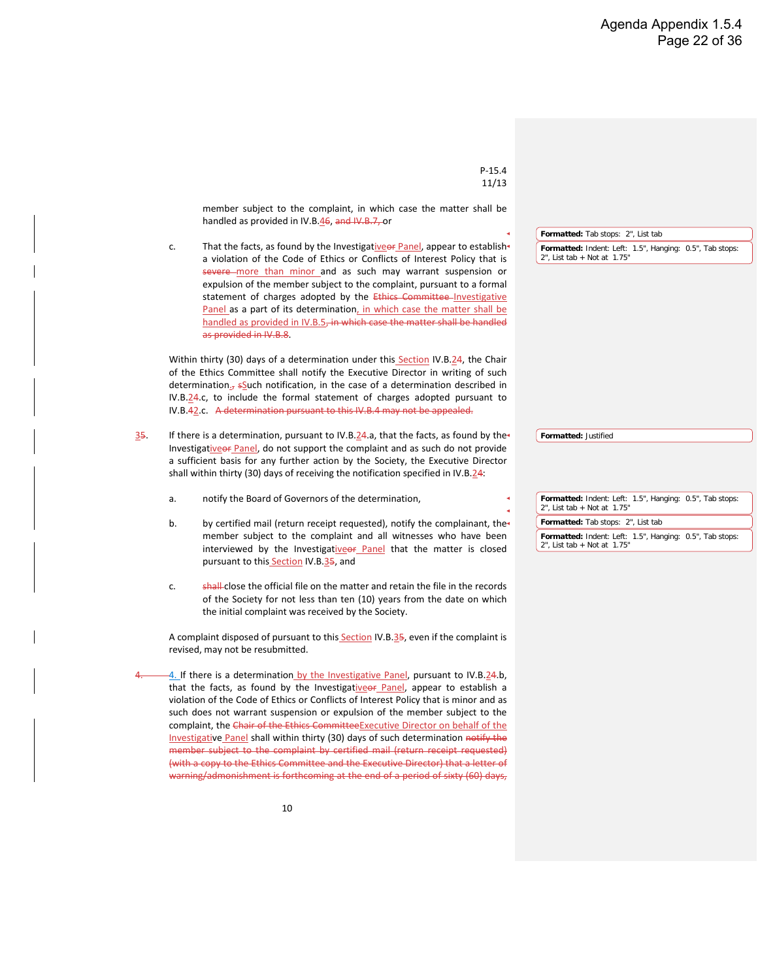|    | $P-15.4$<br>11/13                                                                                                                                                                                                                                                                                                                                                                   |                                                                                                                                          |
|----|-------------------------------------------------------------------------------------------------------------------------------------------------------------------------------------------------------------------------------------------------------------------------------------------------------------------------------------------------------------------------------------|------------------------------------------------------------------------------------------------------------------------------------------|
|    | advise each of them that his or her legal counsel, if desired, may be present at<br>such conferences. In the conduct of these informal conferences, the following                                                                                                                                                                                                                   |                                                                                                                                          |
|    | should be kept in mind by all concerned:                                                                                                                                                                                                                                                                                                                                            |                                                                                                                                          |
| a. | the purpose is to determine if there is cause for further action by the<br>Society,                                                                                                                                                                                                                                                                                                 | Formatted: Justified                                                                                                                     |
| b. | the investigation is not a legal hearing, but an informal conference to<br>determine the facts in the matter, and the member is not "accused" by<br>the Society in a legal sense,                                                                                                                                                                                                   |                                                                                                                                          |
| c. | the greatest tact must be exercised by the Investigatorive Panel,                                                                                                                                                                                                                                                                                                                   |                                                                                                                                          |
| d. | if, during the conference, information is obtained which-that suggests<br>the need to broaden the scope of the investigation, the Investigatorive<br>Panel must shall conduct such additional investigation before<br>completing the investigation of the matter, and                                                                                                               |                                                                                                                                          |
| e. | at the start of each conference, the Investigatorive Panel should shall<br>advise each witness that the information may or may not be used in a<br>Hearing-written report and it may be furnished to the member subject<br>to the complaint.                                                                                                                                        |                                                                                                                                          |
| 2. | After the Investigativeer Panel is assured that all pertinent information<br>concerning the matter has been secured, he or she-the Investigative Panel shall<br>prepare a detailed written report giving all data concerning the matter and send<br>the report to the Chair of the Ethics Committee. The Investigative Panel shall<br>make one (1) of the following determinations: |                                                                                                                                          |
| з. | Reasonable expenses incurred by the Investigator shall be paid by the Society.                                                                                                                                                                                                                                                                                                      |                                                                                                                                          |
|    | Based on a review of the report of the Investigator during a face-to-face<br>meeting of a simple majority of the members of the Ethics Committee, the<br>Committee shall make one (1) of the following determinations on the basis of<br>the Investigator's report:                                                                                                                 | Formatted: Indent: Left: 1", Hanging: 0.5"                                                                                               |
| a. | That the facts, as found by the Investigative Panelor, do not support the<br>complaint and as such do not provide a sufficient basis for any further<br>action by the Society, in which case the matter shall be handled as<br>provided in IV.B.35, or                                                                                                                              | Formatted: Indent: Left: 1", Hanging: 0.5"<br>Formatted: Indent: Left: 1.5", Hanging: 0.5", Tab stops:<br>$2$ ", List tab + Not at 1.75" |
| b. | That the facts, as found by the Investigative Panelor, appear to establish<br>a violation of the Code of Ethics or Conflicts of Interest Policy that is<br>minor and as such does not warrant suspension or expulsion of the                                                                                                                                                        | Formatted: Tab stops: 2", List tab<br>Formatted: Indent: Left: 1.5", Hanging: 0.5", Tab stops:<br>$2$ ", List tab + Not at 1.75"         |

 $\overline{\phantom{a}}$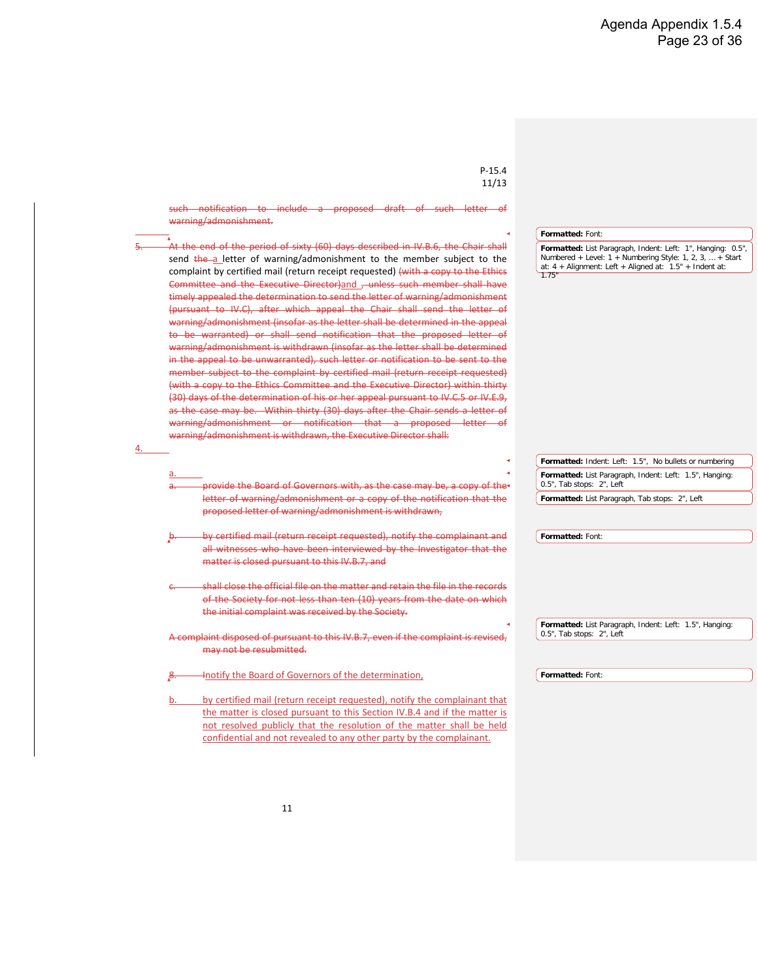|    | $P-15.4$<br>11/13                                                                                                                                                              |                                                                                               |  |
|----|--------------------------------------------------------------------------------------------------------------------------------------------------------------------------------|-----------------------------------------------------------------------------------------------|--|
|    |                                                                                                                                                                                |                                                                                               |  |
|    | member subject to the complaint, in which case the matter shall be<br>handled as provided in IV.B.46, and IV.B.7, or                                                           |                                                                                               |  |
| c. | That the facts, as found by the Investigative of Panel, appear to establish                                                                                                    | Formatted: Tab stops: 2", List tab                                                            |  |
|    | a violation of the Code of Ethics or Conflicts of Interest Policy that is                                                                                                      | Formatted: Indent: Left: 1.5", Hanging: 0.5", Tab stops:<br>2", List tab + Not at 1.75"       |  |
|    | severe more than minor and as such may warrant suspension or                                                                                                                   |                                                                                               |  |
|    | expulsion of the member subject to the complaint, pursuant to a formal<br>statement of charges adopted by the Ethics Committee-Investigative                                   |                                                                                               |  |
|    | Panel as a part of its determination, in which case the matter shall be                                                                                                        |                                                                                               |  |
|    | handled as provided in IV.B.5, in which case the matter shall be handled                                                                                                       |                                                                                               |  |
|    | as provided in IV.B.8.                                                                                                                                                         |                                                                                               |  |
|    | Within thirty (30) days of a determination under this Section IV.B.24, the Chair                                                                                               |                                                                                               |  |
|    | of the Ethics Committee shall notify the Executive Director in writing of such<br>determination <sub>J</sub> , south notification, in the case of a determination described in |                                                                                               |  |
|    | IV.B.24.c, to include the formal statement of charges adopted pursuant to                                                                                                      |                                                                                               |  |
|    | IV.B.42.c. A determination pursuant to this IV.B.4 may not be appealed.                                                                                                        |                                                                                               |  |
|    | If there is a determination, pursuant to IV.B.24.a, that the facts, as found by the                                                                                            | Formatted: Justified                                                                          |  |
|    | Investigative of Panel, do not support the complaint and as such do not provide                                                                                                |                                                                                               |  |
|    | a sufficient basis for any further action by the Society, the Executive Director                                                                                               |                                                                                               |  |
|    | shall within thirty (30) days of receiving the notification specified in IV.B. $24$ :                                                                                          |                                                                                               |  |
| a. | notify the Board of Governors of the determination,                                                                                                                            | Formatted: Indent: Left: 1.5", Hanging: 0.5", Tab stops:<br>$2$ ", List tab + Not at $1.75$ " |  |
| b. | by certified mail (return receipt requested), notify the complainant, the                                                                                                      | Formatted: Tab stops: 2", List tab                                                            |  |
|    | member subject to the complaint and all witnesses who have been                                                                                                                | Formatted: Indent: Left: 1.5", Hanging: 0.5", Tab stops:<br>$2"$ , List tab + Not at 1.75"    |  |
|    | interviewed by the Investigative of Panel that the matter is closed<br>pursuant to this Section IV.B.35, and                                                                   |                                                                                               |  |
|    |                                                                                                                                                                                |                                                                                               |  |
| c. | shall-close the official file on the matter and retain the file in the records<br>of the Society for not less than ten (10) years from the date on which                       |                                                                                               |  |
|    | the initial complaint was received by the Society.                                                                                                                             |                                                                                               |  |
|    | A complaint disposed of pursuant to this Section IV.B.35, even if the complaint is                                                                                             |                                                                                               |  |
|    | revised, may not be resubmitted.                                                                                                                                               |                                                                                               |  |
|    |                                                                                                                                                                                |                                                                                               |  |
|    | 4. If there is a determination by the Investigative Panel, pursuant to IV.B.24.b,<br>that the facts, as found by the Investigativeor Panel, appear to establish a              |                                                                                               |  |
|    | violation of the Code of Ethics or Conflicts of Interest Policy that is minor and as                                                                                           |                                                                                               |  |
|    | such does not warrant suspension or expulsion of the member subject to the                                                                                                     |                                                                                               |  |
|    | complaint, the Chair of the Ethics Committee Executive Director on behalf of the<br>Investigative Panel shall within thirty (30) days of such determination notify the         |                                                                                               |  |
|    | member subject to the complaint by certified mail (return receipt requested)                                                                                                   |                                                                                               |  |
|    | (with a copy to the Ethics Committee and the Executive Director) that a letter of<br>warning/admonishment is forthcoming at the end of a period of sixty (60) days,            |                                                                                               |  |
|    |                                                                                                                                                                                |                                                                                               |  |
|    | 10                                                                                                                                                                             |                                                                                               |  |
|    |                                                                                                                                                                                |                                                                                               |  |
|    |                                                                                                                                                                                |                                                                                               |  |

 $\mathsf{l}$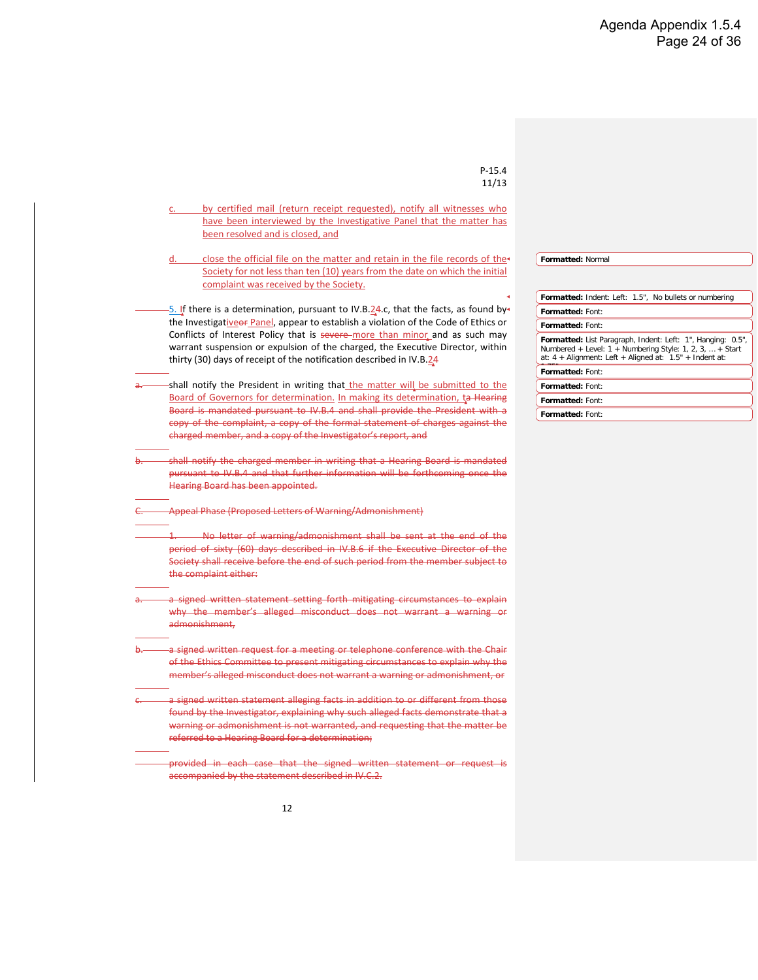![](_page_25_Figure_1.jpeg)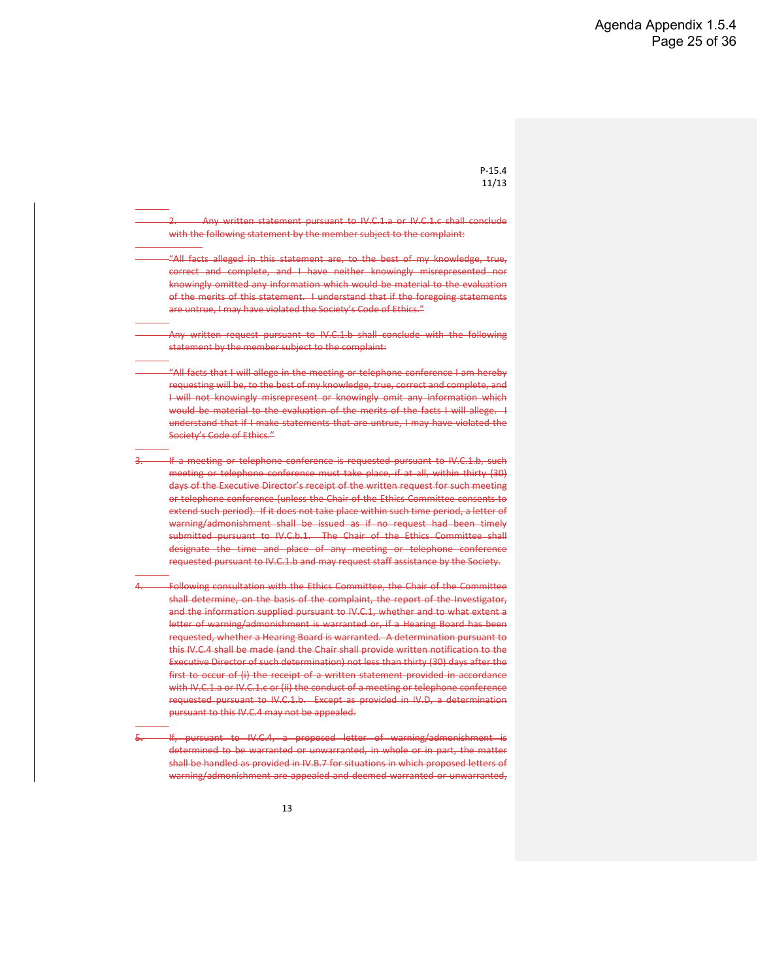| $P-15.4$                                                                                                                                                     |                                                                                                                         |
|--------------------------------------------------------------------------------------------------------------------------------------------------------------|-------------------------------------------------------------------------------------------------------------------------|
| 11/13                                                                                                                                                        |                                                                                                                         |
|                                                                                                                                                              |                                                                                                                         |
| by certified mail (return receipt requested), notify all witnesses who<br>c.                                                                                 |                                                                                                                         |
| have been interviewed by the Investigative Panel that the matter has                                                                                         |                                                                                                                         |
| been resolved and is closed, and                                                                                                                             |                                                                                                                         |
|                                                                                                                                                              |                                                                                                                         |
| close the official file on the matter and retain in the file records of the-<br>d.                                                                           | Formatted: Normal                                                                                                       |
| Society for not less than ten (10) years from the date on which the initial                                                                                  |                                                                                                                         |
| complaint was received by the Society.                                                                                                                       |                                                                                                                         |
|                                                                                                                                                              | Formatted: Indent: Left: 1.5", No bullets or numbering                                                                  |
| -5. If there is a determination, pursuant to IV.B.24.c, that the facts, as found by                                                                          | Formatted: Font:                                                                                                        |
| the Investigativeor Panel, appear to establish a violation of the Code of Ethics or                                                                          | Formatted: Font:                                                                                                        |
| Conflicts of Interest Policy that is severe more than minor and as such may                                                                                  | Formatted: List Paragraph, Indent: Left: 1", Hanging: 0.5",                                                             |
| warrant suspension or expulsion of the charged, the Executive Director, within                                                                               | Numbered + Level: 1 + Numbering Style: 1, 2, 3,  + Start<br>at: $4 +$ Alignment: Left + Aligned at: $1.5" +$ Indent at: |
| thirty (30) days of receipt of the notification described in IV.B.24                                                                                         |                                                                                                                         |
|                                                                                                                                                              | Formatted: Font:                                                                                                        |
| -shall notify the President in writing that the matter will be submitted to the                                                                              | Formatted: Font:                                                                                                        |
| Board of Governors for determination. In making its determination, ta Hearing<br>Board is mandated pursuant to IV.B.4 and shall provide the President with a | Formatted: Font:                                                                                                        |
| copy of the complaint, a copy of the formal statement of charges against the                                                                                 | Formatted: Font:                                                                                                        |
| charged member, and a copy of the Investigator's report, and                                                                                                 |                                                                                                                         |
|                                                                                                                                                              |                                                                                                                         |
| shall notify the charged member in writing that a Hearing Board is mandated                                                                                  |                                                                                                                         |
| pursuant to IV.B.4 and that further information will be forthcoming once the                                                                                 |                                                                                                                         |
| Hearing Board has been appointed.                                                                                                                            |                                                                                                                         |
|                                                                                                                                                              |                                                                                                                         |
| Appeal Phase (Proposed Letters of Warning/Admonishment)                                                                                                      |                                                                                                                         |
|                                                                                                                                                              |                                                                                                                         |
| No letter of warning/admonishment shall be sent at the end of the                                                                                            |                                                                                                                         |
| period of sixty (60) days described in IV.B.6 if the Executive Director of the                                                                               |                                                                                                                         |
| Society shall receive before the end of such period from the member subject to                                                                               |                                                                                                                         |
| the complaint either:                                                                                                                                        |                                                                                                                         |
|                                                                                                                                                              |                                                                                                                         |
| a signed written statement setting forth mitigating circumstances to explain                                                                                 |                                                                                                                         |
| why the member's alleged misconduct does not warrant a warning or                                                                                            |                                                                                                                         |
| admonishment,                                                                                                                                                |                                                                                                                         |
|                                                                                                                                                              |                                                                                                                         |
| a signed written request for a meeting or telephone conference with the Chair                                                                                |                                                                                                                         |
| of the Ethics Committee to present mitigating circumstances to explain why the                                                                               |                                                                                                                         |
| member's alleged misconduct does not warrant a warning or admonishment, or                                                                                   |                                                                                                                         |
| a signed written statement alleging facts in addition to or different from those                                                                             |                                                                                                                         |
| found by the Investigator, explaining why such alleged facts demonstrate that a                                                                              |                                                                                                                         |
| warning or admonishment is not warranted, and requesting that the matter be                                                                                  |                                                                                                                         |
| referred to a Hearing Board for a determination;                                                                                                             |                                                                                                                         |
|                                                                                                                                                              |                                                                                                                         |
| provided in each case that the signed written statement or request is                                                                                        |                                                                                                                         |
| accompanied by the statement described in IV.C.2.                                                                                                            |                                                                                                                         |
|                                                                                                                                                              |                                                                                                                         |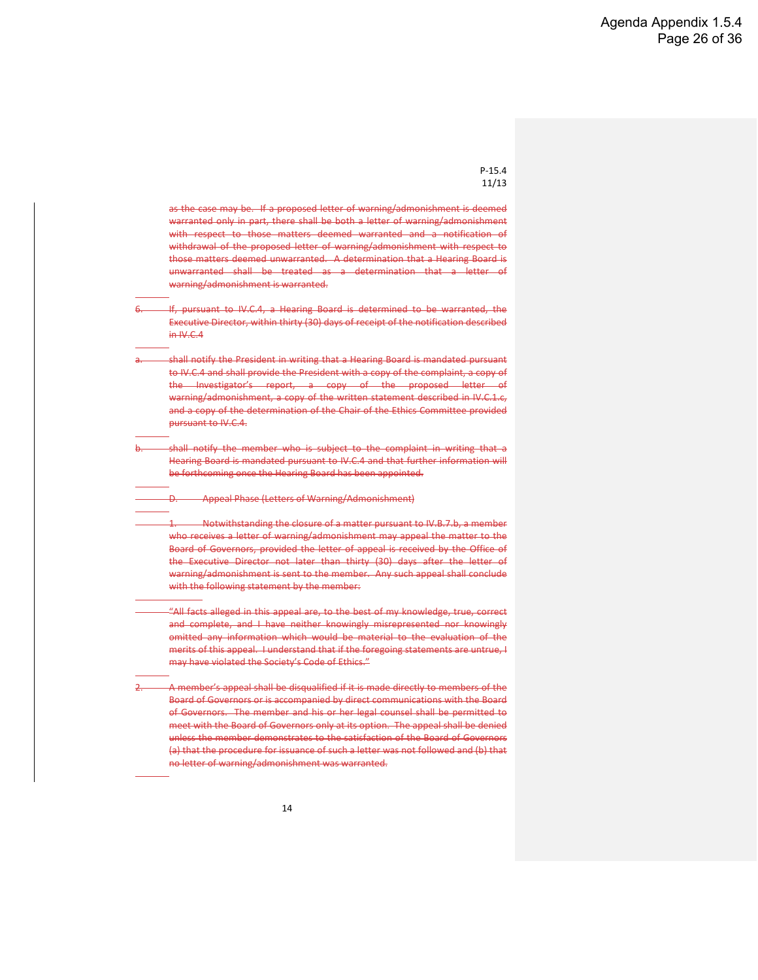2. Any written statement pursuant to IV.C.1.a or IV.C.1.c shall conclude with the following statement by the member subject to the complaint:

"All facts alleged in this statement are, to the best of my knowledge, true, correct and complete, and I have neither knowingly misrepresented nor knowingly omitted any information which would be material to the evaluation of the merits of this statement. I understand that if the foregoing statements are untrue, I may have violated the Society's Code of Ethics."

Any written request pursuant to IV.C.1.b shall conclude with the following statement by the member subject to the complaint:

"All facts that I will allege in the meeting or telephone conference I am hereby requesting will be, to the best of my knowledge, true, correct and complete, and I will not knowingly misrepresent or knowingly omit any information which would be material to the evaluation of the merits of the facts I will allege.  $\overline{1}$ understand that if I make statements that are untrue, I may have violated the Society's Code of Ethics."

If a meeting or telephone conference is requested pursuant to IV.C.1.b, such meeting or telephone conference must take place, if at all, within thirty (30) days of the Executive Director's receipt of the written request for such meeting or telephone conference (unless the Chair of the Ethics Committee consents to extend such period). If it does not take place within such time period, a letter of warning/admonishment shall be issued as if no request had been timely submitted pursuant to IV.C.b.1. The Chair of the Ethics Committee shall designate the time and place of any meeting or telephone conference requested pursuant to IV.C.1.b and may request staff assistance by the Society.

<sup>4.</sup> Following consultation with the Ethics Committee, the Chair of the Committee shall determine, on the basis of the complaint, the report of the Investigator, and the information supplied pursuant to IV.C.1, whether and to what extent a letter of warning/admonishment is warranted or, if a Hearing Board has been requested, whether a Hearing Board is warranted. A determination pursuant to this IV.C.4 shall be made (and the Chair shall provide written notification to the Executive Director of such determination) not less than thirty (30) days after the first to occur of (i) the receipt of a written statement provided in accordance with IV.C.1.a or IV.C.1.c or (ii) the conduct of a meeting or telephone conference requested pursuant to IV.C.1.b. Except as provided in IV.D, a determination pursuant to this IV.C.4 may not be appealed.

If, pursuant to IV.C.4, a proposed letter of warning/admonishment is determined to be warranted or unwarranted, in whole or in part, the matter shall be handled as provided in IV.B.7 for situations in which proposed letters of warning/admonishment are appealed and deemed warranted or unwarranted,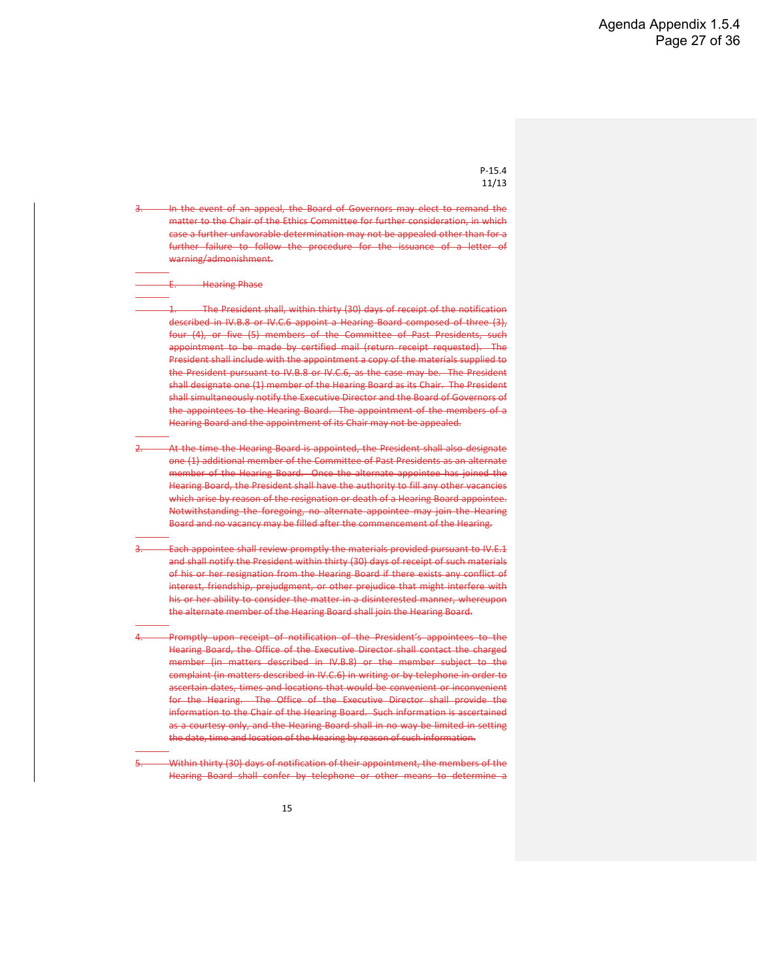as the case may be. If a proposed letter of warning/admonishment is deemed warranted only in part, there shall be both a letter of warning/admonishment with respect to those matters deemed warranted and a notification of withdrawal of the proposed letter of warning/admonishment with respect to those matters deemed unwarranted. A determination that a Hearing Board is unwarranted shall be treated as a determination that a letter of warning/admonishment is warranted.

6. If, pursuant to IV.C.4, a Hearing Board is determined to be warranted, the Executive Director, within thirty (30) days of receipt of the notification described  $in W.C.4$ 

- shall notify the President in writing that a Hearing Board is mandated pursuant to IV.C.4 and shall provide the President with a copy of the complaint, a copy of the Investigator's report, a copy of the proposed letter of warning/admonishment, a copy of the written statement described in IV.C.1.c, and a copy of the determination of the Chair of the Ethics Committee provided pursuant to IV.C.4.
- shall notify the member who is subject to the complaint in writing that a Hearing Board is mandated pursuant to IV.C.4 and that further information will be forthcoming once the Hearing Board has been appointed.
	- D. Appeal Phase (Letters of Warning/Admonishment)

1. Notwithstanding the closure of a matter pursuant to IV.B.7.b, a member who receives a letter of warning/admonishment may appeal the matter to the Board of Governors, provided the letter of appeal is received by the Office of the Executive Director not later than thirty (30) days after the letter of warning/admonishment is sent to the member. Any such appeal shall conclude with the following statement by the member:

- "All facts alleged in this appeal are, to the best of my knowledge, true, correct and complete, and I have neither knowingly misrepresented nor knowingly omitted any information which would be material to the evaluation of the merits of this appeal. I understand that if the foregoing statements are untrue, I may have violated the Society's Code of Ethics."
- A member's appeal shall be disqualified if it is made directly to members of the Board of Governors or is accompanied by direct communications with the Board of Governors. The member and his or her legal counsel shall be permitted to meet with the Board of Governors only at its option. The appeal shall be denied unless the member demonstrates to the satisfaction of the Board of Governors (a) that the procedure for issuance of such a letter was not followed and (b) that no letter of warning/admonishment was warranted.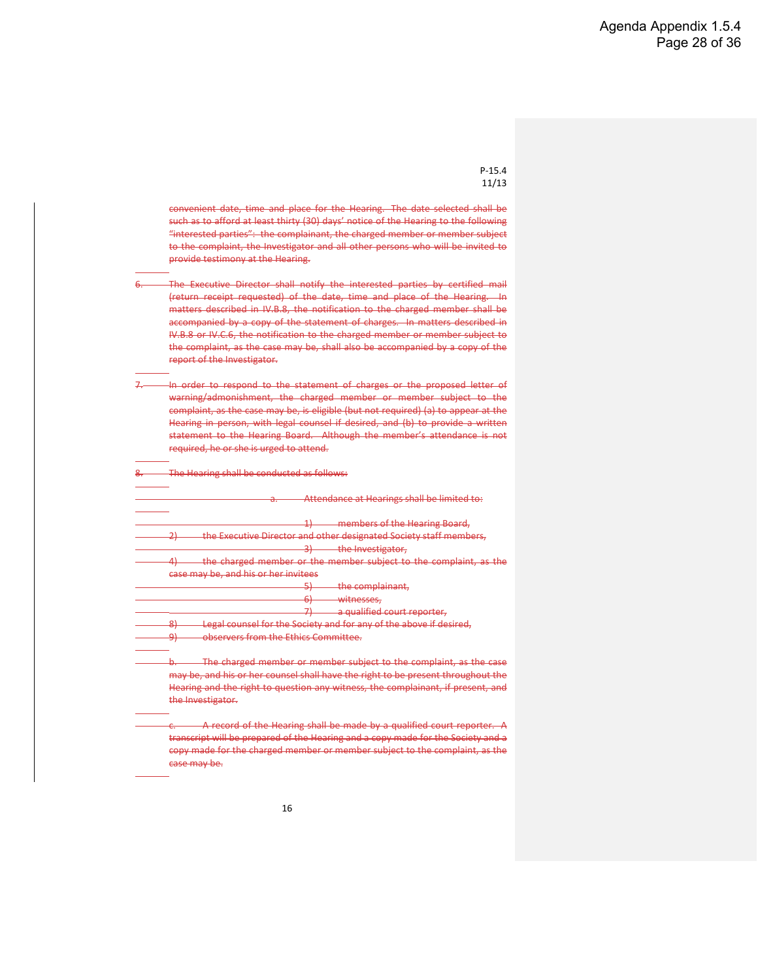In the event of an appeal, the Board of Governors may elect to remand the matter to the Chair of the Ethics Committee for further consideration, in which case a further unfavorable determination may not be appealed other than for a further failure to follow the procedure for the issuance of a letter of warning/admonishment.

**Hearing Phase** 

The President shall, within thirty (30) days of receipt of the notification described in IV.B.8 or IV.C.6 appoint a Hearing Board composed of three (3), four (4), or five (5) members of the Committee of Past Presidents, such appointment to be made by certified mail (return receipt requested). The President shall include with the appointment a copy of the materials supplied to the President pursuant to IV.B.8 or IV.C.6, as the case may be. The President shall designate one (1) member of the Hearing Board as its Chair. The President shall simultaneously notify the Executive Director and the Board of Governors of the appointees to the Hearing Board. The appointment of the members of a Hearing Board and the appointment of its Chair may not be appealed.

- At the time the Hearing Board is appointed, the President shall also designate one (1) additional member of the Committee of Past Presidents as an alternate member of the Hearing Board. Once the alternate appointee has joined the Hearing Board, the President shall have the authority to fill any other vacancies which arise by reason of the resignation or death of a Hearing Board appointee. Notwithstanding the foregoing, no alternate appointee may join the Hearing Board and no vacancy may be filled after the commencement of the Hearing.
- Each appointee shall review promptly the materials provided pursuant to IV.E.1 and shall notify the President within thirty (30) days of receipt of such materials of his or her resignation from the Hearing Board if there exists any conflict of interest, friendship, prejudgment, or other prejudice that might interfere with his or her ability to consider the matter in a disinterested manner, whereupon the alternate member of the Hearing Board shall join the Hearing Board.

Promptly upon receipt of notification of the President's appointees to the Hearing Board, the Office of the Executive Director shall contact the charged member (in matters described in IV.B.8) or the member subject to the complaint (in matters described in IV.C.6) in writing or by telephone in order to ascertain dates, times and locations that would be convenient or inconvenient for the Hearing. The Office of the Executive Director shall provide the information to the Chair of the Hearing Board. Such information is ascertained as a courtesy only, and the Hearing Board shall in no way be limited in setting the date, time and location of the Hearing by reason of such information.

Within thirty (30) days of notification of their appointment, the members of the Hearing Board shall confer by telephone or other means to determine a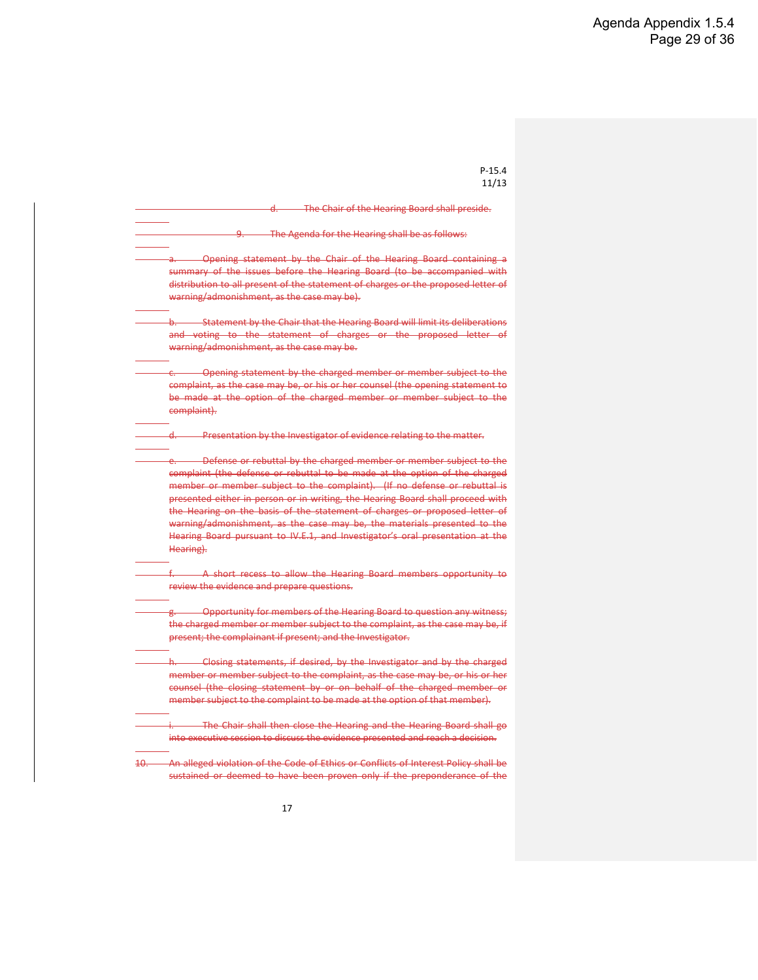convenient date, time and place for the Hearing. The date selected shall be such as to afford at least thirty (30) days' notice of the Hearing to the following "interested parties": the complainant, the charged member or member subject to the complaint, the Investigator and all other persons who will be invited to provide testimony at the Hearing.

- The Executive Director shall notify the interested parties by certified mail (return receipt requested) of the date, time and place of the Hearing. In matters described in IV.B.8, the notification to the charged member shall be accompanied by a copy of the statement of charges. In matters described in IV.B.8 or IV.C.6, the notification to the charged member or member subject to the complaint, as the case may be, shall also be accompanied by a copy of the report of the Investigator.
- In order to respond to the statement of charges or the proposed letter of warning/admonishment, the charged member or member subject to the complaint, as the case may be, is eligible (but not required) (a) to appear at the Hearing in person, with legal counsel if desired, and (b) to provide a written statement to the Hearing Board. Although the member's attendance is not required, he or she is urged to attend.

The Hearing shall be conducted as follows:

|        | members of the Hearing Board,<br>≖                                 |
|--------|--------------------------------------------------------------------|
|        | the Executive Director and other designated Society staff members, |
|        | the Investigator,                                                  |
| л      | the charged member or the member subject to the complaint, as the  |
|        | case may be, and his or her invitees                               |
|        | the complainant,                                                   |
|        | witnesses,<br>ᠳ                                                    |
|        | a qualified court reporter,                                        |
| o<br>௬ | Legal counsel for the Society and for any of the above if desired, |
| U.     | observers from the Ethics Committee.                               |

ring shall be made by a qualified court reporter. A transcript will be prepared of the Hearing and a copy made for the Society and a copy made for the charged member or member subject to the complaint, as the case may be.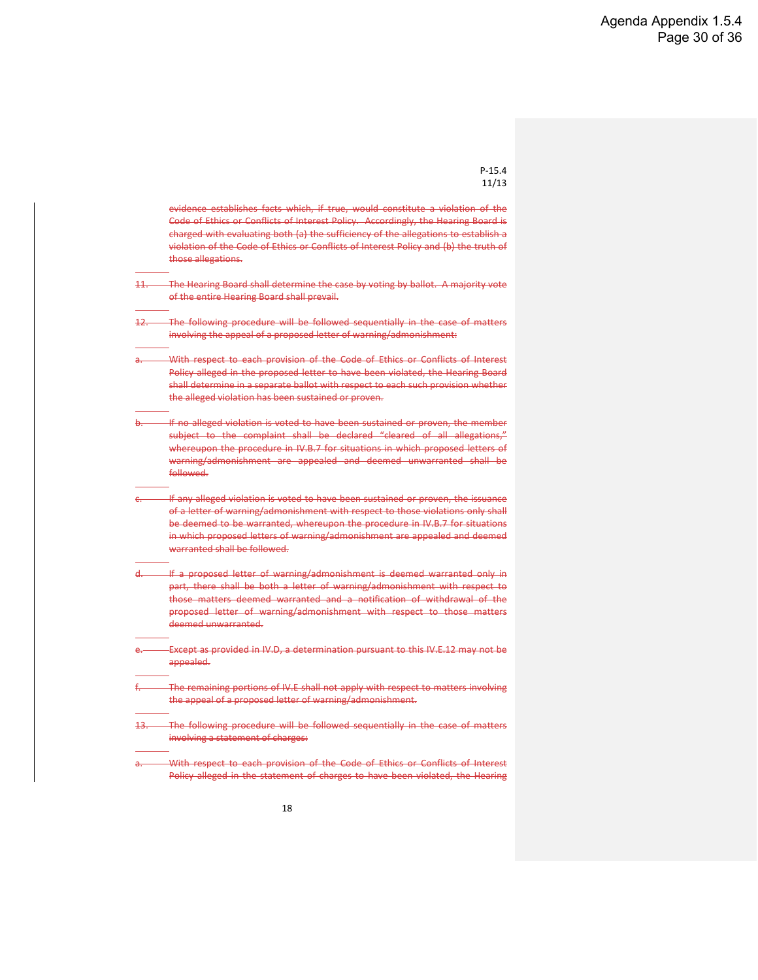| -15.<br>υ.<br>4 |  |
|-----------------|--|
| 1/13            |  |

|     | The Chair of the Hearing Board shall preside.                                                                                                                                                                                                                                                                                                                                                                                                                                                                                                                           |
|-----|-------------------------------------------------------------------------------------------------------------------------------------------------------------------------------------------------------------------------------------------------------------------------------------------------------------------------------------------------------------------------------------------------------------------------------------------------------------------------------------------------------------------------------------------------------------------------|
|     | The Agenda for the Hearing shall be as follows:                                                                                                                                                                                                                                                                                                                                                                                                                                                                                                                         |
|     | Opening statement by the Chair of the Hearing Board containing a<br>summary of the issues before the Hearing Board (to be accompanied with<br>distribution to all present of the statement of charges or the proposed letter of<br>warning/admonishment, as the case may be).                                                                                                                                                                                                                                                                                           |
|     | b. Statement by the Chair that the Hearing Board will limit its deliberations<br>and voting to the statement of charges or the proposed letter of<br>warning/admonishment, as the case may be.                                                                                                                                                                                                                                                                                                                                                                          |
|     | -Opening statement by the charged member or member subject to the<br>complaint, as the case may be, or his or her counsel (the opening statement to<br>be made at the option of the charged member or member subject to the<br>complaint).                                                                                                                                                                                                                                                                                                                              |
|     | Presentation by the Investigator of evidence relating to the matter.                                                                                                                                                                                                                                                                                                                                                                                                                                                                                                    |
|     | Defense or rebuttal by the charged member or member subject to the<br>complaint (the defense or rebuttal to be made at the option of the charged<br>member or member subject to the complaint). (If no defense or rebuttal is<br>presented either in person or in writing, the Hearing Board shall proceed with<br>the Hearing on the basis of the statement of charges or proposed letter of<br>warning/admonishment, as the case may be, the materials presented to the<br>Hearing Board pursuant to IV.E.1, and Investigator's oral presentation at the<br>Hearing). |
|     | A short recess to allow the Hearing Board members opportunity to<br>review the evidence and prepare questions.                                                                                                                                                                                                                                                                                                                                                                                                                                                          |
|     | - Opportunity for members of the Hearing Board to question any witness;<br>the charged member or member subject to the complaint, as the case may be, if<br>present; the complainant if present; and the Investigator.                                                                                                                                                                                                                                                                                                                                                  |
|     | h. Closing statements, if desired, by the Investigator and by the charged<br>member or member subject to the complaint, as the case may be, or his or her<br>counsel (the closing statement by or on behalf of the charged member or<br>member subject to the complaint to be made at the option of that member).                                                                                                                                                                                                                                                       |
|     | The Chair shall then close the Hearing and the Hearing Board shall go<br>into executive session to discuss the evidence presented and reach a decision.                                                                                                                                                                                                                                                                                                                                                                                                                 |
| 10. | An alleged violation of the Code of Ethics or Conflicts of Interest Policy shall be<br>sustained or deemed to have been proven only if the preponderance of the                                                                                                                                                                                                                                                                                                                                                                                                         |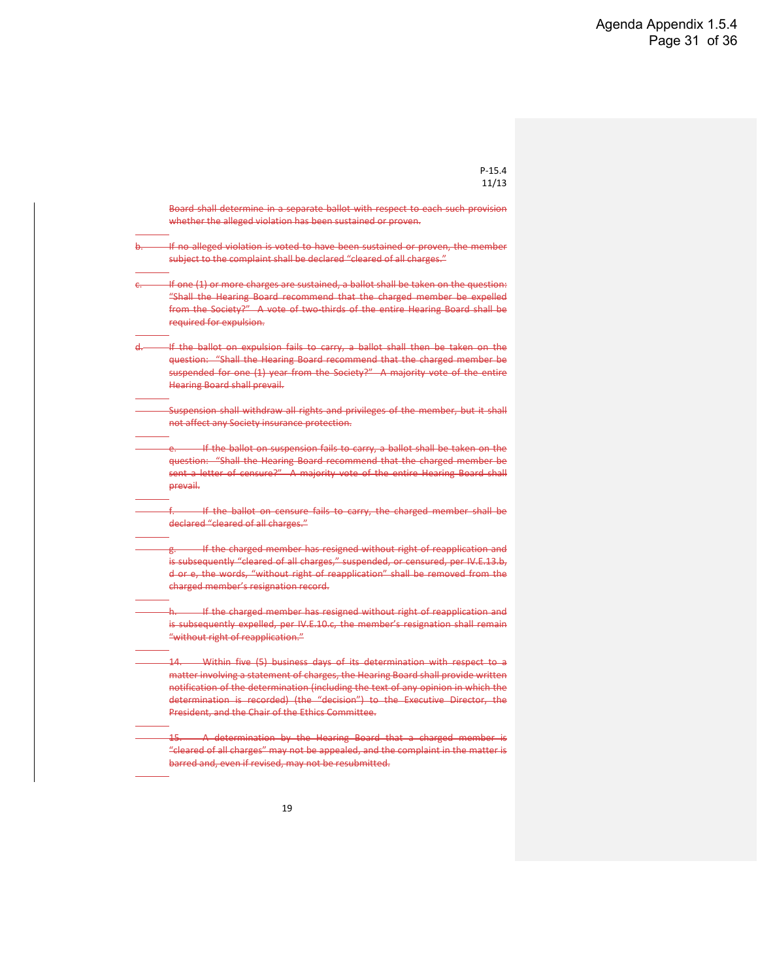evidence establishes facts which, if true, would constitute a violation of the Code of Ethics or Conflicts of Interest Policy. Accordingly, the Hearing Board is charged with evaluating both (a) the sufficiency of the allegations to establish a violation of the Code of Ethics or Conflicts of Interest Policy and (b) the truth of those allegations. 11. The Hearing Board shall determine the case by voting by ballot. A majority vote of the entire Hearing Board shall prevail. The following procedure will be followed sequentially in the case of matters involving the appeal of a proposed letter of warning/admonishment: With respect to each provision of the Code of Ethics or Conflicts of Interest Policy alleged in the proposed letter to have been violated, the Hearing Board shall determine in a separate ballot with respect to each such provision whether the alleged violation has been sustained or proven. If no alleged violation is voted to have been sustained or proven, the member subject to the complaint shall be declared "cleared of all allegations," whereupon the procedure in IV.B.7 for situations in which proposed letters of warning/admonishment are appealed and deemed unwarranted shall be followed. If any alleged violation is voted to have been sustained or proven, the issuance of a letter of warning/admonishment with respect to those violations only shall be deemed to be warranted, whereupon the procedure in IV.B.7 for situations in which proposed letters of warning/admonishment are appealed and deemed warranted shall be followed. -If a proposed letter of warning/admonishment is deemed warranted only in part, there shall be both a letter of warning/admonishment with respect to those matters deemed warranted and a notification of withdrawal of the proposed letter of warning/admonishment with respect to those matters deemed unwarranted. Except as provided in IV.D, a determination pursuant to this IV.E.12 may not be appealed. The remaining portions of IV.E shall not apply with respect to matters involving the appeal of a proposed letter of warning/admonishment. The following procedure will be followed sequentially in the case of matters involving a statement of charges: With respect to each provision of the Code of Ethics or Conflicts of Interest Policy alleged in the statement of charges to have been violated, the Hearing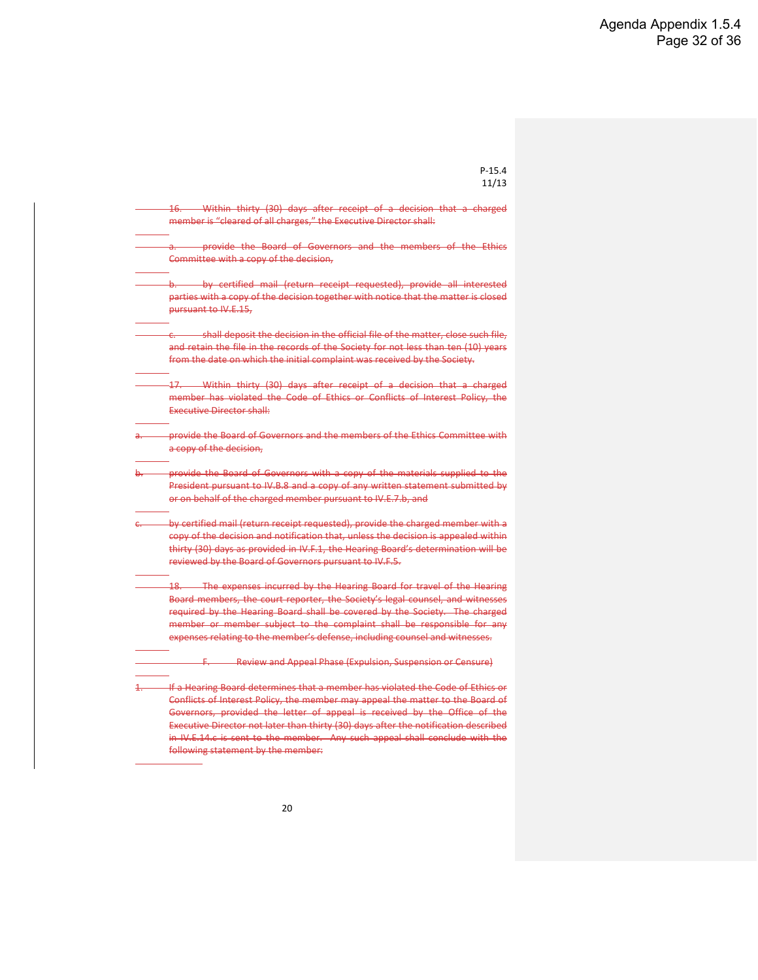P-15.4

|             | 11/13                                                                                                                                                                                                                                                                                                                                                                                      |
|-------------|--------------------------------------------------------------------------------------------------------------------------------------------------------------------------------------------------------------------------------------------------------------------------------------------------------------------------------------------------------------------------------------------|
|             | Board shall determine in a separate ballot with respect to each such provision<br>whether the alleged violation has been sustained or proven.                                                                                                                                                                                                                                              |
| <u>ــوا</u> | If no alleged violation is voted to have been sustained or proven, the member<br>subject to the complaint shall be declared "cleared of all charges."                                                                                                                                                                                                                                      |
|             | If one (1) or more charges are sustained, a ballot shall be taken on the question:<br>"Shall the Hearing Board recommend that the charged member be expelled<br>from the Society?" A vote of two-thirds of the entire Hearing Board shall be<br>required for expulsion.                                                                                                                    |
| 4           | If the ballot on expulsion fails to carry, a ballot shall then be taken on the<br>question: "Shall the Hearing Board recommend that the charged member be<br>suspended for one (1) year from the Society?" A majority vote of the entire<br><b>Hearing Board shall prevail.</b>                                                                                                            |
|             | Suspension shall withdraw all rights and privileges of the member, but it shall<br>not affect any Society insurance protection.                                                                                                                                                                                                                                                            |
|             | If the ballot on suspension fails to carry, a ballot shall be taken on the<br>question: "Shall the Hearing Board recommend that the charged member be<br>sent a letter of censure?" A majority vote of the entire Hearing Board shall<br>prevail.                                                                                                                                          |
|             | f. 4. The ballot on censure fails to carry, the charged member shall be<br>declared "cleared of all charges."                                                                                                                                                                                                                                                                              |
|             | g. If the charged member has resigned without right of reapplication and<br>is subsequently "cleared of all charges," suspended, or censured, per IV.E.13.b,<br>d or e, the words, "without right of reapplication" shall be removed from the<br>charged member's resignation record.                                                                                                      |
|             | h. If the charged member has resigned without right of reapplication and<br>is subsequently expelled, per IV.E.10.c, the member's resignation shall remain<br>"without right of reapplication."                                                                                                                                                                                            |
|             | Within five (5) business days of its determination with respect to a<br>-14. —<br>matter involving a statement of charges, the Hearing Board shall provide written<br>notification of the determination (including the text of any opinion in which the<br>determination is recorded) (the "decision") to the Executive Director, the<br>President, and the Chair of the Ethics Committee. |
|             | 15. A determination by the Hearing Board that a charged member is<br>"cleared of all charges" may not be appealed, and the complaint in the matter is<br>barred and, even if revised, may not be resubmitted.                                                                                                                                                                              |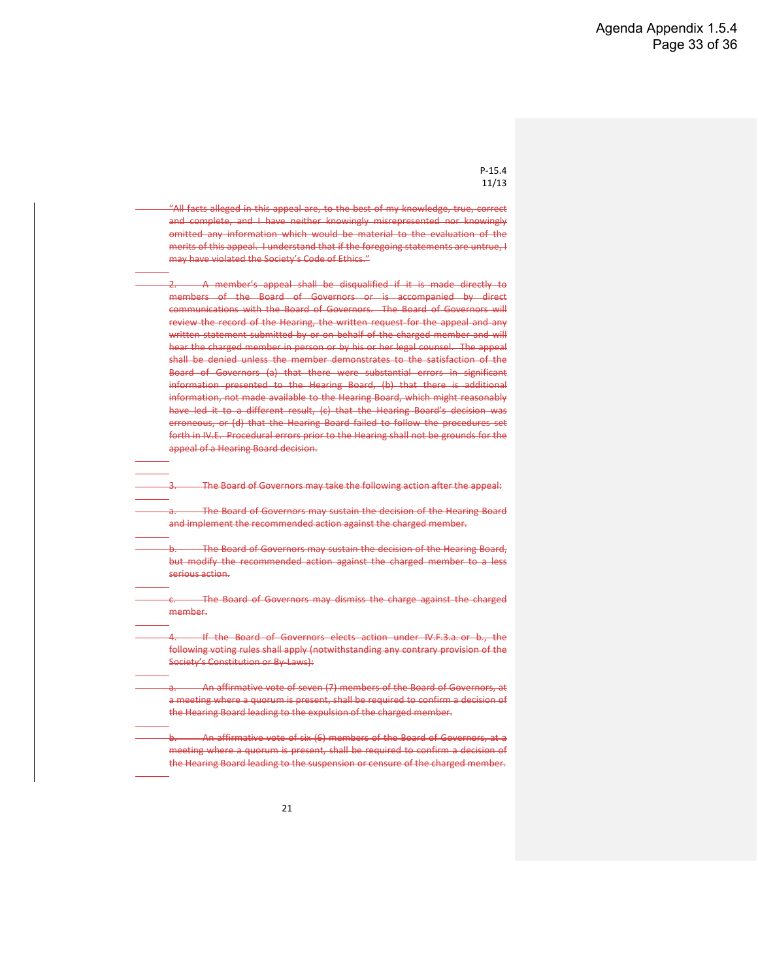|              | 16. Within thirty (30) days after receipt of a decision that a charged                                                                                                                                                                                                                                                                                                                                              |
|--------------|---------------------------------------------------------------------------------------------------------------------------------------------------------------------------------------------------------------------------------------------------------------------------------------------------------------------------------------------------------------------------------------------------------------------|
|              | member is "cleared of all charges," the Executive Director shall:                                                                                                                                                                                                                                                                                                                                                   |
|              | provide the Board of Governors and the members of the Ethics<br>a.<br>Committee with a copy of the decision.                                                                                                                                                                                                                                                                                                        |
|              |                                                                                                                                                                                                                                                                                                                                                                                                                     |
|              | by certified mail (return receipt requested), provide all interested<br>parties with a copy of the decision together with notice that the matter is closed<br>pursuant to IV.E.15.                                                                                                                                                                                                                                  |
|              | shall deposit the decision in the official file of the matter, close such file,<br>and retain the file in the records of the Society for not less than ten (10) years<br>from the date on which the initial complaint was received by the Society.                                                                                                                                                                  |
|              | 17. Within thirty (30) days after receipt of a decision that a charged<br>member has violated the Code of Ethics or Conflicts of Interest Policy, the<br>Executive Director shall:                                                                                                                                                                                                                                  |
| a.           | provide the Board of Governors and the members of the Ethics Committee with<br>a copy of the decision,                                                                                                                                                                                                                                                                                                              |
| <b>b</b>     | provide the Board of Governors with a copy of the materials supplied to the<br>President pursuant to IV.B.8 and a copy of any written statement submitted by<br>or on behalf of the charged member pursuant to IV.E.7.b, and                                                                                                                                                                                        |
| $\leftarrow$ | by certified mail (return receipt requested), provide the charged member with a<br>copy of the decision and notification that, unless the decision is appealed within<br>thirty (30) days as provided in IV.F.1, the Hearing Board's determination will be<br>reviewed by the Board of Governors pursuant to IV.F.5.                                                                                                |
|              | 18. The expenses incurred by the Hearing Board for travel of the Hearing<br>Board members, the court reporter, the Society's legal counsel, and witnesses<br>required by the Hearing Board shall be covered by the Society. The charged<br>member or member subject to the complaint shall be responsible for any<br>expenses relating to the member's defense, including counsel and witnesses.                    |
|              | F. Review and Appeal Phase (Expulsion, Suspension or Censure)                                                                                                                                                                                                                                                                                                                                                       |
| 1            | If a Hearing Board determines that a member has violated the Code of Ethics or<br>Conflicts of Interest Policy, the member may appeal the matter to the Board of<br>Governors, provided the letter of appeal is received by the Office of the<br>Executive Director not later than thirty (30) days after the notification described<br>in IV.E.14.c is sent to the member. Any such appeal shall conclude with the |

following statement by the member: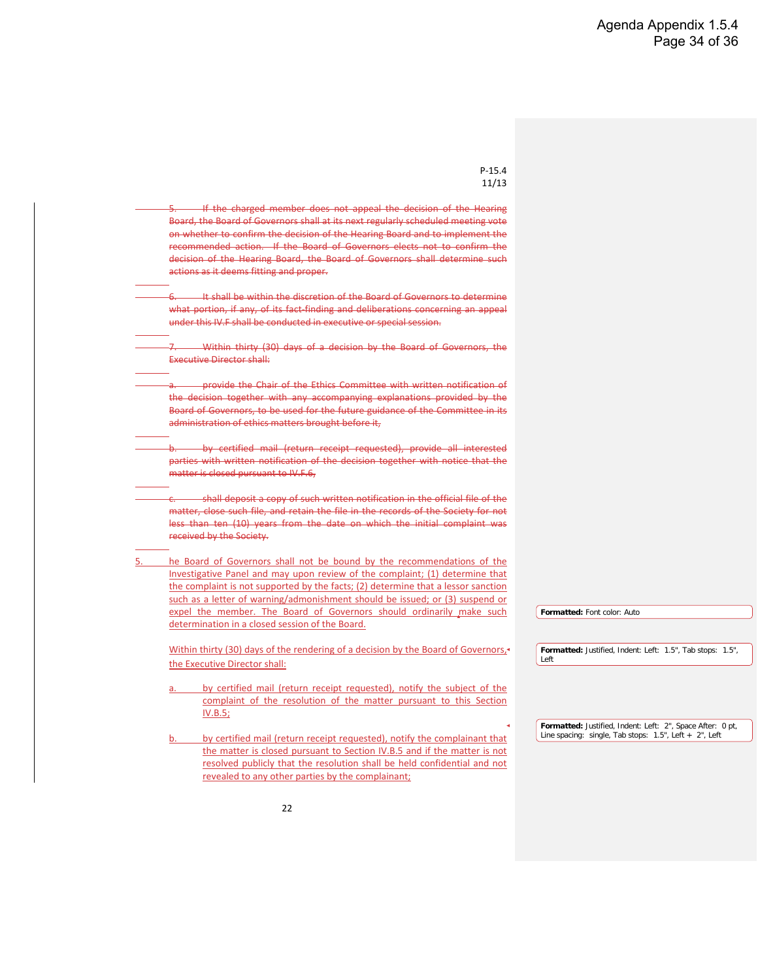"All facts alleged in this appeal are, to the best of my knowledge, true, correct and complete, and I have neither knowingly misrepresented nor knowingly omitted any information which would be material to the evaluation of the merits of this appeal. I understand that if the foregoing statements are untrue, I may have violated the Society's Code of Ethics."

2. A member's appeal shall be disqualified if it is made directly to members of the Board of Governors or is accompanied by direct communications with the Board of Governors. The Board of Governors will review the record of the Hearing, the written request for the appeal and any written statement submitted by or on behalf of the charged member and will hear the charged member in person or by his or her legal counsel. The appeal shall be denied unless the member demonstrates to the satisfaction of the Board of Governors (a) that there were substantial errors in significant information presented to the Hearing Board, (b) that there is additional information, not made available to the Hearing Board, which might reasonably have led it to a different result, (c) that the Hearing Board's decision was erroneous, or (d) that the Hearing Board failed to follow the procedures set forth in IV.E. Procedural errors prior to the Hearing shall not be grounds for the appeal of a Hearing Board decision.

The Board of Governors may take the following action after the appeal:

The Board of Governors may sustain the decision of the Hearing Board and implement the recommended action against the charged member.

- The Board of Governors may sustain the decision of the Hearing Board, but modify the recommended action against the charged member to a less serious action.
- The Board of Governors may dismiss the charge against the charged member.

If the Board of Governors elects action under IV.F.3.a. or b., the following voting rules shall apply (notwithstanding any contrary provision of the Society's Constitution or By-Laws):

An affirmative vote of seven (7) members of the Board of Governors, at a meeting where a quorum is present, shall be required to confirm a decision of the Hearing Board leading to the expulsion of the charged member.

An affirmative vote of six (6) members of the Board of Governors, at a meeting where a quorum is present, shall be required to confirm a decision of the Hearing Board leading to the suspension or censure of the charged member.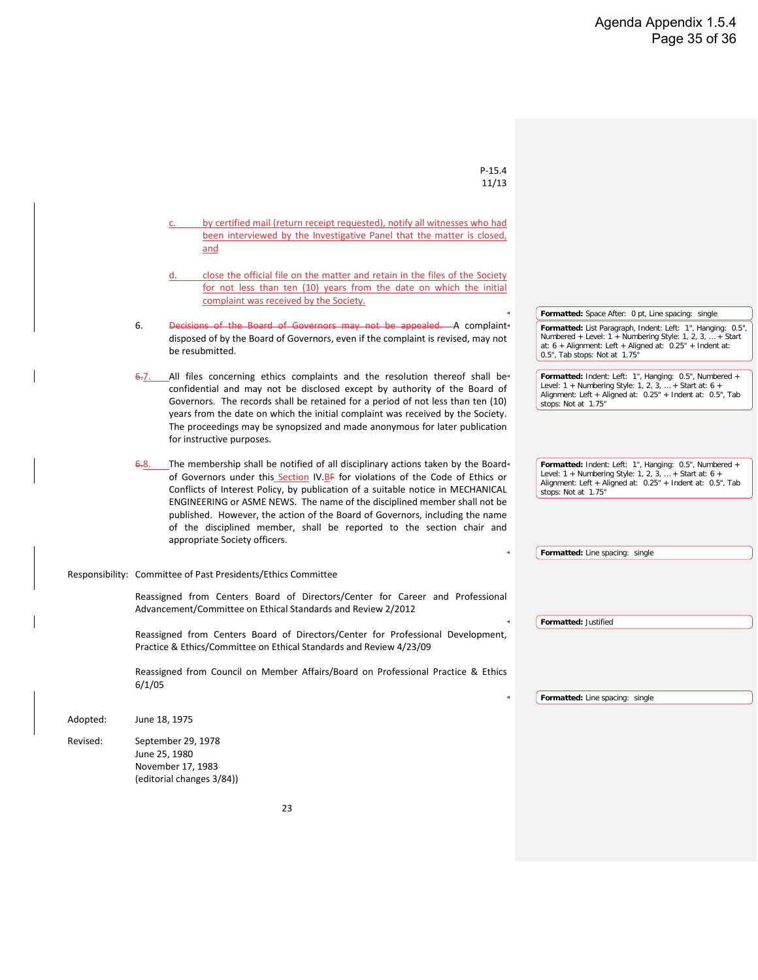| $P-15.4$<br>11/13                                                                                                                                           |                                                                                                                            |
|-------------------------------------------------------------------------------------------------------------------------------------------------------------|----------------------------------------------------------------------------------------------------------------------------|
|                                                                                                                                                             |                                                                                                                            |
| If the charged member does not appeal the decision of the Hearing                                                                                           |                                                                                                                            |
| Board, the Board of Governors shall at its next regularly scheduled meeting vote                                                                            |                                                                                                                            |
| on whether to confirm the decision of the Hearing Board and to implement the<br>recommended action. If the Board of Governors elects not to confirm the     |                                                                                                                            |
| decision of the Hearing Board, the Board of Governors shall determine such                                                                                  |                                                                                                                            |
| actions as it deems fitting and proper.                                                                                                                     |                                                                                                                            |
|                                                                                                                                                             |                                                                                                                            |
| It shall be within the discretion of the Board of Governors to determine                                                                                    |                                                                                                                            |
| what portion, if any, of its fact-finding and deliberations concerning an appeal                                                                            |                                                                                                                            |
| under this IV.F shall be conducted in executive or special session.                                                                                         |                                                                                                                            |
| Within thirty (30) days of a decision by the Board of Governors, the                                                                                        |                                                                                                                            |
| <b>Executive Director shall:</b>                                                                                                                            |                                                                                                                            |
|                                                                                                                                                             |                                                                                                                            |
| -provide the Chair of the Ethics Committee with written notification of                                                                                     |                                                                                                                            |
| the decision together with any accompanying explanations provided by the<br>Board of Governors, to be used for the future guidance of the Committee in its  |                                                                                                                            |
| administration of ethics matters brought before it,                                                                                                         |                                                                                                                            |
|                                                                                                                                                             |                                                                                                                            |
| by certified mail (return receipt requested), provide all interested                                                                                        |                                                                                                                            |
| parties with written notification of the decision together with notice that the                                                                             |                                                                                                                            |
| matter is closed pursuant to IV.F.6,                                                                                                                        |                                                                                                                            |
| shall deposit a copy of such written notification in the official file of the                                                                               |                                                                                                                            |
| matter, close such file, and retain the file in the records of the Society for not                                                                          |                                                                                                                            |
| less than ten (10) years from the date on which the initial complaint was                                                                                   |                                                                                                                            |
| received by the Society.                                                                                                                                    |                                                                                                                            |
| he Board of Governors shall not be bound by the recommendations of the                                                                                      |                                                                                                                            |
| Investigative Panel and may upon review of the complaint; (1) determine that                                                                                |                                                                                                                            |
| the complaint is not supported by the facts; (2) determine that a lessor sanction                                                                           |                                                                                                                            |
| such as a letter of warning/admonishment should be issued; or (3) suspend or                                                                                |                                                                                                                            |
| expel the member. The Board of Governors should ordinarily make such                                                                                        | Formatted: Font color: Auto                                                                                                |
| determination in a closed session of the Board.                                                                                                             |                                                                                                                            |
| Within thirty (30) days of the rendering of a decision by the Board of Governors, $\star$                                                                   | Formatted: Justified, Indent: Left: 1.5", Tab stops: 1.5",                                                                 |
| the Executive Director shall:                                                                                                                               | Left                                                                                                                       |
|                                                                                                                                                             |                                                                                                                            |
| by certified mail (return receipt requested), notify the subject of the<br>a.                                                                               |                                                                                                                            |
| complaint of the resolution of the matter pursuant to this Section                                                                                          |                                                                                                                            |
| <u>IV.B.5;</u>                                                                                                                                              |                                                                                                                            |
|                                                                                                                                                             | Formatted: Justified, Indent: Left: 2", Space After: 0 pt,<br>Line spacing: single, Tab stops: $1.5$ ", Left + $2$ ", Left |
| by certified mail (return receipt requested), notify the complainant that<br>b.<br>the matter is closed pursuant to Section IV.B.5 and if the matter is not |                                                                                                                            |
| resolved publicly that the resolution shall be held confidential and not                                                                                    |                                                                                                                            |
| revealed to any other parties by the complainant;                                                                                                           |                                                                                                                            |
|                                                                                                                                                             |                                                                                                                            |
|                                                                                                                                                             |                                                                                                                            |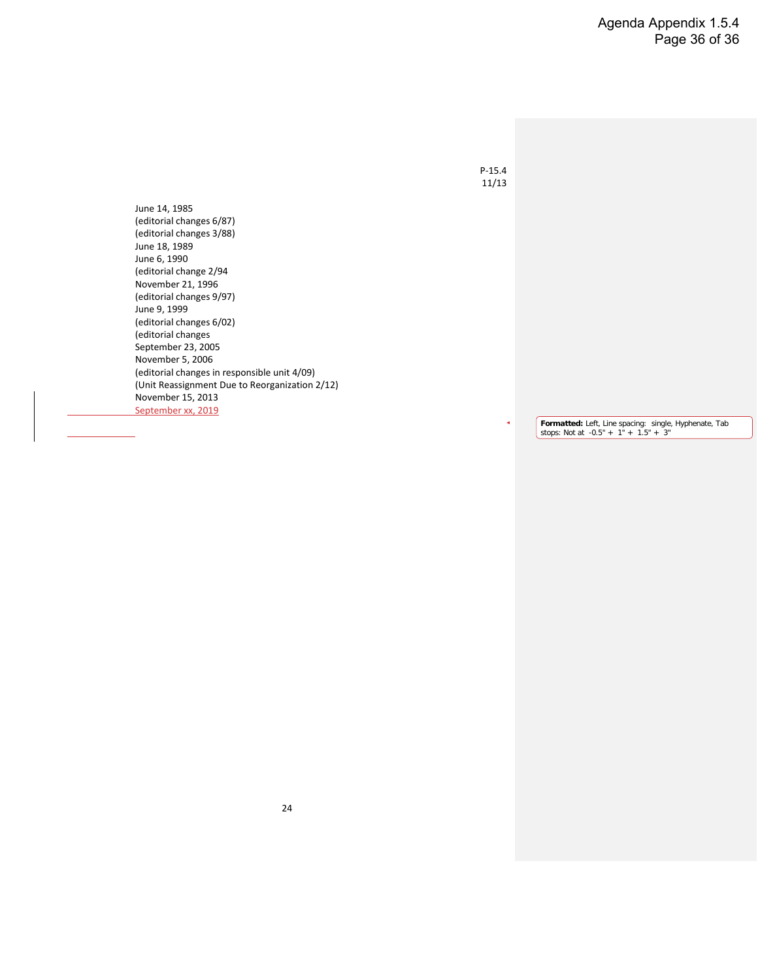|          | $P-15.4$                                                                                                                                                                                                                                                                                                                                               |                                                                                                                                                                                                                          |
|----------|--------------------------------------------------------------------------------------------------------------------------------------------------------------------------------------------------------------------------------------------------------------------------------------------------------------------------------------------------------|--------------------------------------------------------------------------------------------------------------------------------------------------------------------------------------------------------------------------|
|          | 11/13                                                                                                                                                                                                                                                                                                                                                  |                                                                                                                                                                                                                          |
|          |                                                                                                                                                                                                                                                                                                                                                        |                                                                                                                                                                                                                          |
|          | by certified mail (return receipt requested), notify all witnesses who had<br>been interviewed by the Investigative Panel that the matter is closed,                                                                                                                                                                                                   |                                                                                                                                                                                                                          |
|          | and                                                                                                                                                                                                                                                                                                                                                    |                                                                                                                                                                                                                          |
|          | close the official file on the matter and retain in the files of the Society<br>for not less than ten (10) years from the date on which the initial                                                                                                                                                                                                    |                                                                                                                                                                                                                          |
|          | complaint was received by the Society.                                                                                                                                                                                                                                                                                                                 |                                                                                                                                                                                                                          |
|          |                                                                                                                                                                                                                                                                                                                                                        | Formatted: Space After: 0 pt, Line spacing: single                                                                                                                                                                       |
|          | Decisions of the Board of Governors may not be appealed. A complaint<br>6.<br>disposed of by the Board of Governors, even if the complaint is revised, may not<br>be resubmitted.                                                                                                                                                                      | Formatted: List Paragraph, Indent: Left: 1", Hanging: 0.5",<br>Numbered + Level: 1 + Numbering Style: 1, 2, 3,  + Start<br>at: $6 +$ Alignment: Left + Aligned at: $0.25"$ + Indent at:<br>0.5", Tab stops: Not at 1.75" |
|          | All files concerning ethics complaints and the resolution thereof shall be-<br><del>6.</del> 7.<br>confidential and may not be disclosed except by authority of the Board of                                                                                                                                                                           | Formatted: Indent: Left: 1", Hanging: 0.5", Numbered +<br>Level: 1 + Numbering Style: 1, 2, 3,  + Start at: 6 +<br>Alignment: Left + Aligned at: 0.25" + Indent at: 0.5", Tab                                            |
|          | Governors. The records shall be retained for a period of not less than ten (10)<br>years from the date on which the initial complaint was received by the Society.                                                                                                                                                                                     | stops: Not at 1.75"                                                                                                                                                                                                      |
|          | The proceedings may be synopsized and made anonymous for later publication<br>for instructive purposes.                                                                                                                                                                                                                                                |                                                                                                                                                                                                                          |
|          | $6.8$ . The membership shall be notified of all disciplinary actions taken by the Board<br>of Governors under this Section IV.BF for violations of the Code of Ethics or                                                                                                                                                                               | Formatted: Indent: Left: 1", Hanging: 0.5", Numbered +<br>Level: $1 +$ Numbering Style: 1, 2, 3,  + Start at: 6 +<br>Alignment: Left + Aligned at: 0.25" + Indent at: 0.5", Tab                                          |
|          | Conflicts of Interest Policy, by publication of a suitable notice in MECHANICAL<br>ENGINEERING or ASME NEWS. The name of the disciplined member shall not be<br>published. However, the action of the Board of Governors, including the name<br>of the disciplined member, shall be reported to the section chair and<br>appropriate Society officers. | stops: Not at 1.75"                                                                                                                                                                                                      |
|          |                                                                                                                                                                                                                                                                                                                                                        | Formatted: Line spacing: single                                                                                                                                                                                          |
|          | Responsibility: Committee of Past Presidents/Ethics Committee                                                                                                                                                                                                                                                                                          |                                                                                                                                                                                                                          |
|          | Reassigned from Centers Board of Directors/Center for Career and Professional<br>Advancement/Committee on Ethical Standards and Review 2/2012                                                                                                                                                                                                          |                                                                                                                                                                                                                          |
|          |                                                                                                                                                                                                                                                                                                                                                        | Formatted: Justified                                                                                                                                                                                                     |
|          | Reassigned from Centers Board of Directors/Center for Professional Development,<br>Practice & Ethics/Committee on Ethical Standards and Review 4/23/09                                                                                                                                                                                                 |                                                                                                                                                                                                                          |
|          | Reassigned from Council on Member Affairs/Board on Professional Practice & Ethics<br>6/1/05                                                                                                                                                                                                                                                            |                                                                                                                                                                                                                          |
|          |                                                                                                                                                                                                                                                                                                                                                        | Formatted: Line spacing: single                                                                                                                                                                                          |
| Adopted: | June 18, 1975                                                                                                                                                                                                                                                                                                                                          |                                                                                                                                                                                                                          |
| Revised: | September 29, 1978<br>June 25, 1980                                                                                                                                                                                                                                                                                                                    |                                                                                                                                                                                                                          |
|          | November 17, 1983                                                                                                                                                                                                                                                                                                                                      |                                                                                                                                                                                                                          |
|          | (editorial changes 3/84))                                                                                                                                                                                                                                                                                                                              |                                                                                                                                                                                                                          |
|          | 23                                                                                                                                                                                                                                                                                                                                                     |                                                                                                                                                                                                                          |

 $\overline{\phantom{a}}$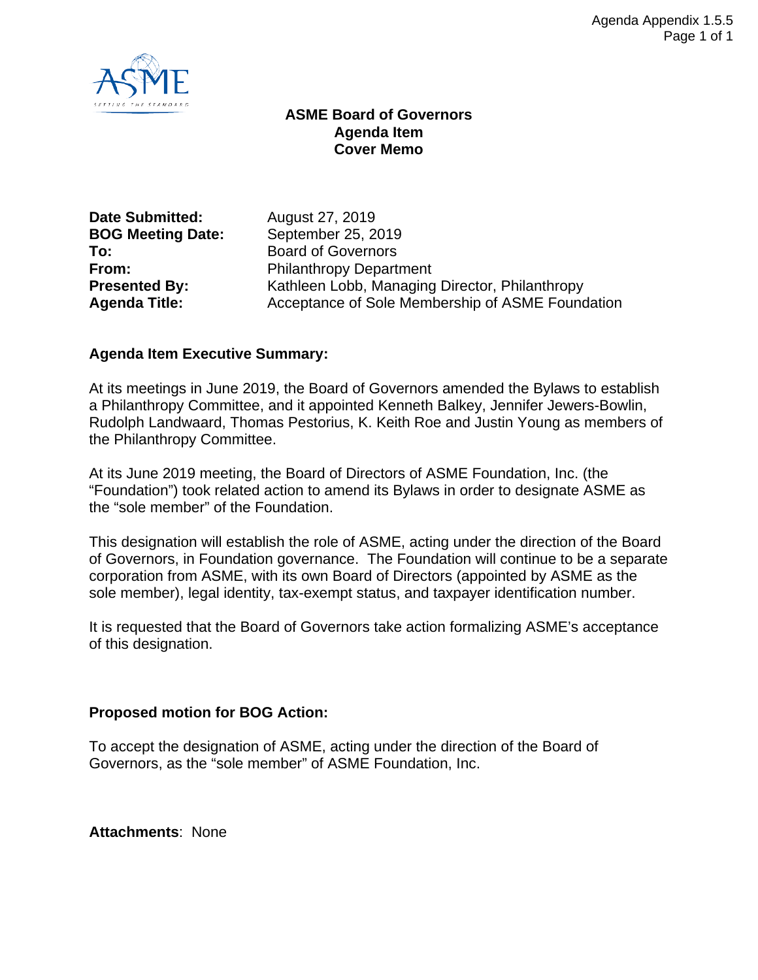

June 14, 1985 (editorial changes 6/87) (editorial changes 3/88) June 18, 1989 June 6, 1990 (editorial change 2/94 November 21, 1996 (editorial changes 9/97) June 9, 1999 (editorial changes 6/02) (editorial changes September 23, 2005 November 5, 2006 (editorial changes in responsible unit 4/09) (Unit Reassignment Due to Reorganization 2/12) November 15, 2013 September xx, 2019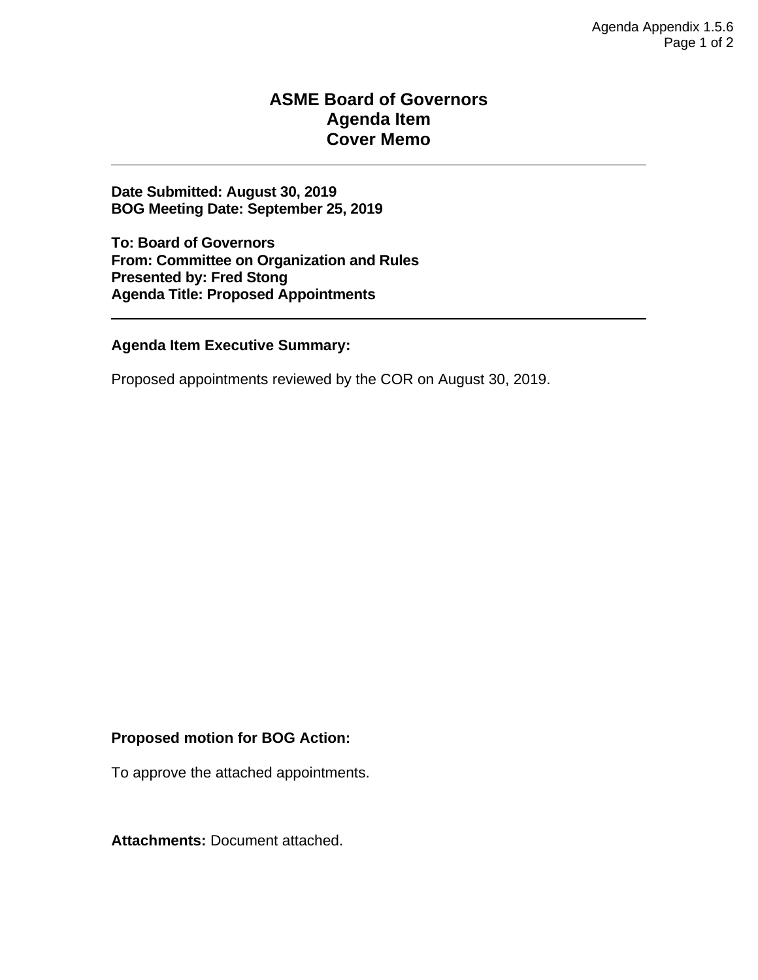

#### **ASME Board of Governors Agenda Item Cover Memo**

**BOG Meeting Date: To:** Board of Governors

**Date Submitted:** August 27, 2019<br>**BOG Meeting Date:** September 25, 2019 **From:** Philanthropy Department<br> **Presented By:** Kathleen Lobb, Managing Kathleen Lobb, Managing Director, Philanthropy Agenda Title: Acceptance of Sole Membership of ASME Foundation

#### **Agenda Item Executive Summary:**

At its meetings in June 2019, the Board of Governors amended the Bylaws to establish a Philanthropy Committee, and it appointed Kenneth Balkey, Jennifer Jewers-Bowlin, Rudolph Landwaard, Thomas Pestorius, K. Keith Roe and Justin Young as members of the Philanthropy Committee.

At its June 2019 meeting, the Board of Directors of ASME Foundation, Inc. (the "Foundation") took related action to amend its Bylaws in order to designate ASME as the "sole member" of the Foundation.

This designation will establish the role of ASME, acting under the direction of the Board of Governors, in Foundation governance. The Foundation will continue to be a separate corporation from ASME, with its own Board of Directors (appointed by ASME as the sole member), legal identity, tax-exempt status, and taxpayer identification number.

It is requested that the Board of Governors take action formalizing ASME's acceptance of this designation.

#### **Proposed motion for BOG Action:**

To accept the designation of ASME, acting under the direction of the Board of Governors, as the "sole member" of ASME Foundation, Inc.

**Attachments**: None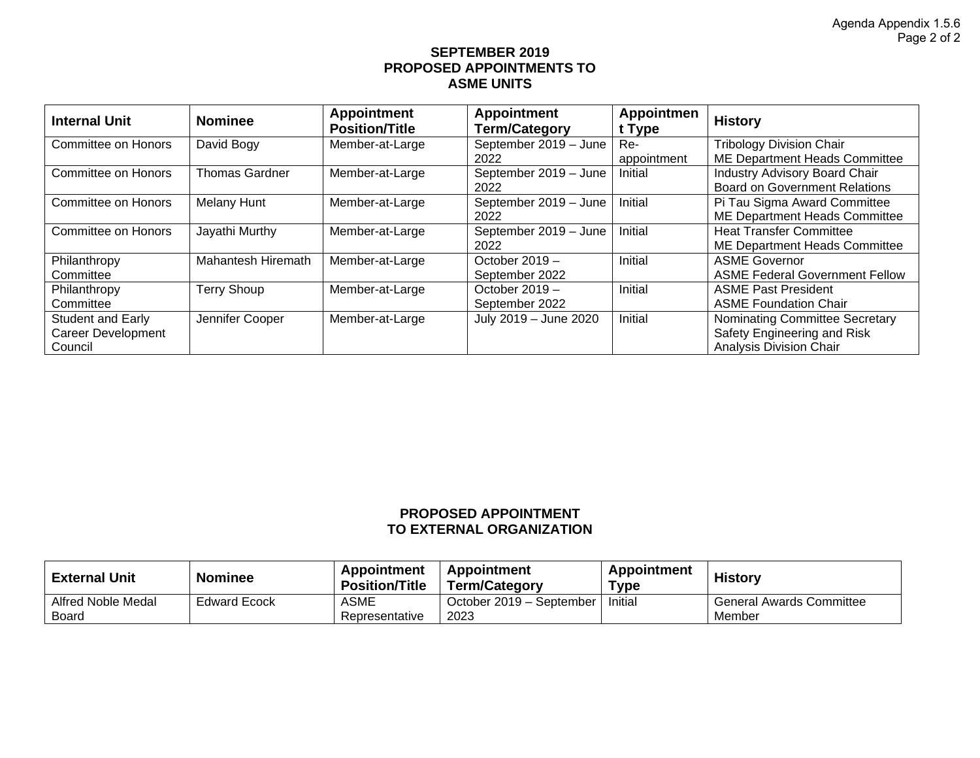#### **ASME Board of Governors Agenda Item Cover Memo**

**Date Submitted: August 30, 2019 BOG Meeting Date: September 25, 2019** 

**To: Board of Governors From: Committee on Organization and Rules Presented by: Fred Stong Agenda Title: Proposed Appointments** 

**Agenda Item Executive Summary:**

Proposed appointments reviewed by the COR on August 30, 2019.

#### **Proposed motion for BOG Action:**

To approve the attached appointments.

**Attachments:** Document attached.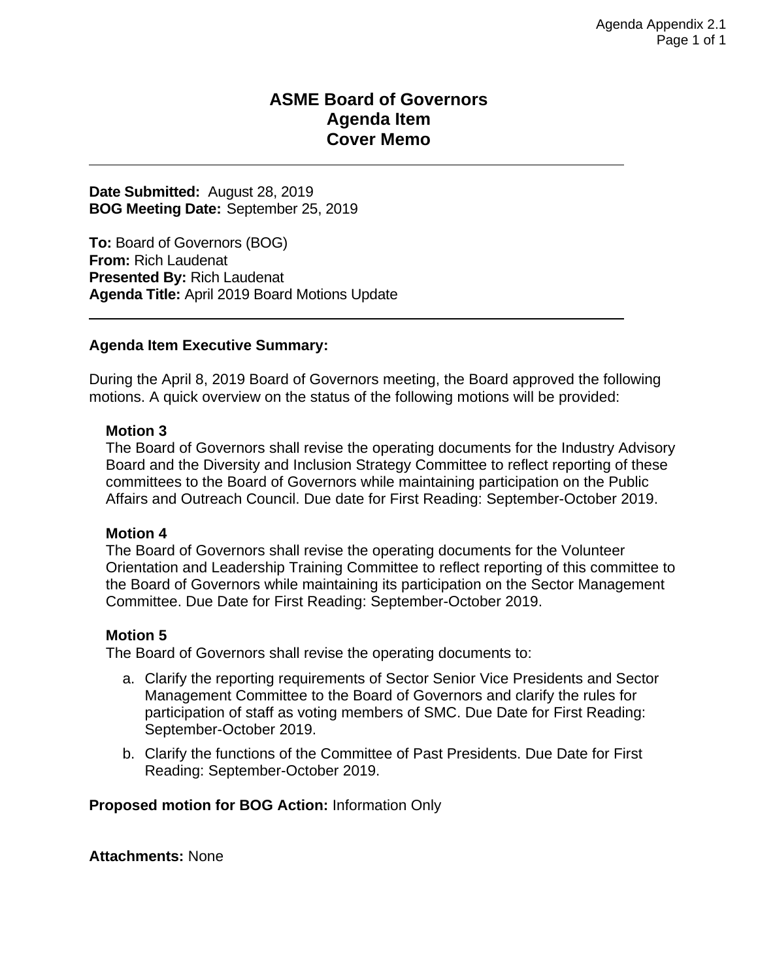#### **SEPTEMBER 2019 PROPOSED APPOINTMENTS TO ASME UNITS**

| <b>Internal Unit</b>      | <b>Nominee</b>        | <b>Appointment</b><br><b>Position/Title</b> | <b>Appointment</b><br>Term/Category | <b>Appointmen</b><br>t Type | <b>History</b>                        |
|---------------------------|-----------------------|---------------------------------------------|-------------------------------------|-----------------------------|---------------------------------------|
| Committee on Honors       | David Bogy            | Member-at-Large                             | September 2019 - June               | Re-                         | <b>Tribology Division Chair</b>       |
|                           |                       |                                             | 2022                                | appointment                 | ME Department Heads Committee         |
| Committee on Honors       | <b>Thomas Gardner</b> | Member-at-Large                             | September 2019 - June               | Initial                     | Industry Advisory Board Chair         |
|                           |                       |                                             | 2022                                |                             | <b>Board on Government Relations</b>  |
| Committee on Honors       | Melany Hunt           | Member-at-Large                             | September 2019 - June               | Initial                     | Pi Tau Sigma Award Committee          |
|                           |                       |                                             | 2022                                |                             | ME Department Heads Committee         |
| Committee on Honors       | Jayathi Murthy        | Member-at-Large                             | September 2019 - June               | Initial                     | <b>Heat Transfer Committee</b>        |
|                           |                       |                                             | 2022                                |                             | ME Department Heads Committee         |
| Philanthropy              | Mahantesh Hiremath    | Member-at-Large                             | October $2019 -$                    | Initial                     | <b>ASME Governor</b>                  |
| Committee                 |                       |                                             | September 2022                      |                             | <b>ASME Federal Government Fellow</b> |
| Philanthropy              | <b>Terry Shoup</b>    | Member-at-Large                             | October 2019 -                      | Initial                     | <b>ASME Past President</b>            |
| Committee                 |                       |                                             | September 2022                      |                             | <b>ASME Foundation Chair</b>          |
| <b>Student and Early</b>  | Jennifer Cooper       | Member-at-Large                             | July 2019 - June 2020               | Initial                     | Nominating Committee Secretary        |
| <b>Career Development</b> |                       |                                             |                                     |                             | Safety Engineering and Risk           |
| Council                   |                       |                                             |                                     |                             | <b>Analysis Division Chair</b>        |

#### **PROPOSED APPOINTMENT TO EXTERNAL ORGANIZATION**

| <b>External Unit</b>        | <b>Nominee</b>      | <b>Appointment</b><br><b>Position/Title</b> | Appointment<br><b>Term/Category</b> | Appointment<br>™уре | <b>History</b>                            |
|-----------------------------|---------------------|---------------------------------------------|-------------------------------------|---------------------|-------------------------------------------|
| Alfred Noble Medal<br>Board | <b>Edward Ecock</b> | ASME<br>Representative                      | October 2019 – September<br>2023    | Initial             | <b>General Awards Committee</b><br>Member |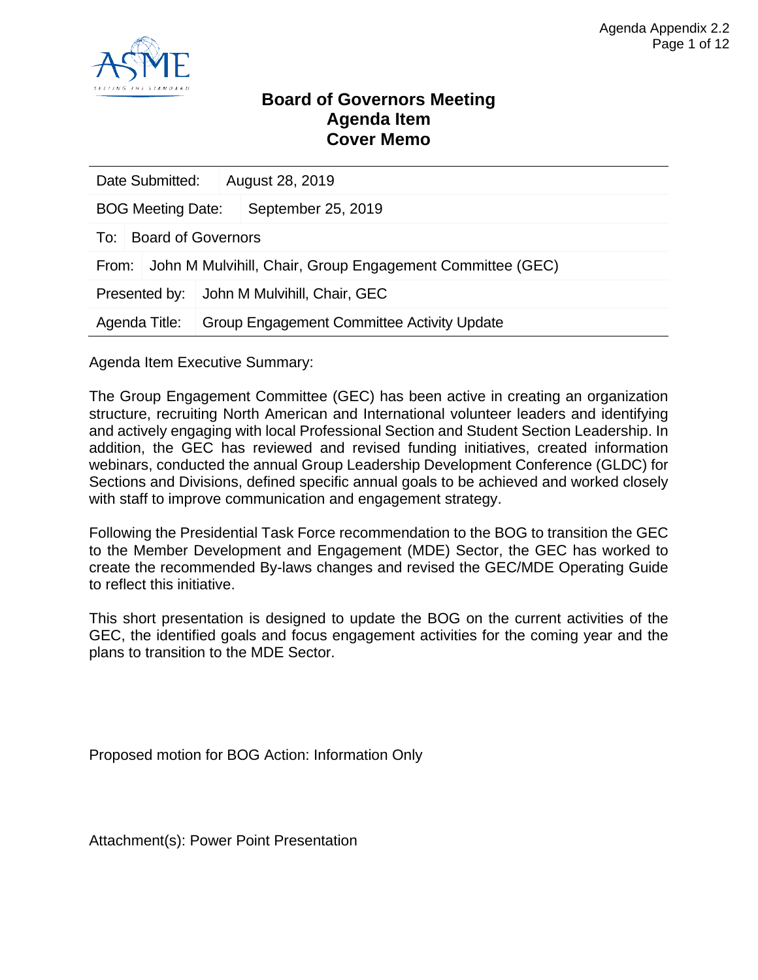#### **ASME Board of Governors Agenda Item Cover Memo**

**Date Submitted:** August 28, 2019 **BOG Meeting Date:** September 25, 2019

**To:** Board of Governors (BOG) **From:** Rich Laudenat **Presented By:** Rich Laudenat **Agenda Title:** April 2019 Board Motions Update

#### **Agenda Item Executive Summary:**

During the April 8, 2019 Board of Governors meeting, the Board approved the following motions. A quick overview on the status of the following motions will be provided:

#### **Motion 3**

The Board of Governors shall revise the operating documents for the Industry Advisory Board and the Diversity and Inclusion Strategy Committee to reflect reporting of these committees to the Board of Governors while maintaining participation on the Public Affairs and Outreach Council. Due date for First Reading: September-October 2019.

#### **Motion 4**

The Board of Governors shall revise the operating documents for the Volunteer Orientation and Leadership Training Committee to reflect reporting of this committee to the Board of Governors while maintaining its participation on the Sector Management Committee. Due Date for First Reading: September-October 2019.

#### **Motion 5**

The Board of Governors shall revise the operating documents to:

- a. Clarify the reporting requirements of Sector Senior Vice Presidents and Sector Management Committee to the Board of Governors and clarify the rules for participation of staff as voting members of SMC. Due Date for First Reading: September-October 2019.
- b. Clarify the functions of the Committee of Past Presidents. Due Date for First Reading: September-October 2019.

**Proposed motion for BOG Action:** Information Only

**Attachments:** None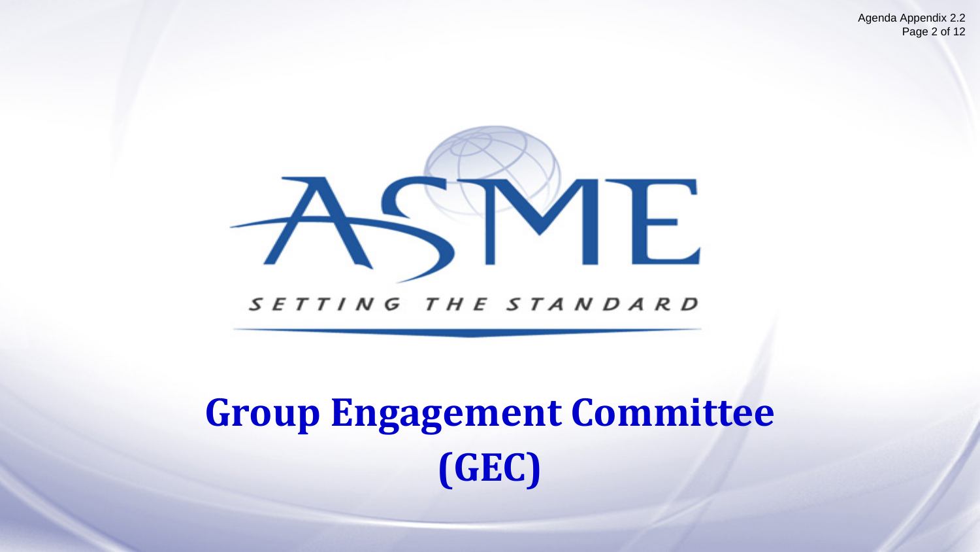

#### **Board of Governors Meeting Agenda Item Cover Memo**

| Date Submitted:          |                           |  | August 28, 2019                                           |  |  |
|--------------------------|---------------------------|--|-----------------------------------------------------------|--|--|
| <b>BOG Meeting Date:</b> |                           |  | September 25, 2019                                        |  |  |
| To:                      | <b>Board of Governors</b> |  |                                                           |  |  |
| From:                    |                           |  | John M Mulvihill, Chair, Group Engagement Committee (GEC) |  |  |
| Presented by:            |                           |  | John M Mulvihill, Chair, GEC                              |  |  |
| Agenda Title:            |                           |  | <b>Group Engagement Committee Activity Update</b>         |  |  |

Agenda Item Executive Summary:

The Group Engagement Committee (GEC) has been active in creating an organization structure, recruiting North American and International volunteer leaders and identifying and actively engaging with local Professional Section and Student Section Leadership. In addition, the GEC has reviewed and revised funding initiatives, created information webinars, conducted the annual Group Leadership Development Conference (GLDC) for Sections and Divisions, defined specific annual goals to be achieved and worked closely with staff to improve communication and engagement strategy.

Following the Presidential Task Force recommendation to the BOG to transition the GEC to the Member Development and Engagement (MDE) Sector, the GEC has worked to create the recommended By-laws changes and revised the GEC/MDE Operating Guide to reflect this initiative.

This short presentation is designed to update the BOG on the current activities of the GEC, the identified goals and focus engagement activities for the coming year and the plans to transition to the MDE Sector.

Proposed motion for BOG Action: Information Only

Attachment(s): Power Point Presentation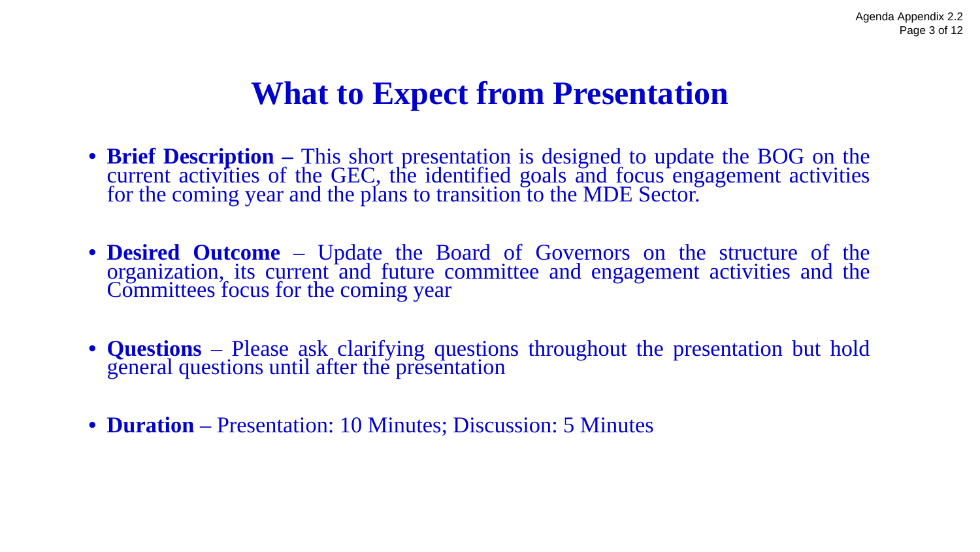Agenda Appendix 2.2 Page 2 of 12



# **Group Engagement Committee (GEC)**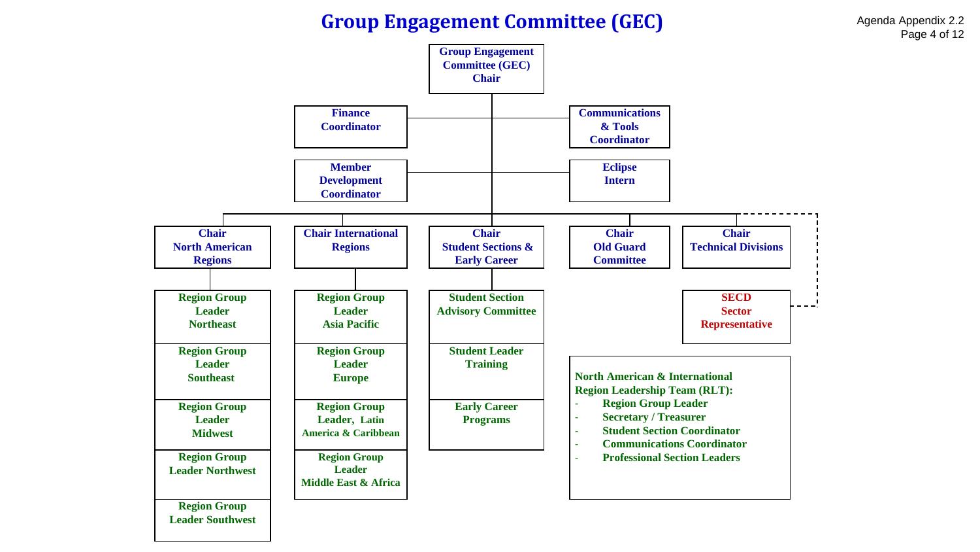### **What to Expect from Presentation**

- **Brief Description –** This short presentation is designed to update the BOG on the current activities of the GEC, the identified goals and focus engagement activities for the coming year and the plans to transition to the MDE Sector.
- **Desired Outcome** Update the Board of Governors on the structure of the organization, its current and future committee and engagement activities and the Committees focus for the coming year
- **Questions** Please ask clarifying questions throughout the presentation but hold general questions until after the presentation
- **Duration** Presentation: 10 Minutes; Discussion: 5 Minutes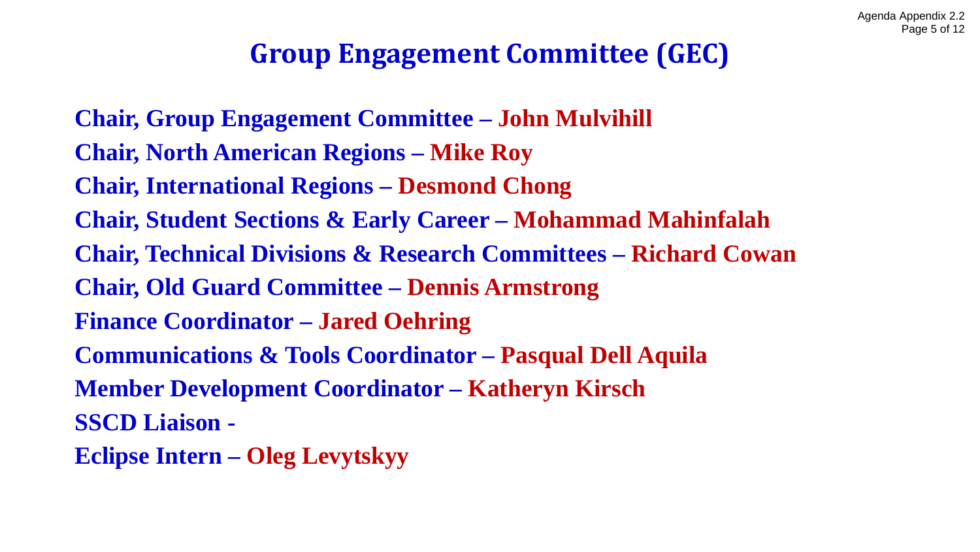#### **Group Engagement Committee (GEC)**

Agenda Appendix 2.2 Page 4 of 12

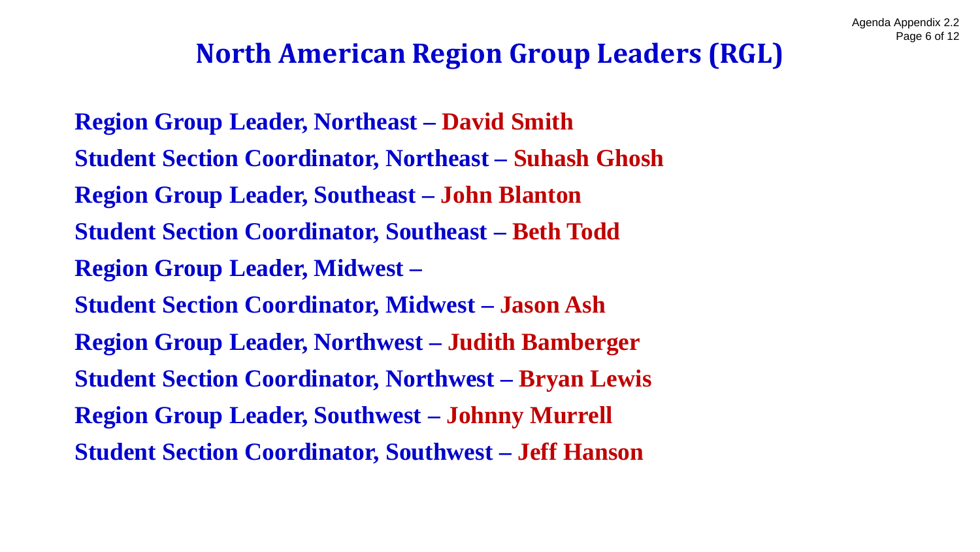### **Group Engagement Committee (GEC)**

**Chair, Group Engagement Committee – John Mulvihill Chair, North American Regions – Mike Roy Chair, International Regions – Desmond Chong Chair, Student Sections & Early Career – Mohammad Mahinfalah Chair, Technical Divisions & Research Committees – Richard Cowan Chair, Old Guard Committee – Dennis Armstrong Finance Coordinator – Jared Oehring Communications & Tools Coordinator – Pasqual Dell Aquila Member Development Coordinator – Katheryn Kirsch SSCD Liaison - Eclipse Intern – Oleg Levytskyy**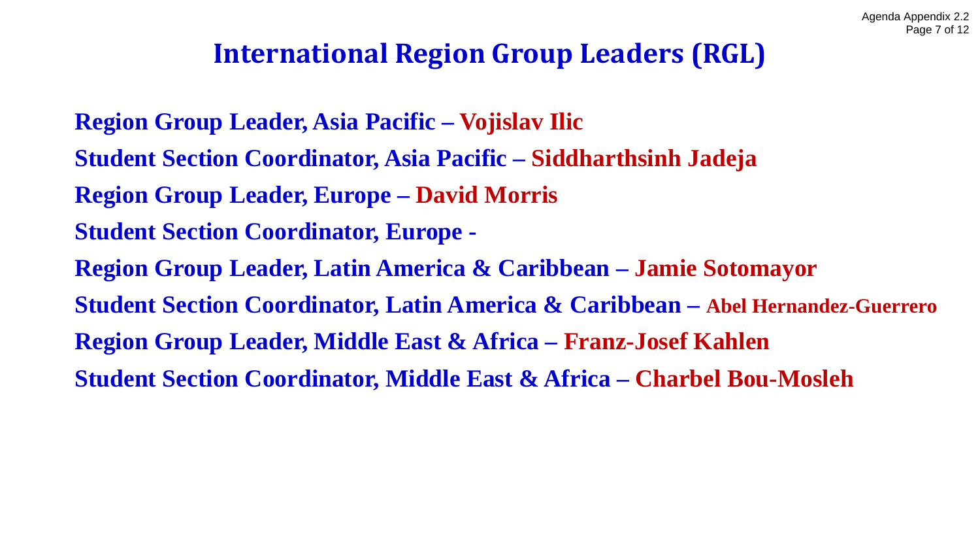### **North American Region Group Leaders (RGL)**

**Region Group Leader, Northeast – David Smith Student Section Coordinator, Northeast – Suhash Ghosh Region Group Leader, Southeast – John Blanton Student Section Coordinator, Southeast – Beth Todd Region Group Leader, Midwest – Student Section Coordinator, Midwest – Jason Ash Region Group Leader, Northwest – Judith Bamberger Student Section Coordinator, Northwest – Bryan Lewis Region Group Leader, Southwest – Johnny Murrell Student Section Coordinator, Southwest – Jeff Hanson**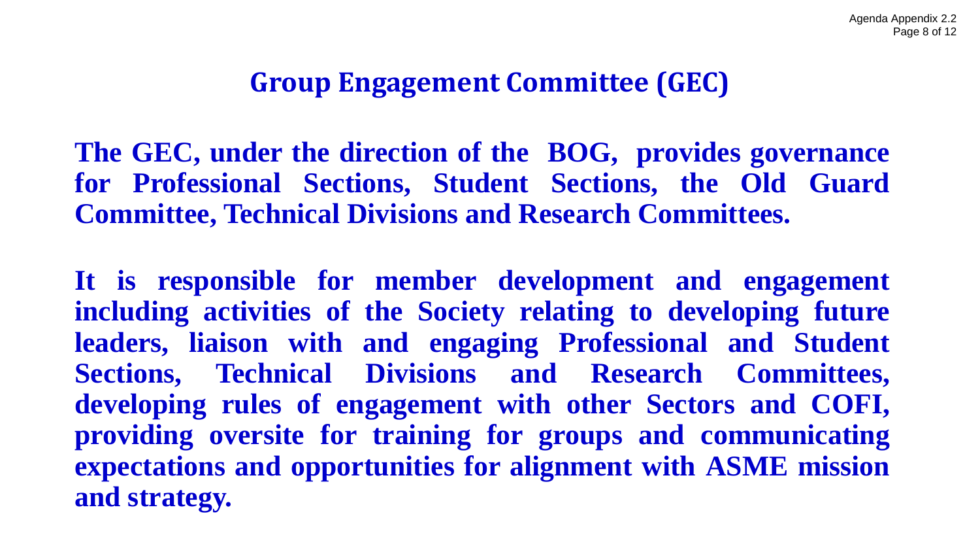### **International Region Group Leaders (RGL)**

**Region Group Leader, Asia Pacific – Vojislav Ilic Student Section Coordinator, Asia Pacific – Siddharthsinh Jadeja Region Group Leader, Europe – David Morris Student Section Coordinator, Europe - Region Group Leader, Latin America & Caribbean – Jamie Sotomayor Student Section Coordinator, Latin America & Caribbean – Abel Hernandez-Guerrero Region Group Leader, Middle East & Africa – Franz-Josef Kahlen Student Section Coordinator, Middle East & Africa – Charbel Bou-Mosleh**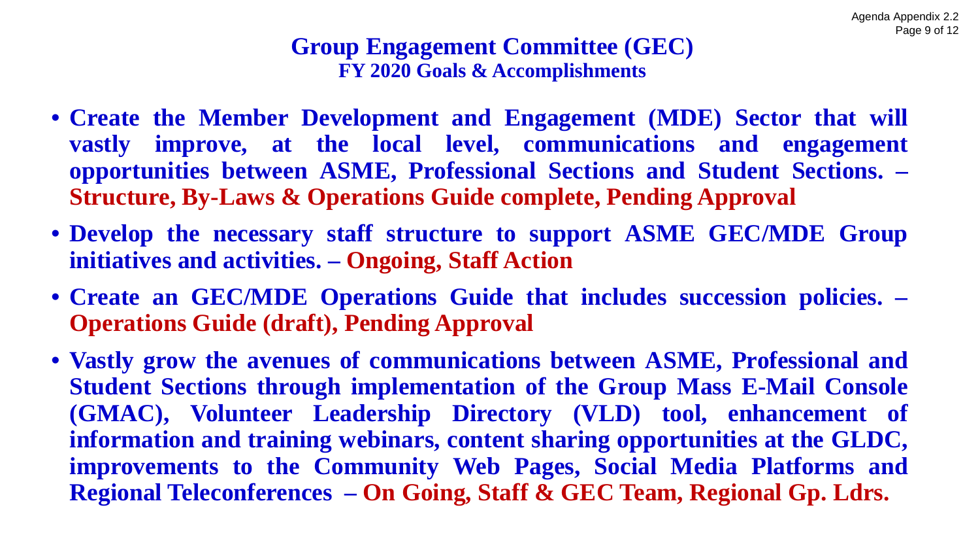### **Group Engagement Committee (GEC)**

**The GEC, under the direction of the BOG, provides governance for Professional Sections, Student Sections, the Old Guard Committee, Technical Divisions and Research Committees.**

**It is responsible for member development and engagement including activities of the Society relating to developing future leaders, liaison with and engaging Professional and Student Sections, Technical Divisions and Research Committees, developing rules of engagement with other Sectors and COFI, providing oversite for training for groups and communicating expectations and opportunities for alignment with ASME mission and strategy.**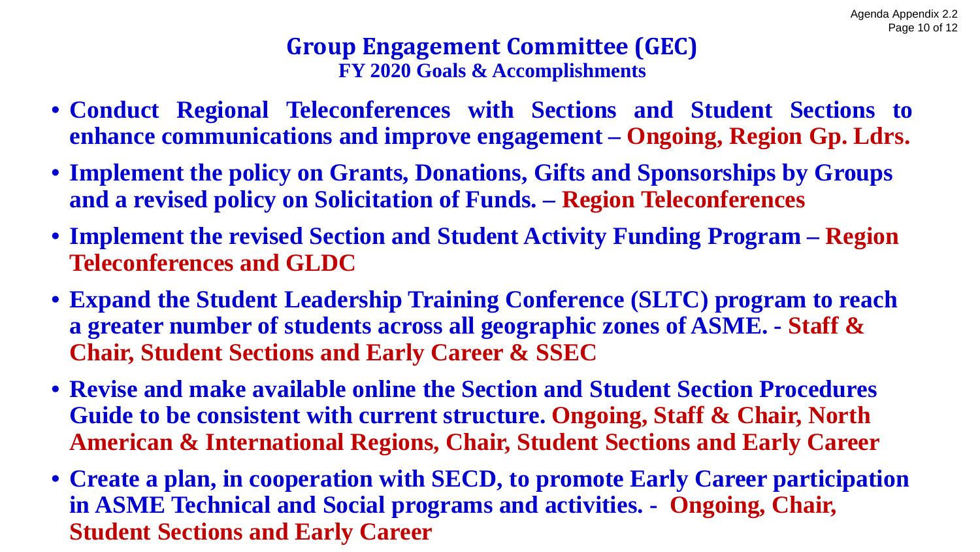#### **Group Engagement Committee (GEC) FY 2020 Goals & Accomplishments**

- **Create the Member Development and Engagement (MDE) Sector that will vastly improve, at the local level, communications and engagement opportunities between ASME, Professional Sections and Student Sections. – Structure, By-Laws & Operations Guide complete, Pending Approval**
- **Develop the necessary staff structure to support ASME GEC/MDE Group initiatives and activities. – Ongoing, Staff Action**
- **Create an GEC/MDE Operations Guide that includes succession policies. – Operations Guide (draft), Pending Approval**
- **Vastly grow the avenues of communications between ASME, Professional and Student Sections through implementation of the Group Mass E-Mail Console (GMAC), Volunteer Leadership Directory (VLD) tool, enhancement of information and training webinars, content sharing opportunities at the GLDC, improvements to the Community Web Pages, Social Media Platforms and Regional Teleconferences – On Going, Staff & GEC Team, Regional Gp. Ldrs.**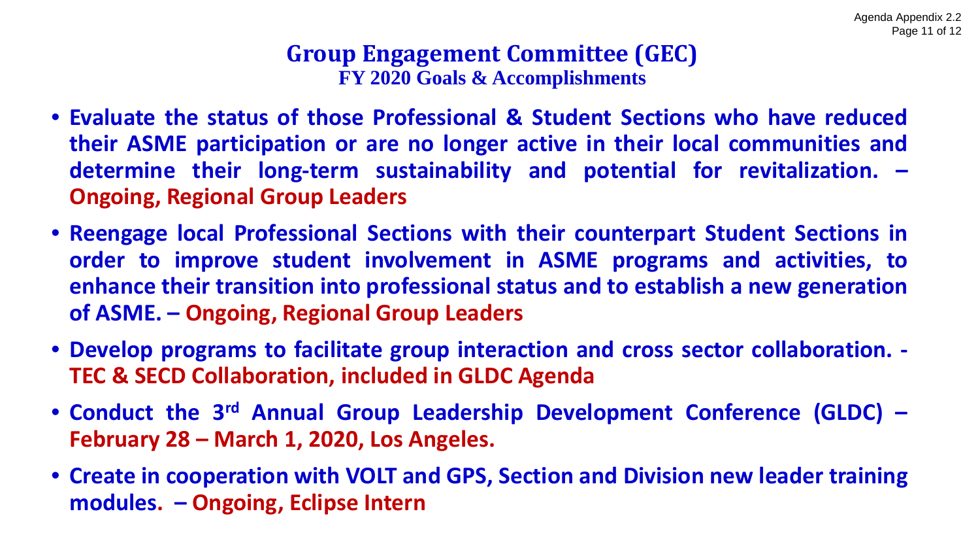#### **Group Engagement Committee (GEC) FY 2020 Goals & Accomplishments**

- **Conduct Regional Teleconferences with Sections and Student Sections to enhance communications and improve engagement – Ongoing, Region Gp. Ldrs.**
- **Implement the policy on Grants, Donations, Gifts and Sponsorships by Groups and a revised policy on Solicitation of Funds. – Region Teleconferences**
- **Implement the revised Section and Student Activity Funding Program – Region Teleconferences and GLDC**
- **Expand the Student Leadership Training Conference (SLTC) program to reach a greater number of students across all geographic zones of ASME. - Staff & Chair, Student Sections and Early Career & SSEC**
- **Revise and make available online the Section and Student Section Procedures Guide to be consistent with current structure. Ongoing, Staff & Chair, North American & International Regions, Chair, Student Sections and Early Career**
- **Create a plan, in cooperation with SECD, to promote Early Career participation in ASME Technical and Social programs and activities. - Ongoing, Chair, Student Sections and Early Career**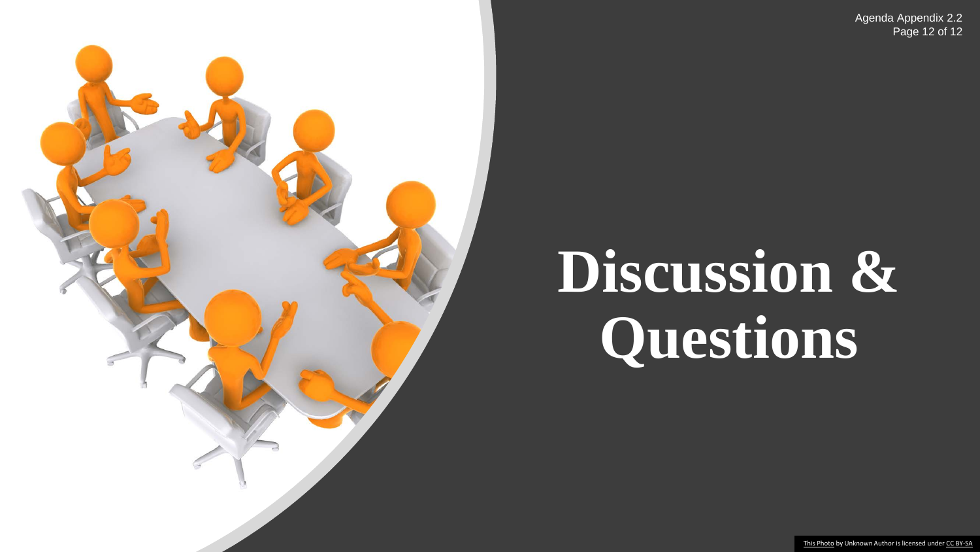#### **Group Engagement Committee (GEC) FY 2020 Goals & Accomplishments**

- **Evaluate the status of those Professional & Student Sections who have reduced their ASME participation or are no longer active in their local communities and determine their long-term sustainability and potential for revitalization. – Ongoing, Regional Group Leaders**
- **Reengage local Professional Sections with their counterpart Student Sections in order to improve student involvement in ASME programs and activities, to enhance their transition into professional status and to establish a new generation of ASME. – Ongoing, Regional Group Leaders**
- **Develop programs to facilitate group interaction and cross sector collaboration. - TEC & SECD Collaboration, included in GLDC Agenda**
- **Conduct the 3rd Annual Group Leadership Development Conference (GLDC) – February 28 – March 1, 2020, Los Angeles.**
- **Create in cooperation with VOLT and GPS, Section and Division new leader training modules. – Ongoing, Eclipse Intern**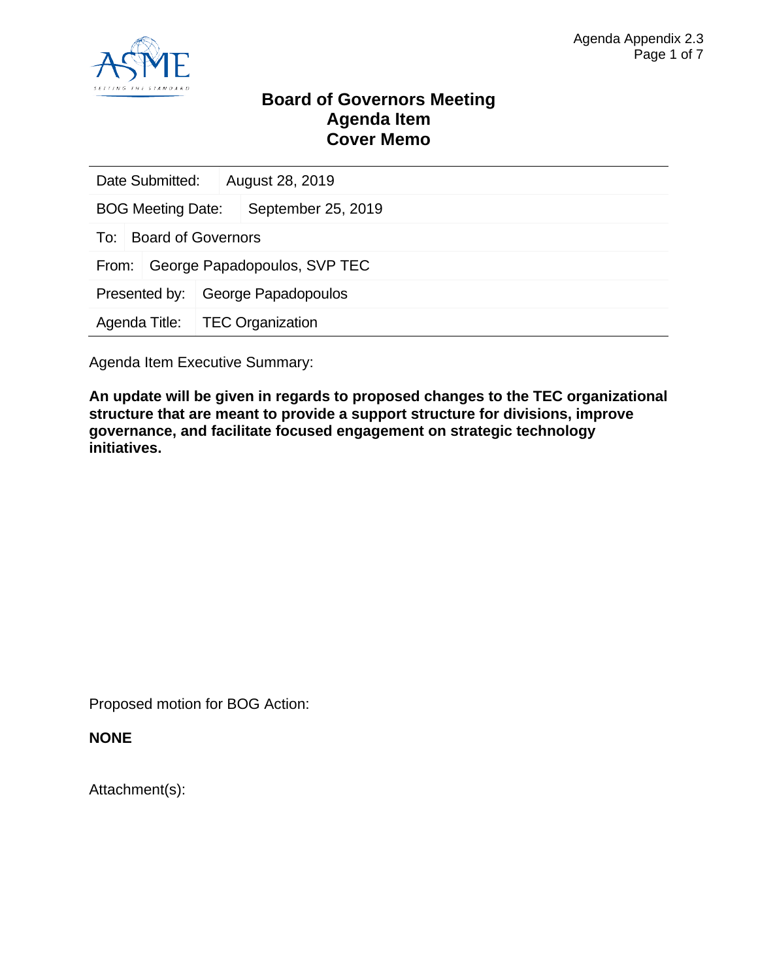Agenda Appendix 2.2 Page 12 of 12



# **Discussion & Questions**

[This Photo](https://www.flickr.com/photos/lumaxart/2136953861) by Unknown Author is licensed under [CC BY-SA](https://creativecommons.org/licenses/by-sa/3.0/)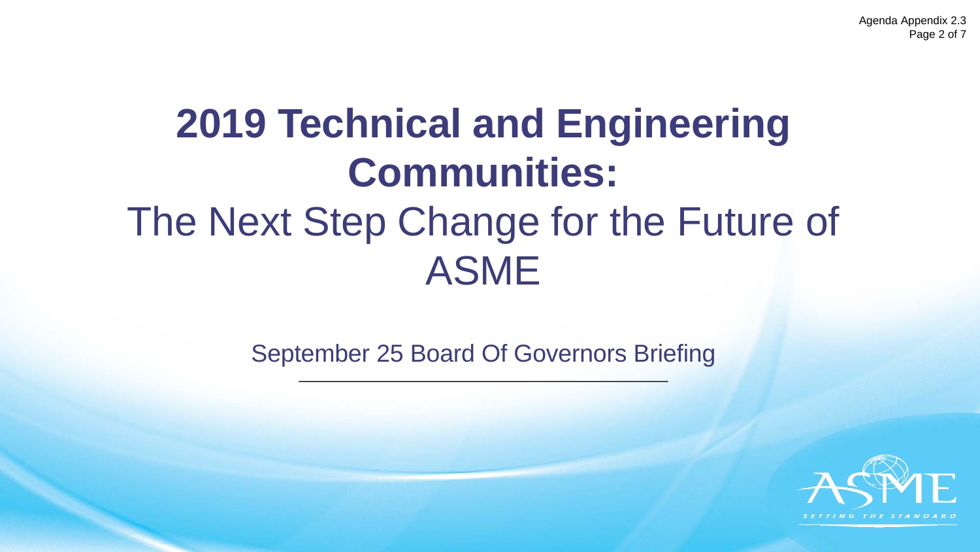

#### **Board of Governors Meeting Agenda Item Cover Memo**

| Date Submitted:                  |                     | August 28, 2019              |  |  |
|----------------------------------|---------------------|------------------------------|--|--|
| <b>BOG Meeting Date:</b>         |                     | September 25, 2019           |  |  |
| <b>Board of Governors</b><br>To: |                     |                              |  |  |
| From:                            |                     | George Papadopoulos, SVP TEC |  |  |
| Presented by:                    | George Papadopoulos |                              |  |  |
| Agenda Title:                    |                     | <b>TEC Organization</b>      |  |  |
|                                  |                     |                              |  |  |

Agenda Item Executive Summary:

**An update will be given in regards to proposed changes to the TEC organizational structure that are meant to provide a support structure for divisions, improve governance, and facilitate focused engagement on strategic technology initiatives.**

Proposed motion for BOG Action:

**NONE**

Attachment(s):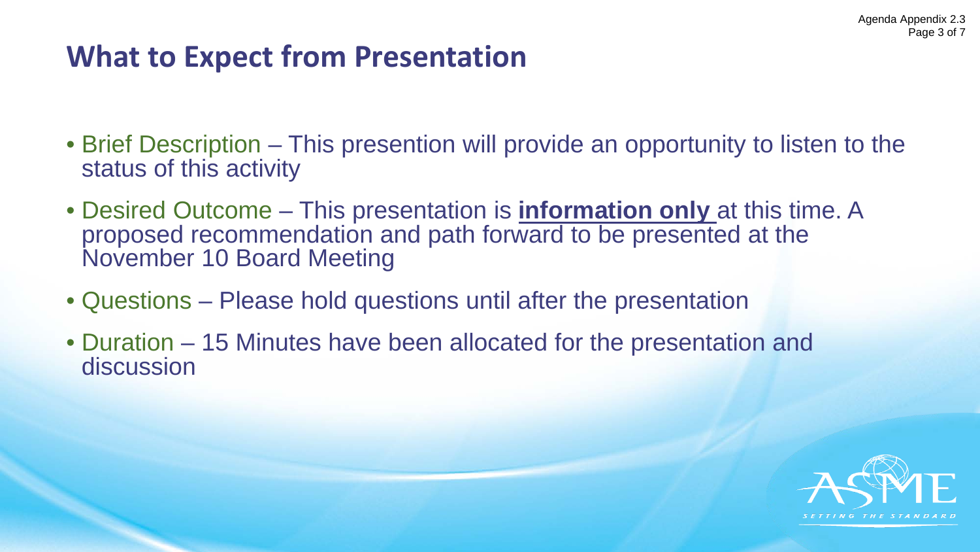Agenda Appendix 2.3 Page 2 of 7

# **2019 Technical and Engineering Communities:** The Next Step Change for the Future of ASME

September 25 Board Of Governors Briefing

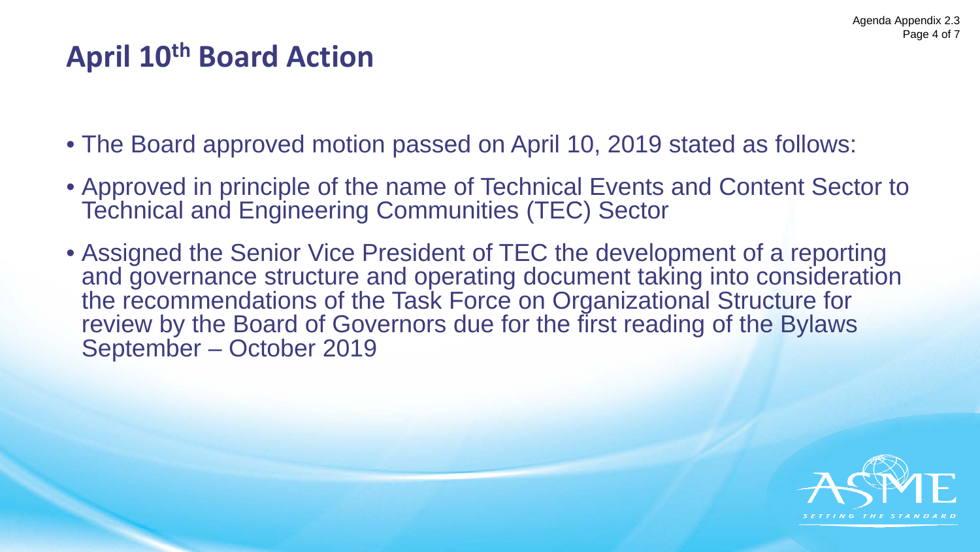### **What to Expect from Presentation**

- Brief Description This presention will provide an opportunity to listen to the status of this activity
- Desired Outcome This presentation is **information only** at this time. A proposed recommendation and path forward to be presented at the November 10 Board Meeting
- Questions Please hold questions until after the presentation
- Duration 15 Minutes have been allocated for the presentation and discussion

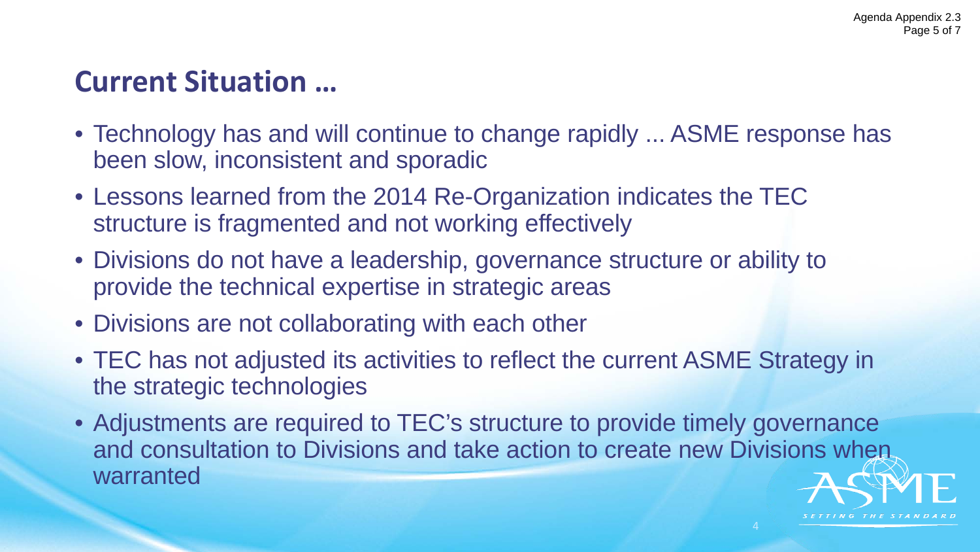### **April 10th Board Action**

- The Board approved motion passed on April 10, 2019 stated as follows:
- Approved in principle of the name of Technical Events and Content Sector to Technical and Engineering Communities (TEC) Sector
- Assigned the Senior Vice President of TEC the development of a reporting and governance structure and operating document taking into consideration the recommendations of the Task Force on Organizational Structure for review by the Board of Governors due for the first reading of the Bylaws September – October 2019

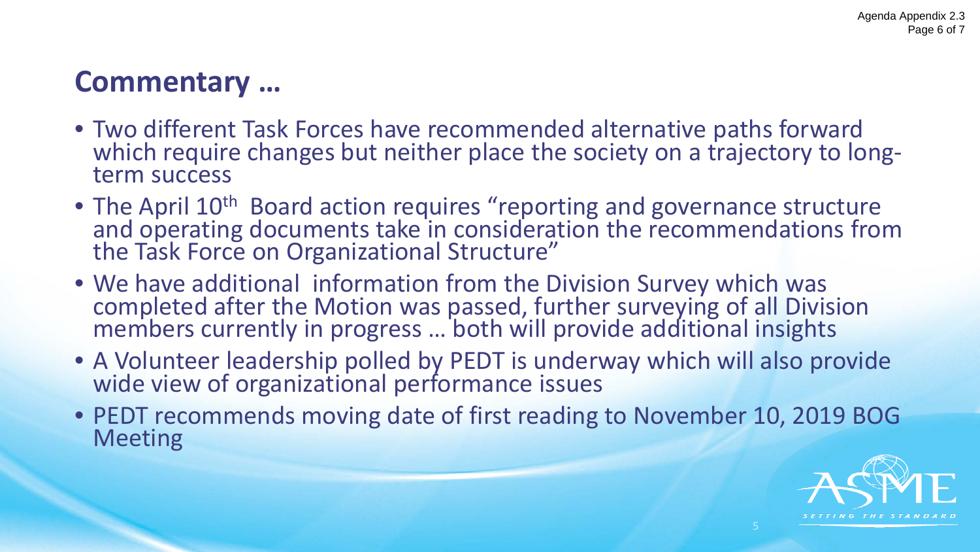$T/NGTHE$ 

### **Current Situation …**

- Technology has and will continue to change rapidly ... ASME response has been slow, inconsistent and sporadic
- Lessons learned from the 2014 Re-Organization indicates the TEC structure is fragmented and not working effectively
- Divisions do not have a leadership, governance structure or ability to provide the technical expertise in strategic areas
- Divisions are not collaborating with each other
- TEC has not adjusted its activities to reflect the current ASME Strategy in the strategic technologies
- Adjustments are required to TEC's structure to provide timely governance and consultation to Divisions and take action to create new Divisions when warranted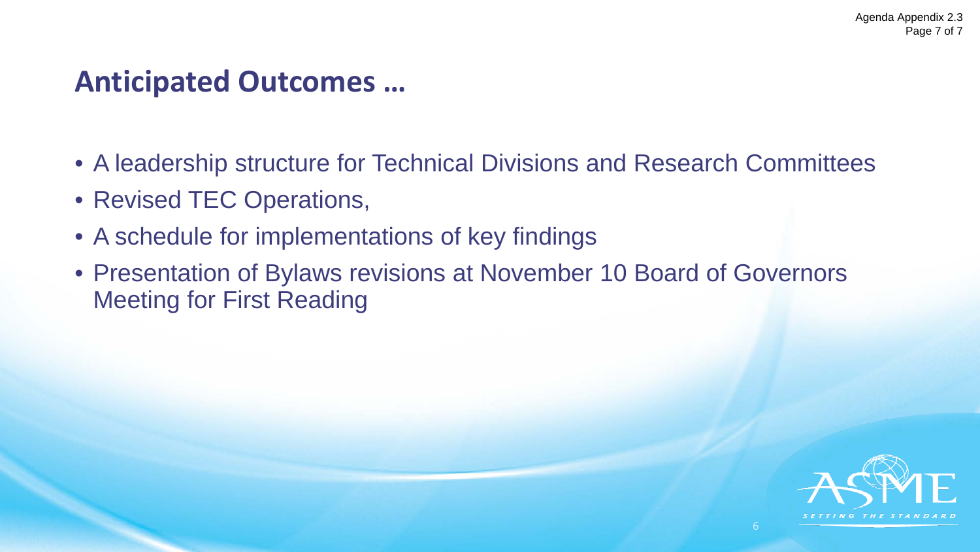### **Commentary …**

- Two different Task Forces have recommended alternative paths forward which require changes but neither place the society on a trajectory to long-<br>term success
- The April 10<sup>th</sup> Board action requires "reporting and governance structure and operating documents take in consideration the recommendations from the Task Force on Organizational Structure"
- We have additional information from the Division Survey which was completed after the Motion was passed, further surveying of all Division members currently in progress ... both will provide additional insights
- A Volunteer leadership polled by PEDT is underway which will also provide wide view of organizational performance issues
- PEDT recommends moving date of first reading to November 10, 2019 BOG Meeting

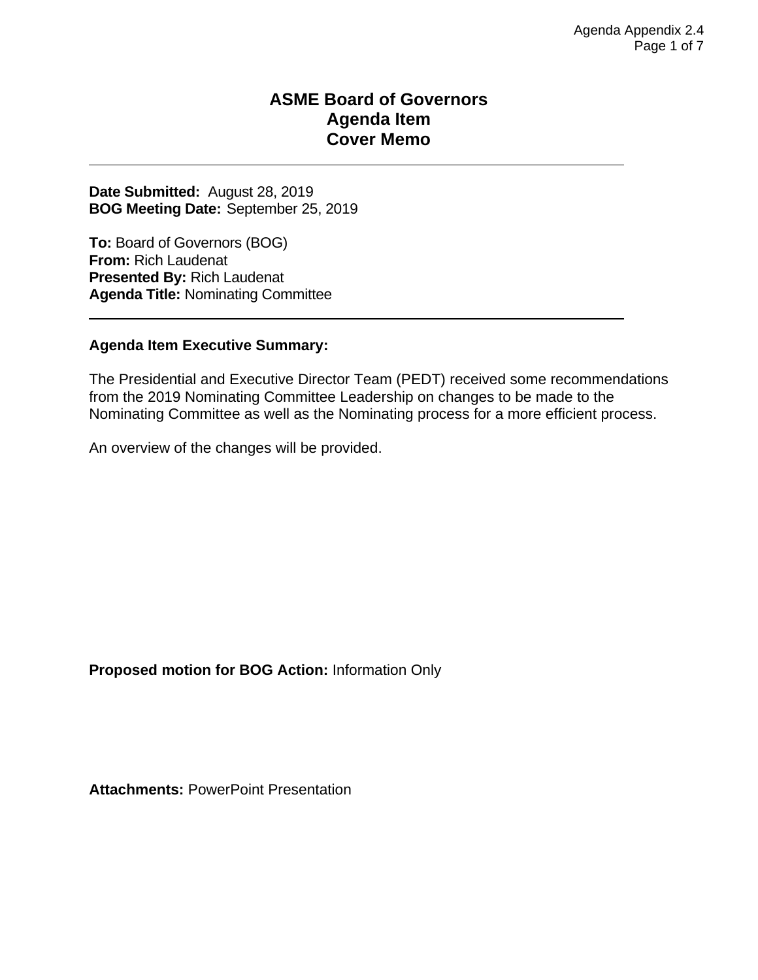### **Anticipated Outcomes …**

- A leadership structure for Technical Divisions and Research Committees
- Revised TEC Operations,
- A schedule for implementations of key findings
- Presentation of Bylaws revisions at November 10 Board of Governors Meeting for First Reading

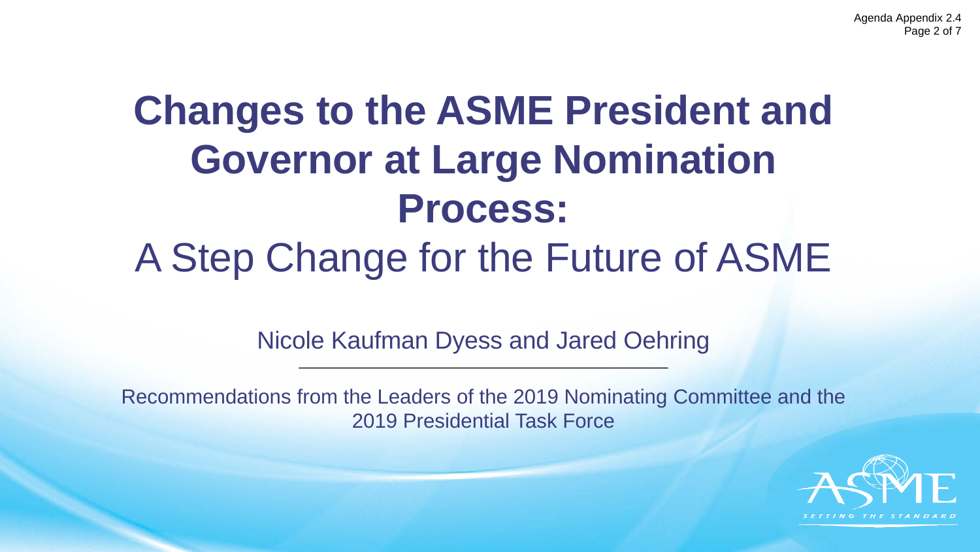#### **ASME Board of Governors Agenda Item Cover Memo**

**Date Submitted:** August 28, 2019 **BOG Meeting Date:** September 25, 2019

**To:** Board of Governors (BOG) **From:** Rich Laudenat **Presented By:** Rich Laudenat **Agenda Title:** Nominating Committee

#### **Agenda Item Executive Summary:**

The Presidential and Executive Director Team (PEDT) received some recommendations from the 2019 Nominating Committee Leadership on changes to be made to the Nominating Committee as well as the Nominating process for a more efficient process.

An overview of the changes will be provided.

**Proposed motion for BOG Action:** Information Only

**Attachments:** PowerPoint Presentation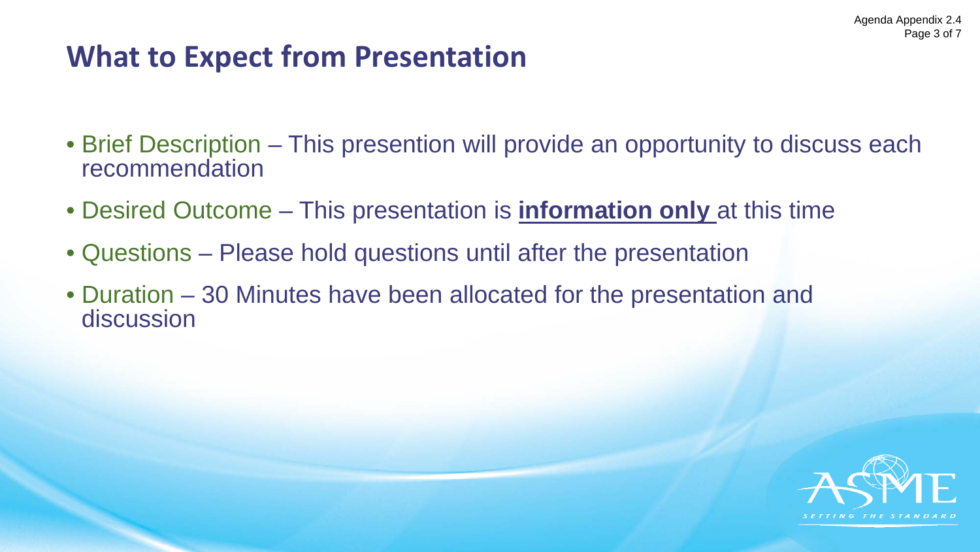Agenda Appendix 2.4 Page 2 of 7

# **Changes to the ASME President and Governor at Large Nomination Process:** A Step Change for the Future of ASME

Nicole Kaufman Dyess and Jared Oehring

Recommendations from the Leaders of the 2019 Nominating Committee and the 2019 Presidential Task Force

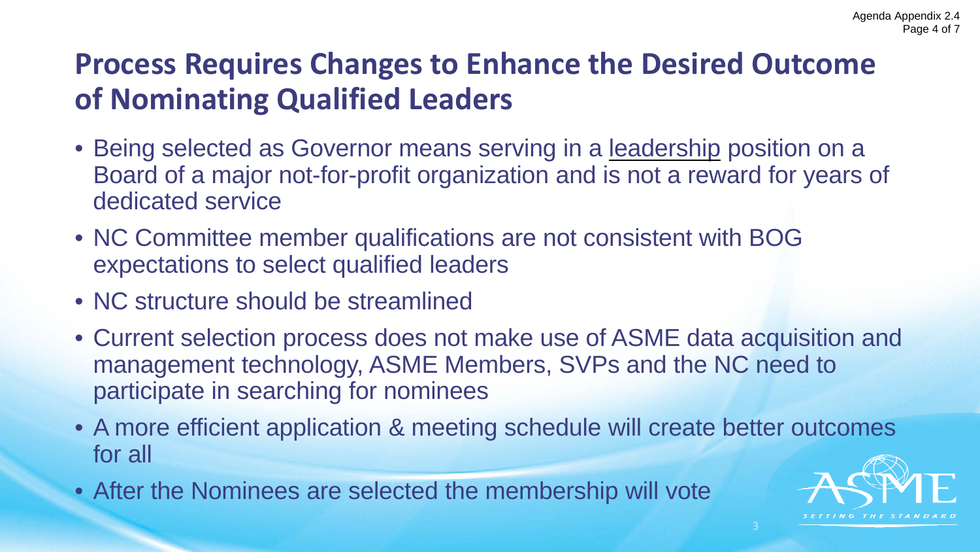### **What to Expect from Presentation**

- Brief Description This presention will provide an opportunity to discuss each recommendation
- Desired Outcome This presentation is **information only** at this time
- Questions Please hold questions until after the presentation
- Duration 30 Minutes have been allocated for the presentation and discussion

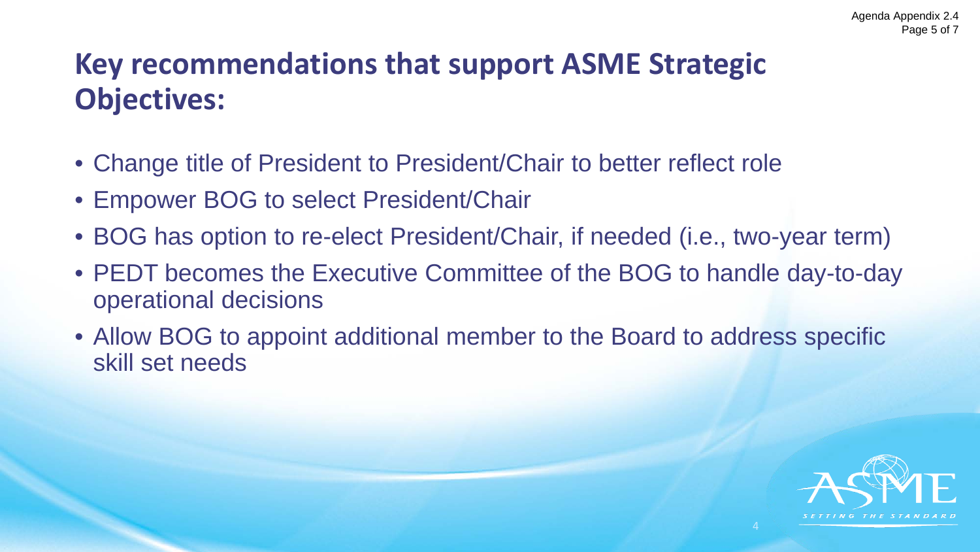### **Process Requires Changes to Enhance the Desired Outcome of Nominating Qualified Leaders**

- Being selected as Governor means serving in a leadership position on a Board of a major not-for-profit organization and is not a reward for years of dedicated service
- NC Committee member qualifications are not consistent with BOG expectations to select qualified leaders
- NC structure should be streamlined
- Current selection process does not make use of ASME data acquisition and management technology, ASME Members, SVPs and the NC need to participate in searching for nominees
- A more efficient application & meeting schedule will create better outcomes for all
- After the Nominees are selected the membership will vote

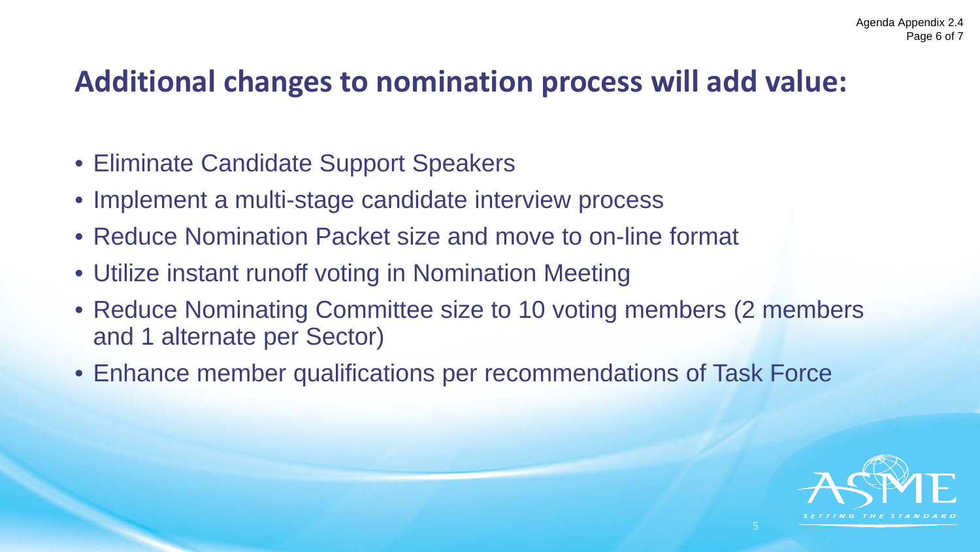### **Key recommendations that support ASME Strategic Objectives:**

- Change title of President to President/Chair to better reflect role
- Empower BOG to select President/Chair
- BOG has option to re-elect President/Chair, if needed (i.e., two-year term)
- PEDT becomes the Executive Committee of the BOG to handle day-to-day operational decisions
- Allow BOG to appoint additional member to the Board to address specific skill set needs

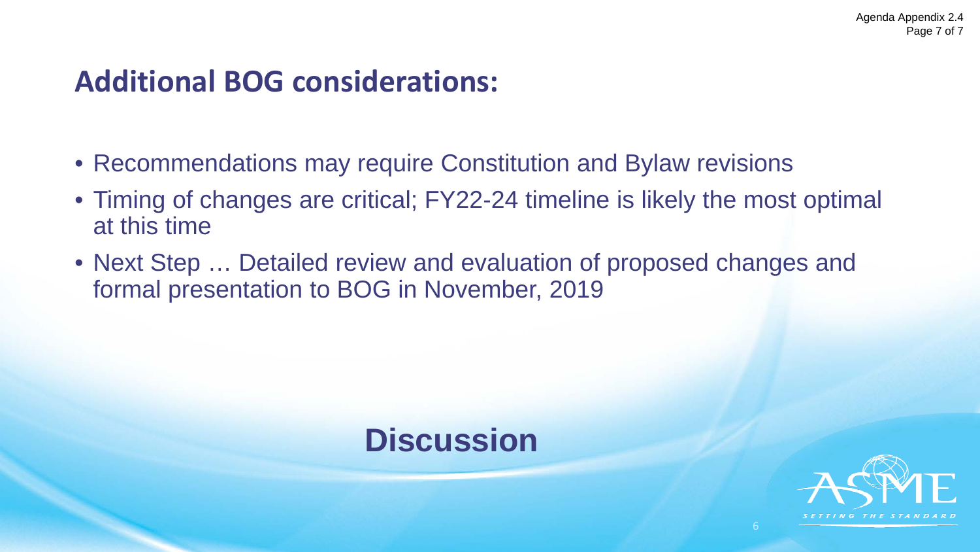### **Additional changes to nomination process will add value:**

- Eliminate Candidate Support Speakers
- Implement a multi-stage candidate interview process
- Reduce Nomination Packet size and move to on-line format
- Utilize instant runoff voting in Nomination Meeting
- Reduce Nominating Committee size to 10 voting members (2 members and 1 alternate per Sector)
- Enhance member qualifications per recommendations of Task Force

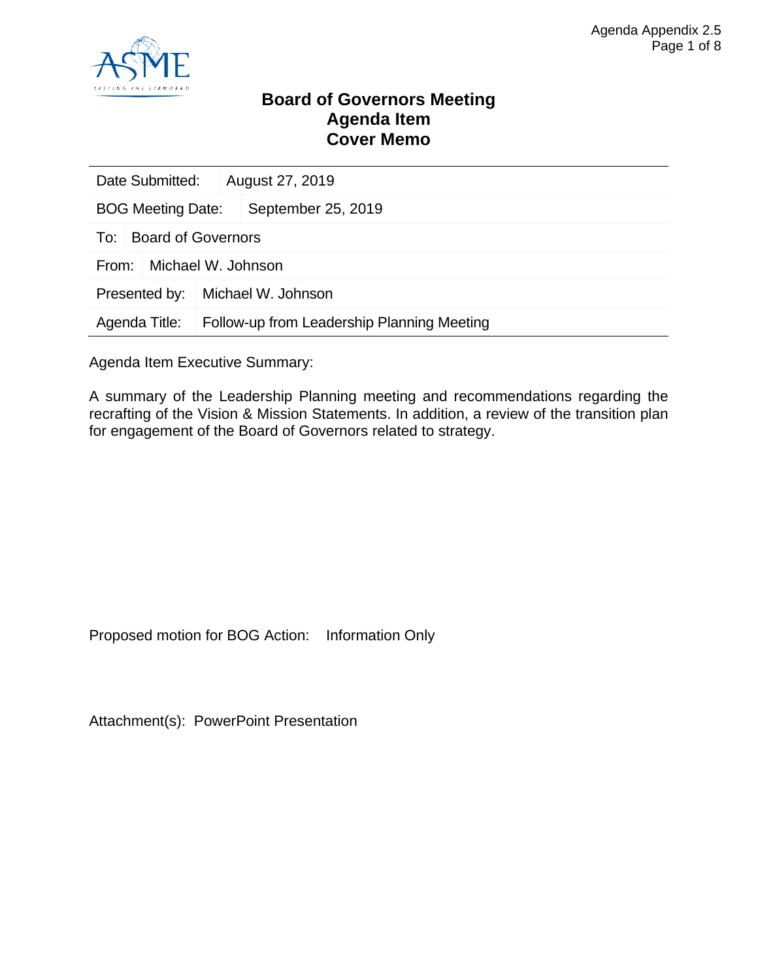### **Additional BOG considerations:**

- Recommendations may require Constitution and Bylaw revisions
- Timing of changes are critical; FY22-24 timeline is likely the most optimal at this time
- Next Step … Detailed review and evaluation of proposed changes and formal presentation to BOG in November, 2019



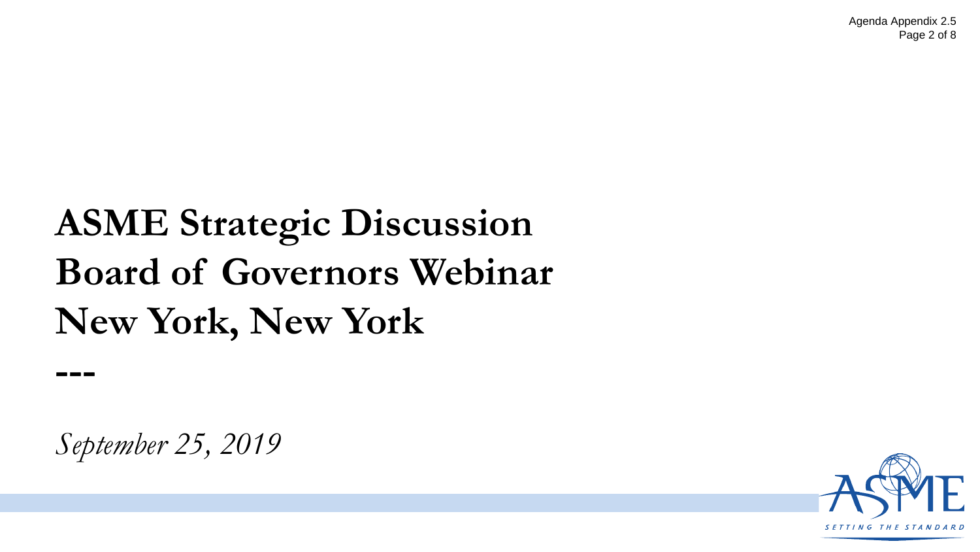

#### **Board of Governors Meeting Agenda Item Cover Memo**

| Date Submitted:                  |                    | August 27, 2019                            |  |  |
|----------------------------------|--------------------|--------------------------------------------|--|--|
| <b>BOG Meeting Date:</b>         |                    | September 25, 2019                         |  |  |
| <b>Board of Governors</b><br>To: |                    |                                            |  |  |
| Michael W. Johnson<br>From:      |                    |                                            |  |  |
| Presented by:                    | Michael W. Johnson |                                            |  |  |
| Agenda Title:                    |                    | Follow-up from Leadership Planning Meeting |  |  |

Agenda Item Executive Summary:

A summary of the Leadership Planning meeting and recommendations regarding the recrafting of the Vision & Mission Statements. In addition, a review of the transition plan for engagement of the Board of Governors related to strategy.

Proposed motion for BOG Action:Information Only

Attachment(s): PowerPoint Presentation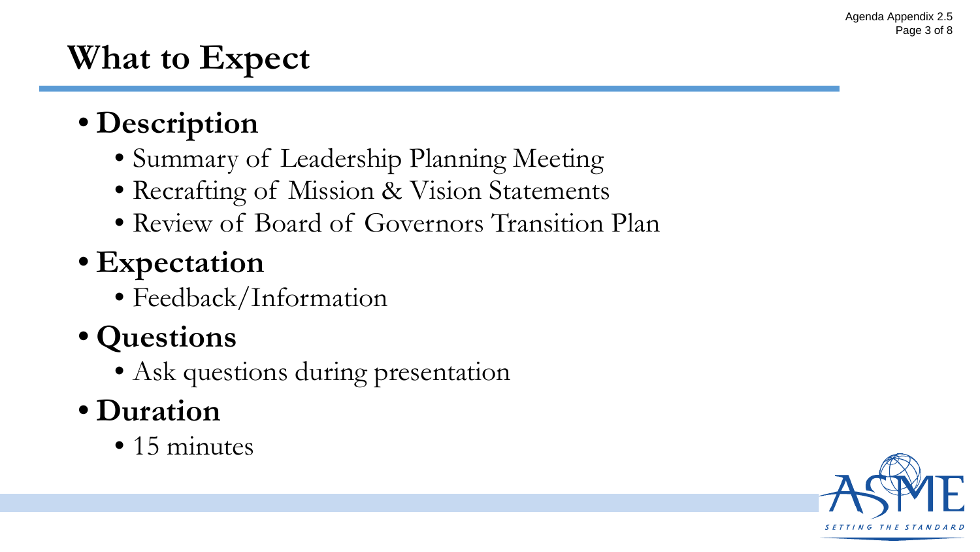Agenda Appendix 2.5 Page 2 of 8

## **ASME Strategic Discussion Board of Governors Webinar New York, New York**

*September 25, 2019*

**---**

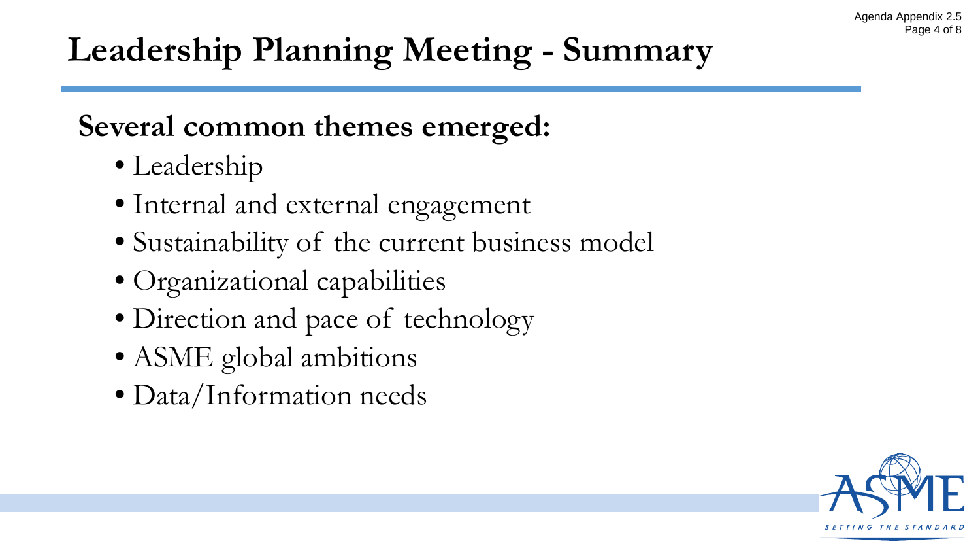### **What to Expect**

- **Description**
	- Summary of Leadership Planning Meeting
	- Recrafting of Mission & Vision Statements
	- Review of Board of Governors Transition Plan

### • **Expectation**

• Feedback/Information

### • **Questions**

• Ask questions during presentation

### • **Duration**

• 15 minutes

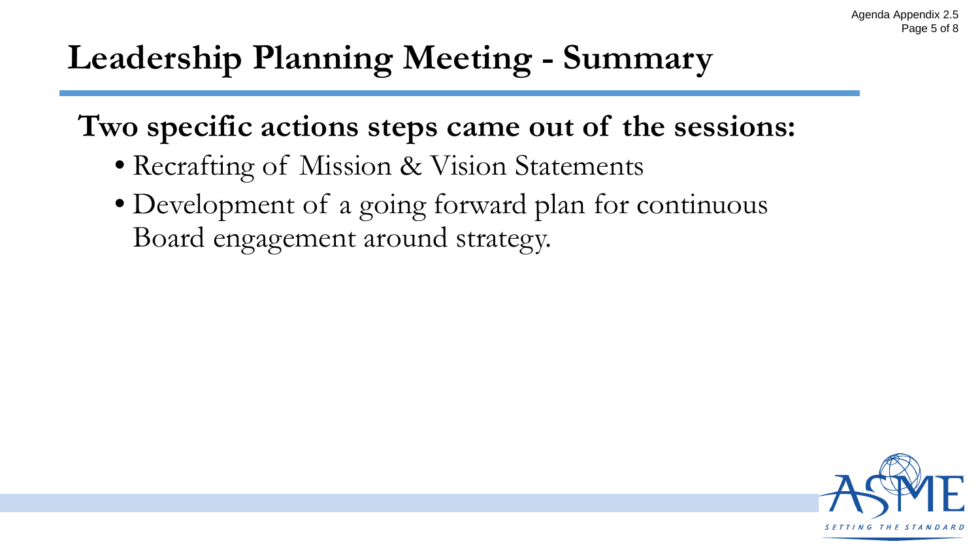# **Leadership Planning Meeting - Summary**

### **Several common themes emerged:**

- Leadership
- Internal and external engagement
- Sustainability of the current business model
- Organizational capabilities
- Direction and pace of technology
- ASME global ambitions
- Data/Information needs

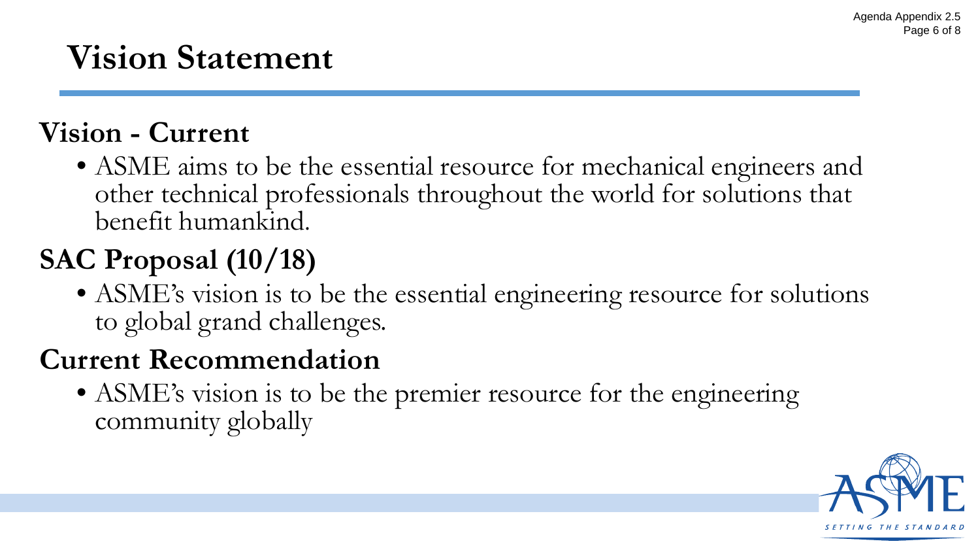# **Leadership Planning Meeting - Summary**

**Two specific actions steps came out of the sessions:**

- Recrafting of Mission & Vision Statements
- Development of a going forward plan for continuous Board engagement around strategy.

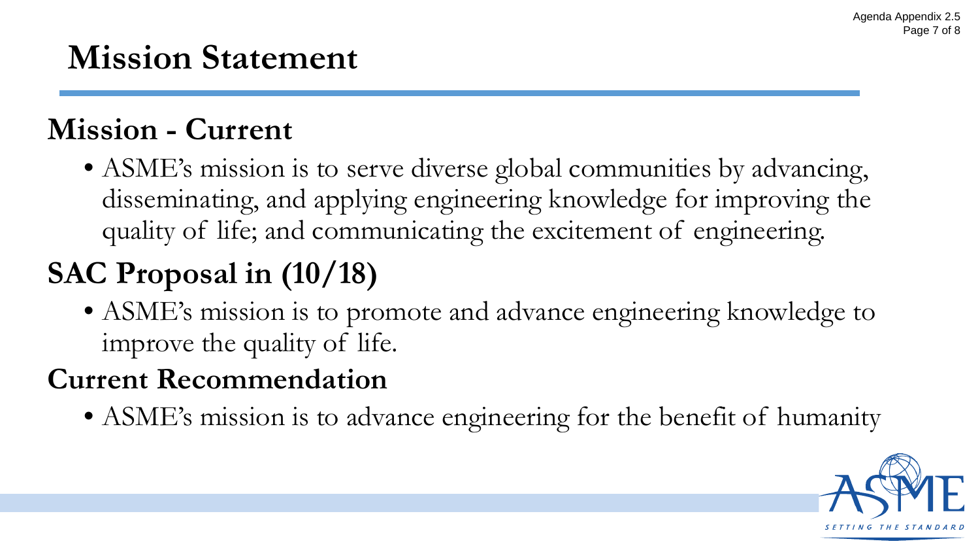# **Vision Statement**

### **Vision - Current**

• ASME aims to be the essential resource for mechanical engineers and other technical professionals throughout the world for solutions that benefit humankind.

# **SAC Proposal (10/18)**

• ASME's vision is to be the essential engineering resource for solutions to global grand challenges.

### **Current Recommendation**

• ASME's vision is to be the premier resource for the engineering community globally

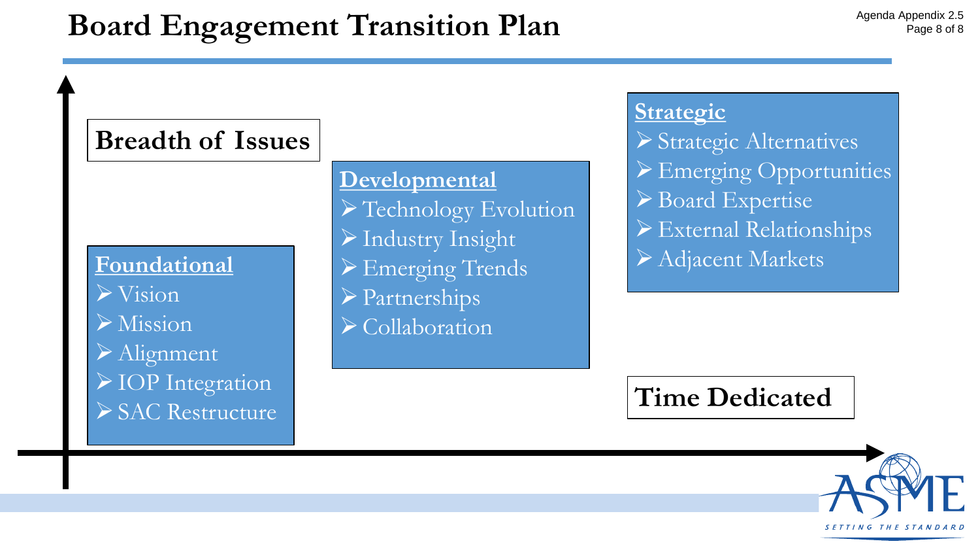# **Mission Statement**

## **Mission - Current**

• ASME's mission is to serve diverse global communities by advancing, disseminating, and applying engineering knowledge for improving the quality of life; and communicating the excitement of engineering.

# **SAC Proposal in (10/18)**

• ASME's mission is to promote and advance engineering knowledge to improve the quality of life.

## **Current Recommendation**

• ASME's mission is to advance engineering for the benefit of humanity

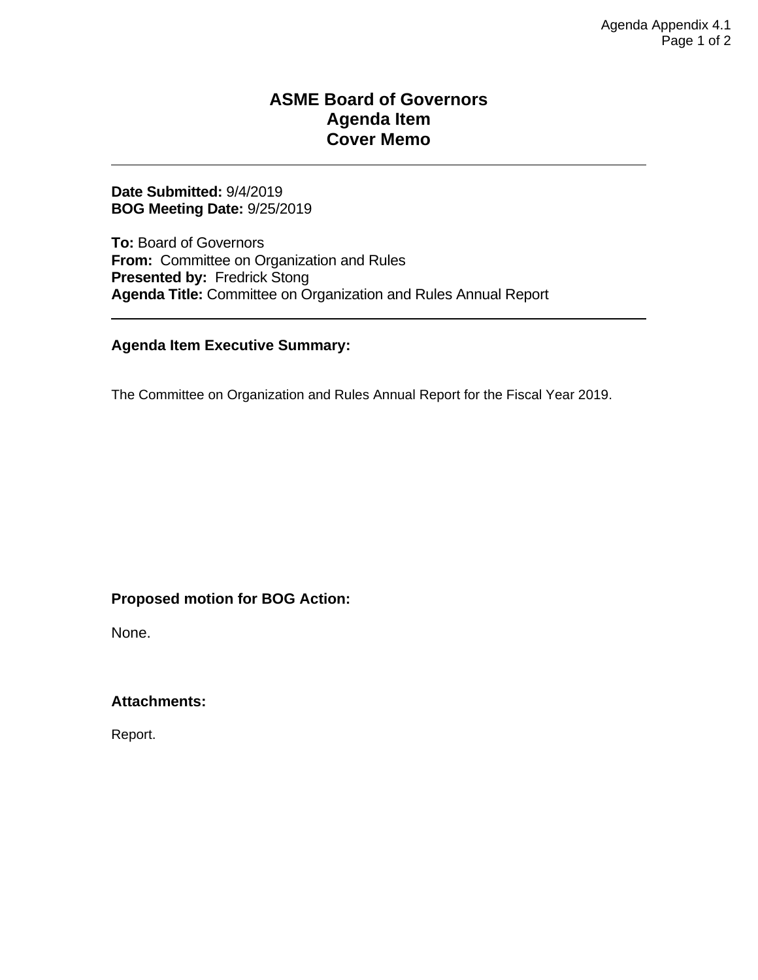## **Board Engagement Transition Plan**

### **Breadth of Issues**

**Foundational**

 $\triangleright$  Vision

Mission

- Alignment IOP Integration
- **≻SAC Restructure**

**Developmental** Technology Evolution Industry Insight Emerging Trends Partnerships Collaboration

### **Strategic**

Strategic Alternatives Emerging Opportunities ▶ Board Expertise External Relationships Adjacent Markets

### **Time Dedicated**

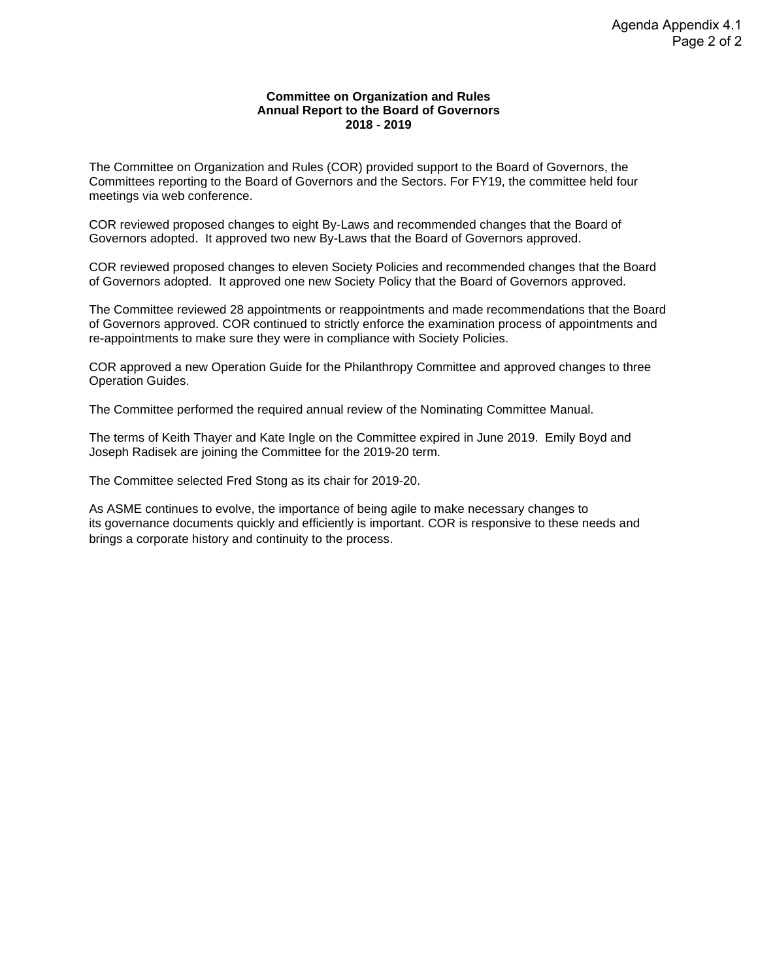#### **ASME Board of Governors Agenda Item Cover Memo**

#### **Date Submitted:** 9/4/2019 **BOG Meeting Date:** 9/25/2019

**To:** Board of Governors **From:** Committee on Organization and Rules **Presented by:** Fredrick Stong **Agenda Title:** Committee on Organization and Rules Annual Report

#### **Agenda Item Executive Summary:**

The Committee on Organization and Rules Annual Report for the Fiscal Year 2019.

#### **Proposed motion for BOG Action:**

None.

**Attachments:**

Report.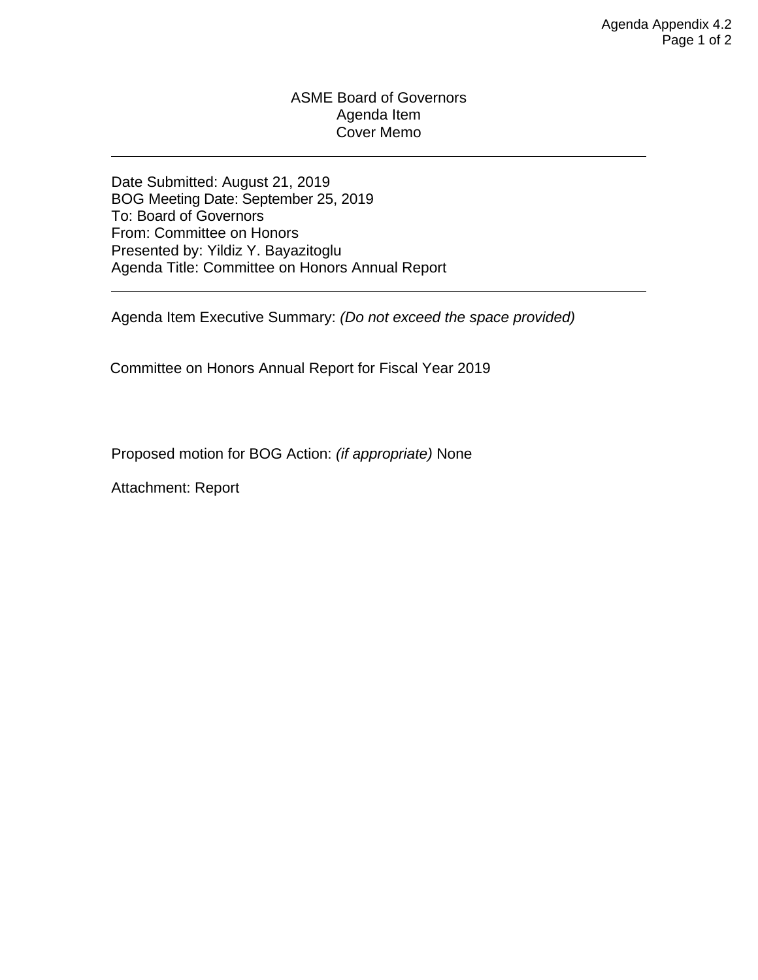#### **Committee on Organization and Rules Annual Report to the Board of Governors 2018 - 2019**

The Committee on Organization and Rules (COR) provided support to the Board of Governors, the Committees reporting to the Board of Governors and the Sectors. For FY19, the committee held four meetings via web conference.

COR reviewed proposed changes to eight By-Laws and recommended changes that the Board of Governors adopted. It approved two new By-Laws that the Board of Governors approved.

COR reviewed proposed changes to eleven Society Policies and recommended changes that the Board of Governors adopted. It approved one new Society Policy that the Board of Governors approved.

The Committee reviewed 28 appointments or reappointments and made recommendations that the Board of Governors approved. COR continued to strictly enforce the examination process of appointments and re-appointments to make sure they were in compliance with Society Policies.

COR approved a new Operation Guide for the Philanthropy Committee and approved changes to three Operation Guides.

The Committee performed the required annual review of the Nominating Committee Manual.

The terms of Keith Thayer and Kate Ingle on the Committee expired in June 2019. Emily Boyd and Joseph Radisek are joining the Committee for the 2019-20 term.

The Committee selected Fred Stong as its chair for 2019-20.

As ASME continues to evolve, the importance of being agile to make necessary changes to its governance documents quickly and efficiently is important. COR is responsive to these needs and brings a corporate history and continuity to the process.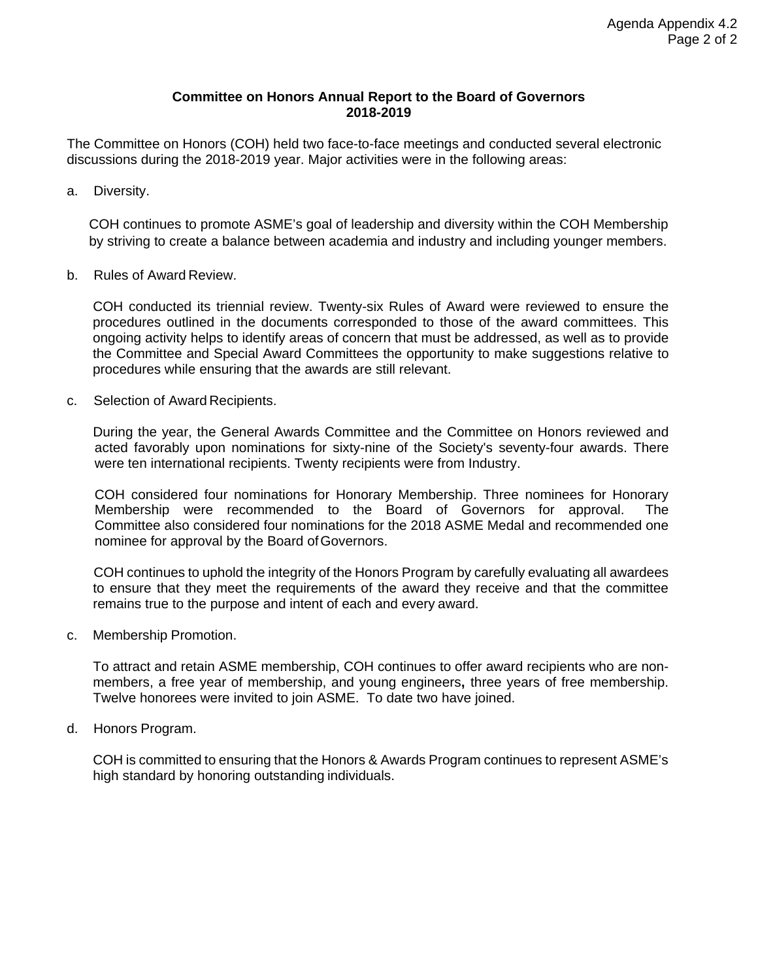#### ASME Board of Governors Agenda Item Cover Memo

Date Submitted: August 21, 2019 BOG Meeting Date: September 25, 2019 To: Board of Governors From: Committee on Honors Presented by: Yildiz Y. Bayazitoglu Agenda Title: Committee on Honors Annual Report

Agenda Item Executive Summary: *(Do not exceed the space provided)*

Committee on Honors Annual Report for Fiscal Year 2019

Proposed motion for BOG Action: *(if appropriate)* None

Attachment: Report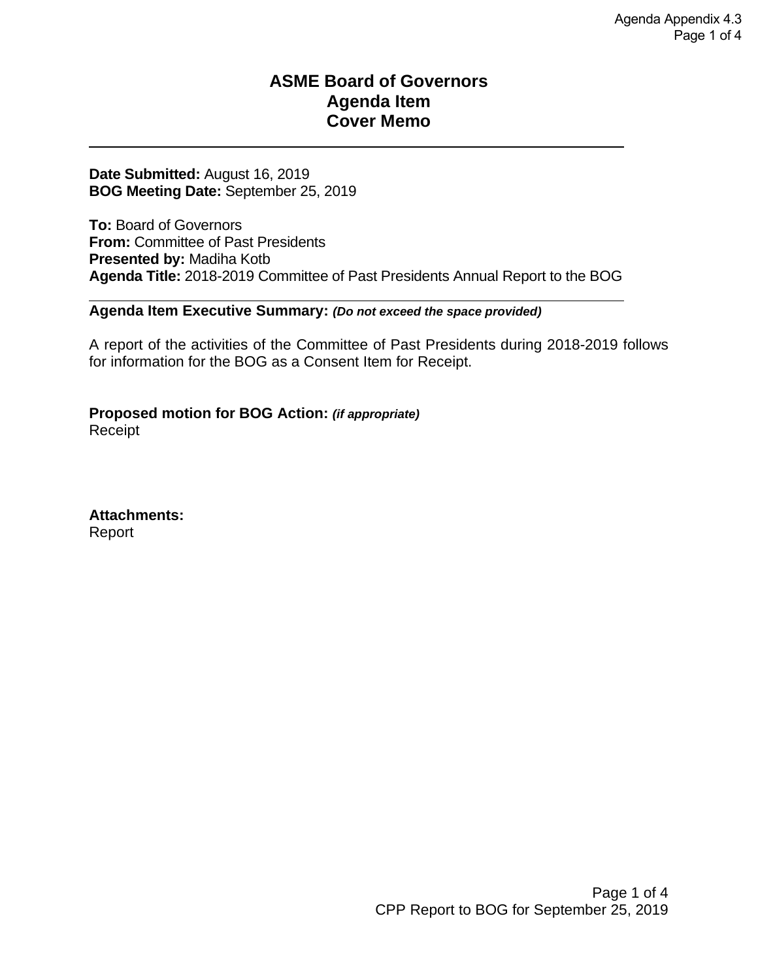#### **Committee on Honors Annual Report to the Board of Governors 2018-2019**

The Committee on Honors (COH) held two face-to-face meetings and conducted several electronic discussions during the 2018-2019 year. Major activities were in the following areas:

a. Diversity.

COH continues to promote ASME's goal of leadership and diversity within the COH Membership by striving to create a balance between academia and industry and including younger members.

b. Rules of Award Review.

COH conducted its triennial review. Twenty-six Rules of Award were reviewed to ensure the procedures outlined in the documents corresponded to those of the award committees. This ongoing activity helps to identify areas of concern that must be addressed, as well as to provide the Committee and Special Award Committees the opportunity to make suggestions relative to procedures while ensuring that the awards are still relevant.

c. Selection of Award Recipients.

During the year, the General Awards Committee and the Committee on Honors reviewed and acted favorably upon nominations for sixty-nine of the Society's seventy-four awards. There were ten international recipients. Twenty recipients were from Industry.

COH considered four nominations for Honorary Membership. Three nominees for Honorary Membership were recommended to the Board of Governors for approval. The Committee also considered four nominations for the 2018 ASME Medal and recommended one nominee for approval by the Board of Governors.

COH continues to uphold the integrity of the Honors Program by carefully evaluating all awardees to ensure that they meet the requirements of the award they receive and that the committee remains true to the purpose and intent of each and every award.

c. Membership Promotion.

To attract and retain ASME membership, COH continues to offer award recipients who are nonmembers, a free year of membership, and young engineers**,** three years of free membership. Twelve honorees were invited to join ASME. To date two have joined.

d. Honors Program.

COH is committed to ensuring that the Honors & Awards Program continues to represent ASME's high standard by honoring outstanding individuals.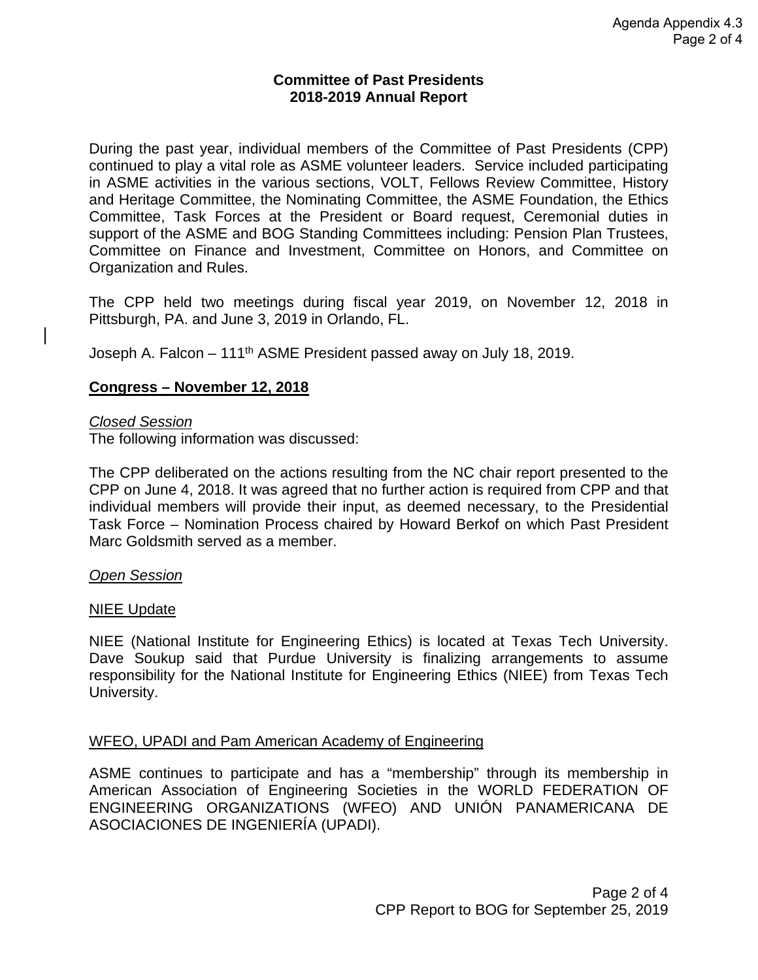#### **ASME Board of Governors Agenda Item Cover Memo**

#### **Date Submitted:** August 16, 2019 **BOG Meeting Date:** September 25, 2019

**To:** Board of Governors **From: Committee of Past Presidents Presented by:** Madiha Kotb **Agenda Title:** 2018-2019 Committee of Past Presidents Annual Report to the BOG

#### **Agenda Item Executive Summary:** *(Do not exceed the space provided)*

A report of the activities of the Committee of Past Presidents during 2018-2019 follows for information for the BOG as a Consent Item for Receipt.

**Proposed motion for BOG Action:** *(if appropriate)* Receipt

**Attachments:** Report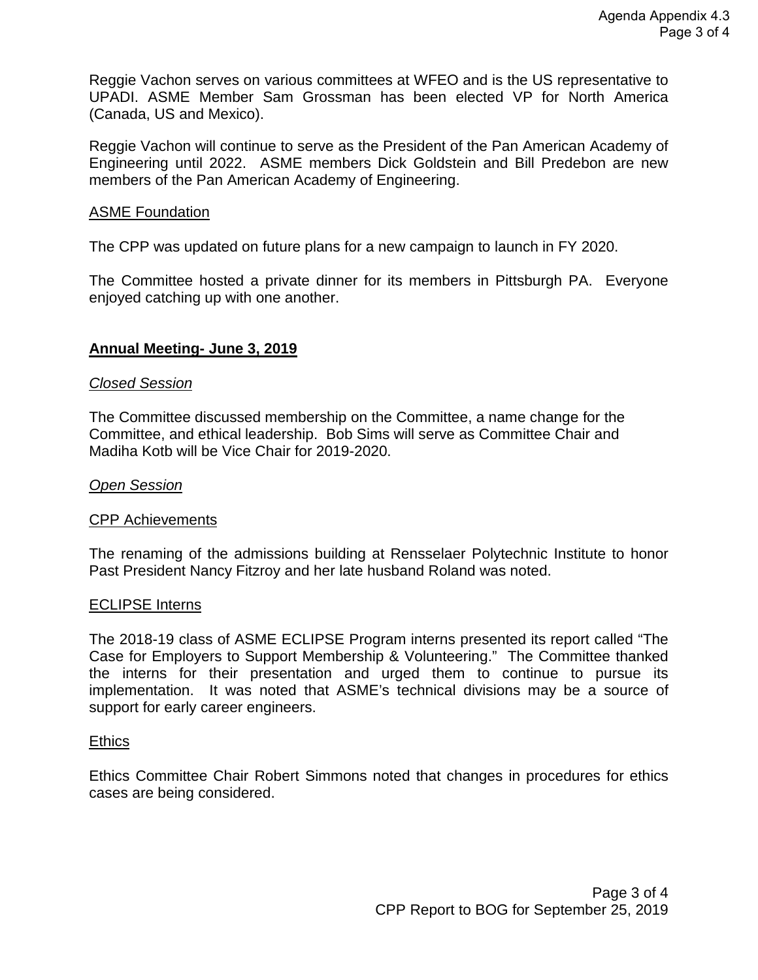#### **Committee of Past Presidents 2018-2019 Annual Report**

During the past year, individual members of the Committee of Past Presidents (CPP) continued to play a vital role as ASME volunteer leaders. Service included participating in ASME activities in the various sections, VOLT, Fellows Review Committee, History and Heritage Committee, the Nominating Committee, the ASME Foundation, the Ethics Committee, Task Forces at the President or Board request, Ceremonial duties in support of the ASME and BOG Standing Committees including: Pension Plan Trustees, Committee on Finance and Investment, Committee on Honors, and Committee on Organization and Rules.

The CPP held two meetings during fiscal year 2019, on November 12, 2018 in Pittsburgh, PA. and June 3, 2019 in Orlando, FL.

Joseph A. Falcon – 111th ASME President passed away on July 18, 2019.

#### **Congress – November 12, 2018**

#### *Closed Session*

The following information was discussed:

The CPP deliberated on the actions resulting from the NC chair report presented to the CPP on June 4, 2018. It was agreed that no further action is required from CPP and that individual members will provide their input, as deemed necessary, to the Presidential Task Force – Nomination Process chaired by Howard Berkof on which Past President Marc Goldsmith served as a member.

#### *Open Session*

#### NIEE Update

NIEE (National Institute for Engineering Ethics) is located at Texas Tech University. Dave Soukup said that Purdue University is finalizing arrangements to assume responsibility for the National Institute for Engineering Ethics (NIEE) from Texas Tech University.

#### WFEO, UPADI and Pam American Academy of Engineering

ASME continues to participate and has a "membership" through its membership in American Association of Engineering Societies in the WORLD FEDERATION OF ENGINEERING ORGANIZATIONS (WFEO) AND UNIÓN PANAMERICANA DE ASOCIACIONES DE INGENIERÍA (UPADI).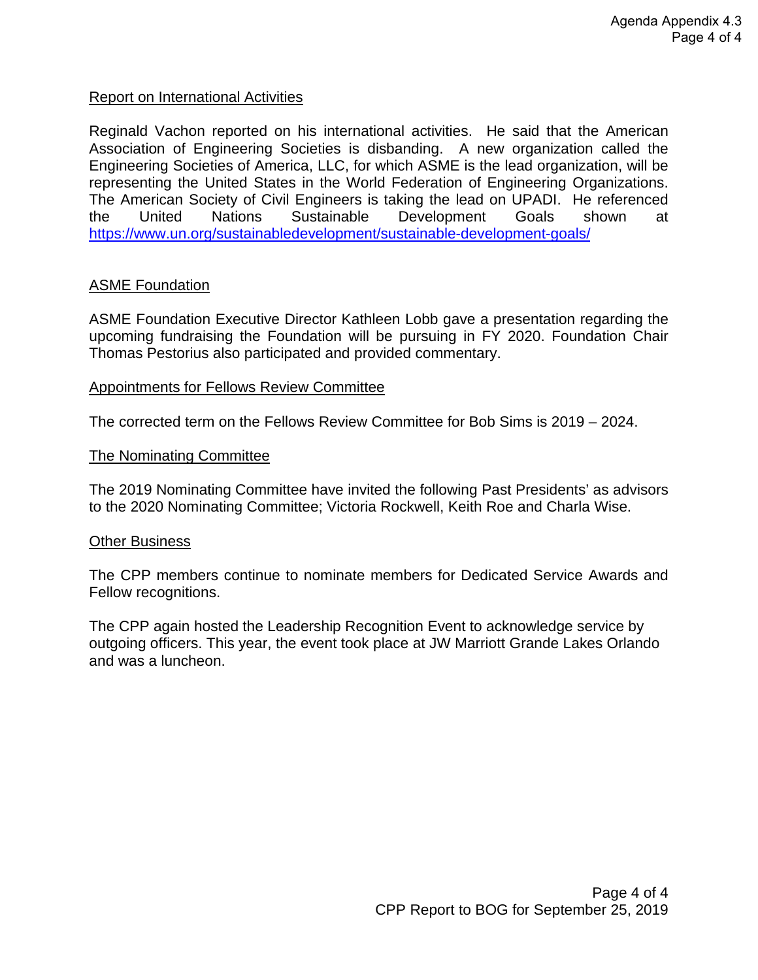Reggie Vachon serves on various committees at WFEO and is the US representative to UPADI. ASME Member Sam Grossman has been elected VP for North America (Canada, US and Mexico).

Reggie Vachon will continue to serve as the President of the Pan American Academy of Engineering until 2022. ASME members Dick Goldstein and Bill Predebon are new members of the Pan American Academy of Engineering.

#### ASME Foundation

The CPP was updated on future plans for a new campaign to launch in FY 2020.

The Committee hosted a private dinner for its members in Pittsburgh PA. Everyone enjoyed catching up with one another.

#### **Annual Meeting- June 3, 2019**

#### *Closed Session*

The Committee discussed membership on the Committee, a name change for the Committee, and ethical leadership. Bob Sims will serve as Committee Chair and Madiha Kotb will be Vice Chair for 2019-2020.

#### *Open Session*

#### CPP Achievements

The renaming of the admissions building at Rensselaer Polytechnic Institute to honor Past President Nancy Fitzroy and her late husband Roland was noted.

#### ECLIPSE Interns

The 2018-19 class of ASME ECLIPSE Program interns presented its report called "The Case for Employers to Support Membership & Volunteering." The Committee thanked the interns for their presentation and urged them to continue to pursue its implementation. It was noted that ASME's technical divisions may be a source of support for early career engineers.

#### **Ethics**

Ethics Committee Chair Robert Simmons noted that changes in procedures for ethics cases are being considered.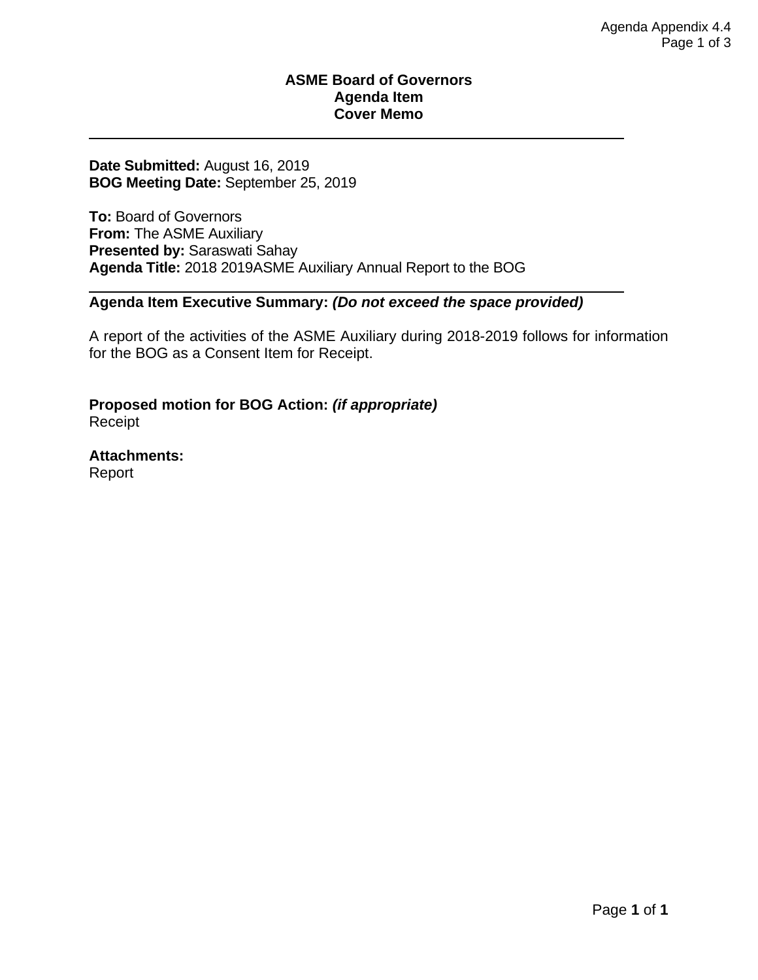#### Report on International Activities

Reginald Vachon reported on his international activities. He said that the American Association of Engineering Societies is disbanding. A new organization called the Engineering Societies of America, LLC, for which ASME is the lead organization, will be representing the United States in the World Federation of Engineering Organizations. The American Society of Civil Engineers is taking the lead on UPADI. He referenced the United Nations Sustainable Development Goals shown at <https://www.un.org/sustainabledevelopment/sustainable-development-goals/>

#### ASME Foundation

ASME Foundation Executive Director Kathleen Lobb gave a presentation regarding the upcoming fundraising the Foundation will be pursuing in FY 2020. Foundation Chair Thomas Pestorius also participated and provided commentary.

#### Appointments for Fellows Review Committee

The corrected term on the Fellows Review Committee for Bob Sims is 2019 – 2024.

#### The Nominating Committee

The 2019 Nominating Committee have invited the following Past Presidents' as advisors to the 2020 Nominating Committee; Victoria Rockwell, Keith Roe and Charla Wise.

#### **Other Business**

The CPP members continue to nominate members for Dedicated Service Awards and Fellow recognitions.

The CPP again hosted the Leadership Recognition Event to acknowledge service by outgoing officers. This year, the event took place at JW Marriott Grande Lakes Orlando and was a luncheon.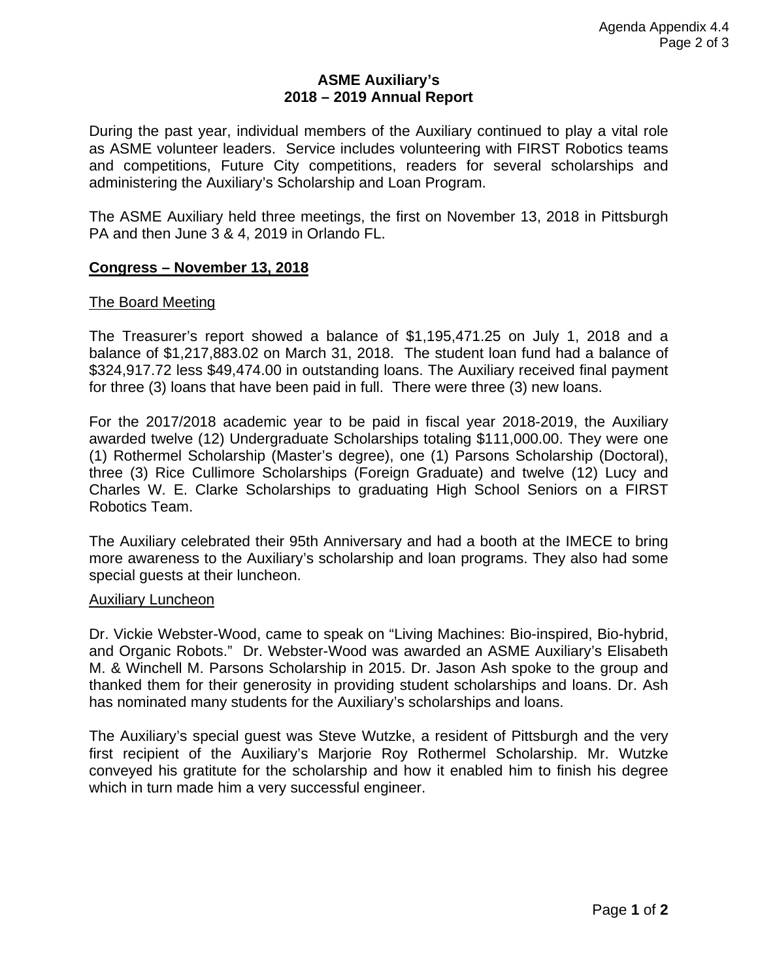#### **ASME Board of Governors Agenda Item Cover Memo**

#### **Date Submitted:** August 16, 2019 **BOG Meeting Date:** September 25, 2019

**To:** Board of Governors **From:** The ASME Auxiliary **Presented by:** Saraswati Sahay **Agenda Title:** 2018 2019ASME Auxiliary Annual Report to the BOG

#### **Agenda Item Executive Summary:** *(Do not exceed the space provided)*

A report of the activities of the ASME Auxiliary during 2018-2019 follows for information for the BOG as a Consent Item for Receipt.

**Proposed motion for BOG Action:** *(if appropriate)* Receipt

**Attachments:** Report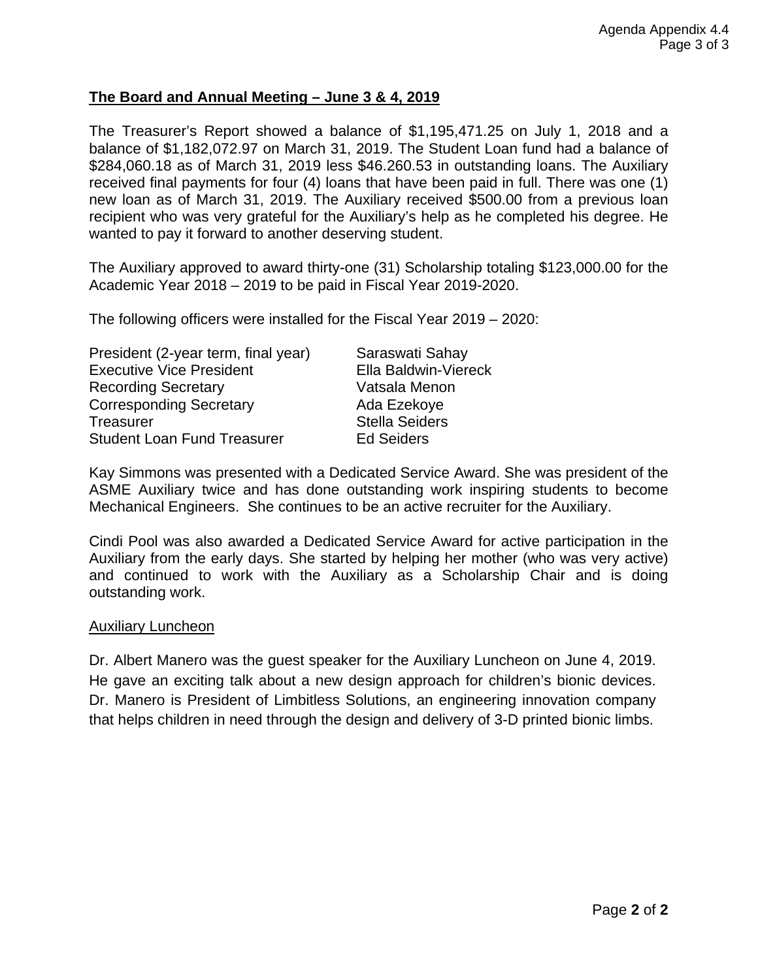#### **ASME Auxiliary's 2018 – 2019 Annual Report**

During the past year, individual members of the Auxiliary continued to play a vital role as ASME volunteer leaders. Service includes volunteering with FIRST Robotics teams and competitions, Future City competitions, readers for several scholarships and administering the Auxiliary's Scholarship and Loan Program.

The ASME Auxiliary held three meetings, the first on November 13, 2018 in Pittsburgh PA and then June 3 & 4, 2019 in Orlando FL.

#### **Congress – November 13, 2018**

#### The Board Meeting

The Treasurer's report showed a balance of \$1,195,471.25 on July 1, 2018 and a balance of \$1,217,883.02 on March 31, 2018. The student loan fund had a balance of \$324,917.72 less \$49,474.00 in outstanding loans. The Auxiliary received final payment for three (3) loans that have been paid in full. There were three (3) new loans.

For the 2017/2018 academic year to be paid in fiscal year 2018-2019, the Auxiliary awarded twelve (12) Undergraduate Scholarships totaling \$111,000.00. They were one (1) Rothermel Scholarship (Master's degree), one (1) Parsons Scholarship (Doctoral), three (3) Rice Cullimore Scholarships (Foreign Graduate) and twelve (12) Lucy and Charles W. E. Clarke Scholarships to graduating High School Seniors on a FIRST Robotics Team.

The Auxiliary celebrated their 95th Anniversary and had a booth at the IMECE to bring more awareness to the Auxiliary's scholarship and loan programs. They also had some special guests at their luncheon.

#### Auxiliary Luncheon

Dr. Vickie Webster-Wood, came to speak on "Living Machines: Bio-inspired, Bio-hybrid, and Organic Robots." Dr. Webster-Wood was awarded an ASME Auxiliary's Elisabeth M. & Winchell M. Parsons Scholarship in 2015. Dr. Jason Ash spoke to the group and thanked them for their generosity in providing student scholarships and loans. Dr. Ash has nominated many students for the Auxiliary's scholarships and loans.

The Auxiliary's special guest was Steve Wutzke, a resident of Pittsburgh and the very first recipient of the Auxiliary's Marjorie Roy Rothermel Scholarship. Mr. Wutzke conveyed his gratitute for the scholarship and how it enabled him to finish his degree which in turn made him a very successful engineer.